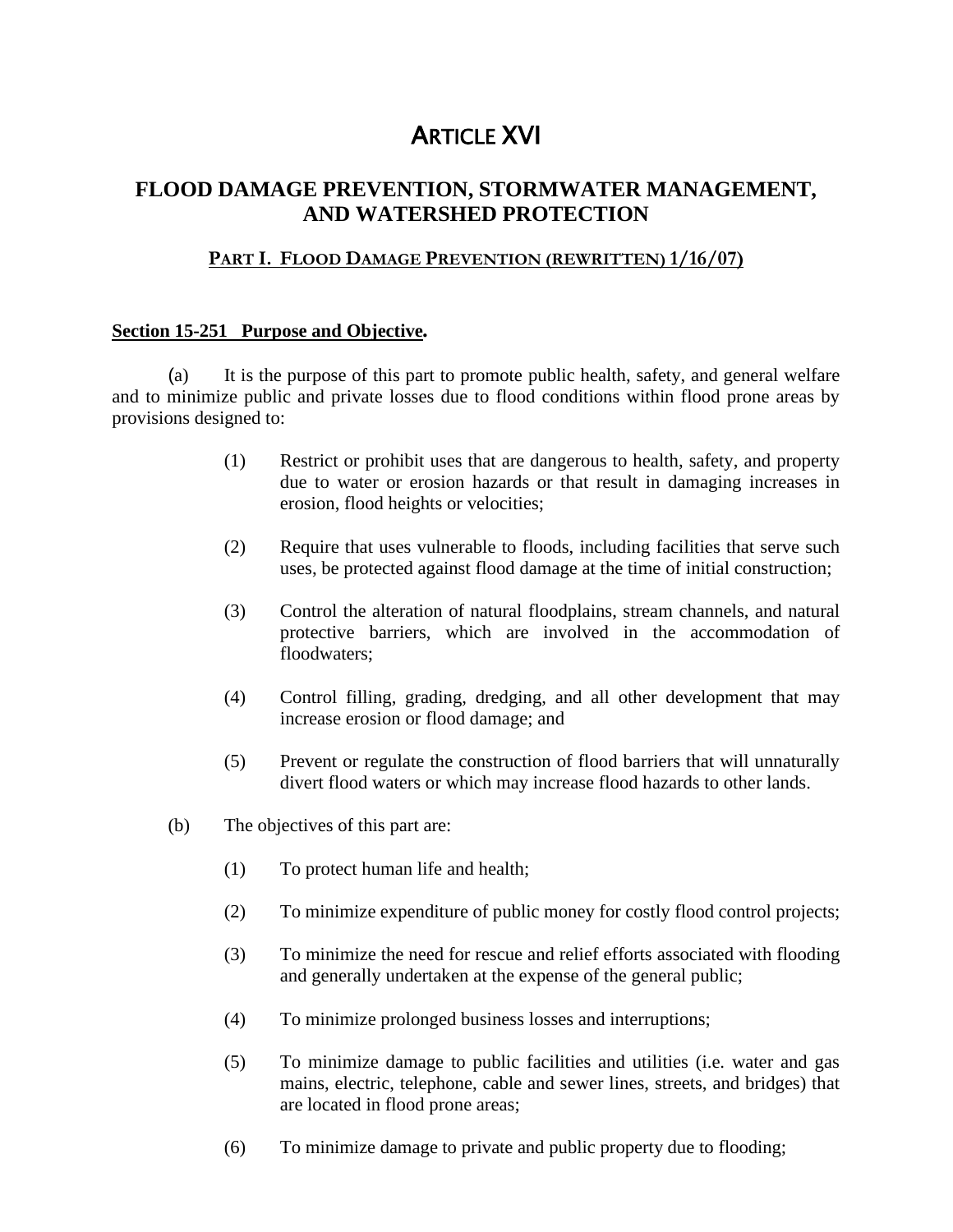# ARTICLE XVI

# **FLOOD DAMAGE PREVENTION, STORMWATER MANAGEMENT, AND WATERSHED PROTECTION**

### **PART I. FLOOD DAMAGE PREVENTION (REWRITTEN) 1/16/07)**

### **Section 15-251 Purpose and Objective***.*

(a) It is the purpose of this part to promote public health, safety, and general welfare and to minimize public and private losses due to flood conditions within flood prone areas by provisions designed to:

- (1) Restrict or prohibit uses that are dangerous to health, safety, and property due to water or erosion hazards or that result in damaging increases in erosion, flood heights or velocities;
- (2) Require that uses vulnerable to floods, including facilities that serve such uses, be protected against flood damage at the time of initial construction;
- (3) Control the alteration of natural floodplains, stream channels, and natural protective barriers, which are involved in the accommodation of floodwaters:
- (4) Control filling, grading, dredging, and all other development that may increase erosion or flood damage; and
- (5) Prevent or regulate the construction of flood barriers that will unnaturally divert flood waters or which may increase flood hazards to other lands.
- (b) The objectives of this part are:
	- (1) To protect human life and health;
	- (2) To minimize expenditure of public money for costly flood control projects;
	- (3) To minimize the need for rescue and relief efforts associated with flooding and generally undertaken at the expense of the general public;
	- (4) To minimize prolonged business losses and interruptions;
	- (5) To minimize damage to public facilities and utilities (i.e. water and gas mains, electric, telephone, cable and sewer lines, streets, and bridges) that are located in flood prone areas;
	- (6) To minimize damage to private and public property due to flooding;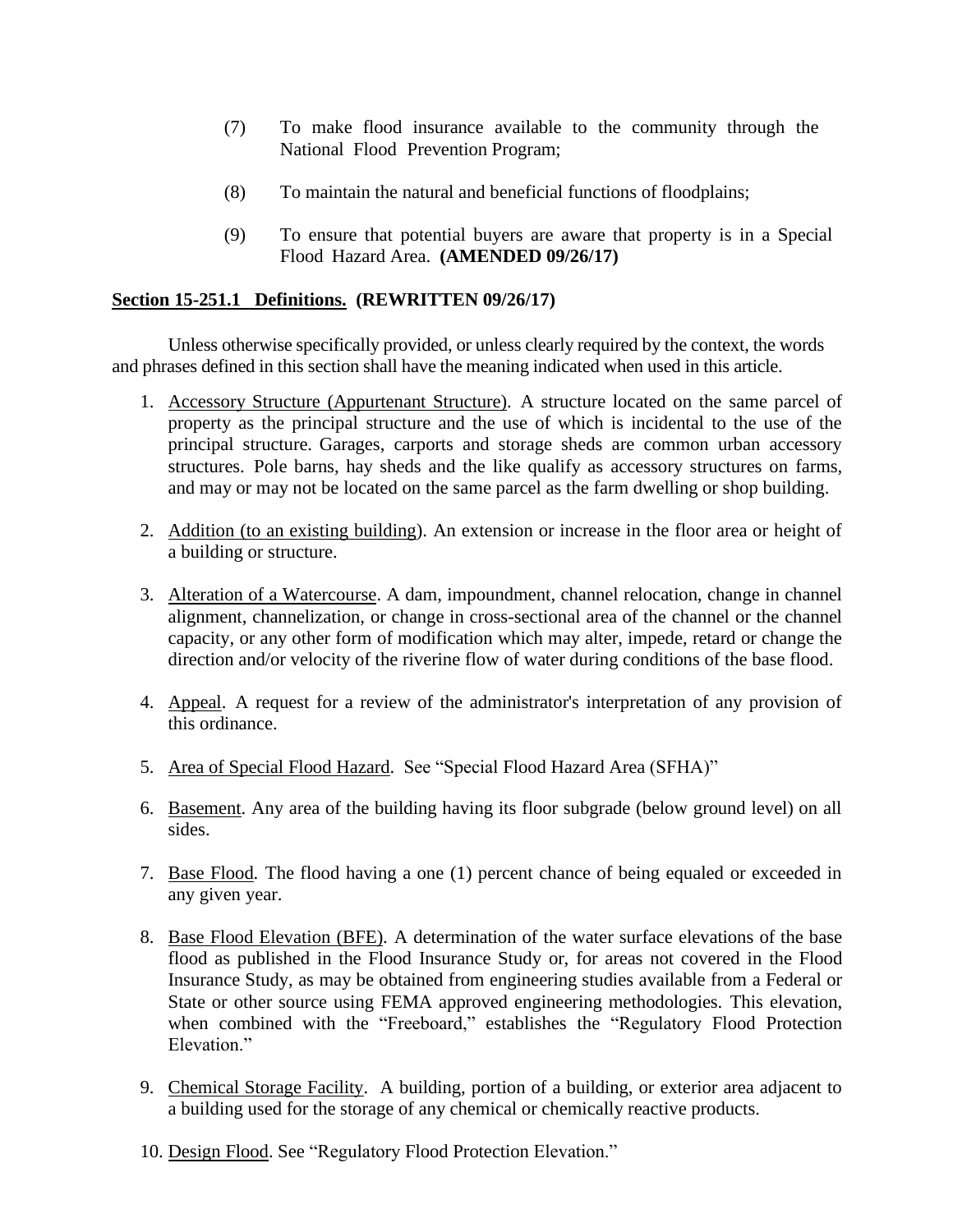- (7) To make flood insurance available to the community through the National Flood Prevention Program;
- (8) To maintain the natural and beneficial functions of floodplains;
- (9) To ensure that potential buyers are aware that property is in a Special Flood Hazard Area. **(AMENDED 09/26/17)**

### **Section 15-251.1 Definitions. (REWRITTEN 09/26/17)**

Unless otherwise specifically provided, or unless clearly required by the context, the words and phrases defined in this section shall have the meaning indicated when used in this article.

- 1. Accessory Structure (Appurtenant Structure). A structure located on the same parcel of property as the principal structure and the use of which is incidental to the use of the principal structure. Garages, carports and storage sheds are common urban accessory structures. Pole barns, hay sheds and the like qualify as accessory structures on farms, and may or may not be located on the same parcel as the farm dwelling or shop building.
- 2. Addition (to an existing building). An extension or increase in the floor area or height of a building or structure.
- 3. Alteration of a Watercourse. A dam, impoundment, channel relocation, change in channel alignment, channelization, or change in cross-sectional area of the channel or the channel capacity, or any other form of modification which may alter, impede, retard or change the direction and/or velocity of the riverine flow of water during conditions of the base flood.
- 4. Appeal. A request for a review of the administrator's interpretation of any provision of this ordinance.
- 5. Area of Special Flood Hazard. See "Special Flood Hazard Area (SFHA)"
- 6. Basement. Any area of the building having its floor subgrade (below ground level) on all sides.
- 7. Base Flood. The flood having a one (1) percent chance of being equaled or exceeded in any given year.
- 8. Base Flood Elevation (BFE). A determination of the water surface elevations of the base flood as published in the Flood Insurance Study or, for areas not covered in the Flood Insurance Study, as may be obtained from engineering studies available from a Federal or State or other source using FEMA approved engineering methodologies. This elevation, when combined with the "Freeboard," establishes the "Regulatory Flood Protection Elevation."
- 9. Chemical Storage Facility. A building, portion of a building, or exterior area adjacent to a building used for the storage of any chemical or chemically reactive products.
- 10. Design Flood. See "Regulatory Flood Protection Elevation."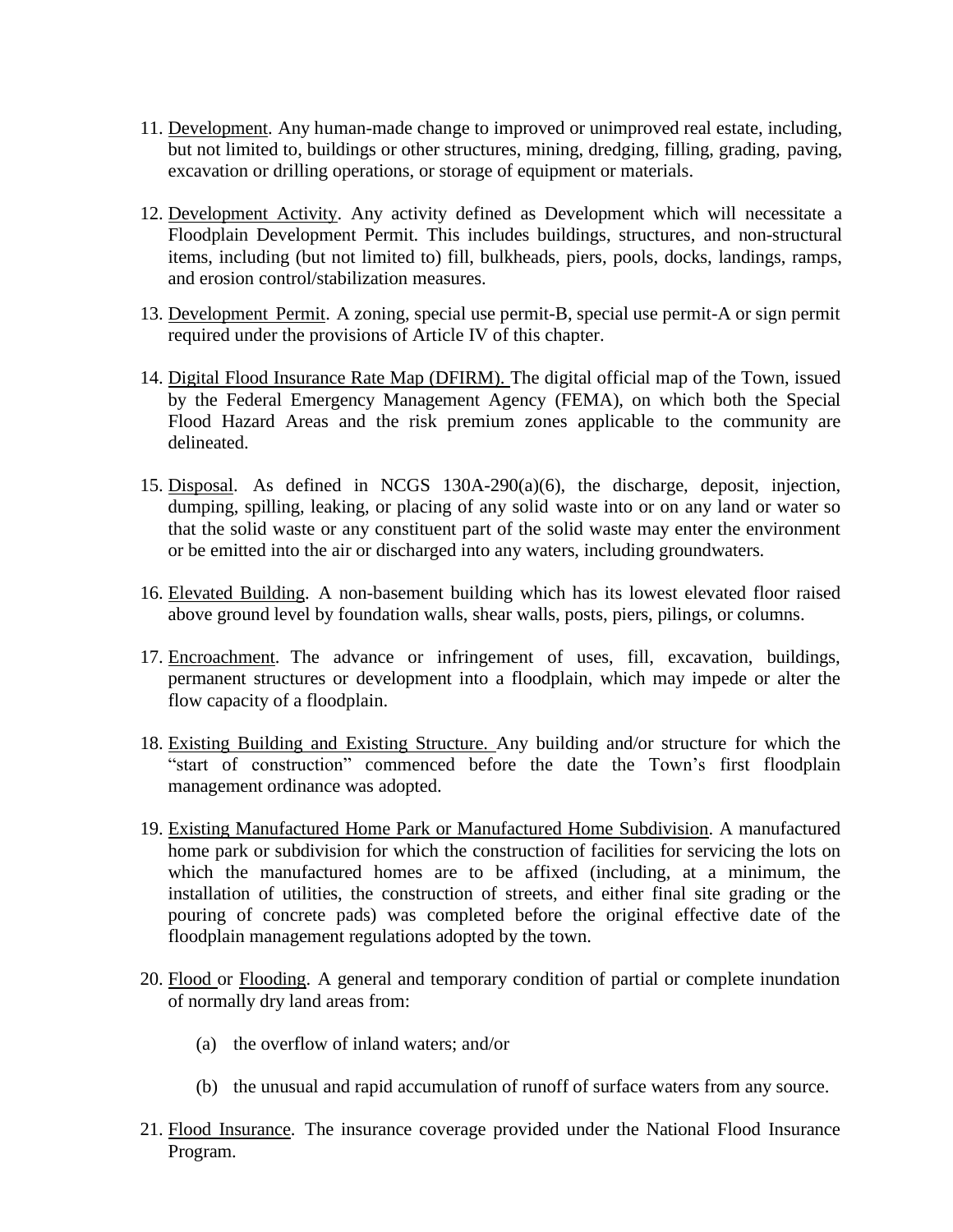- 11. Development. Any human-made change to improved or unimproved real estate, including, but not limited to, buildings or other structures, mining, dredging, filling, grading, paving, excavation or drilling operations, or storage of equipment or materials.
- 12. Development Activity. Any activity defined as Development which will necessitate a Floodplain Development Permit. This includes buildings, structures, and non-structural items, including (but not limited to) fill, bulkheads, piers, pools, docks, landings, ramps, and erosion control/stabilization measures.
- 13. Development Permit. A zoning, special use permit-B, special use permit-A or sign permit required under the provisions of Article IV of this chapter.
- 14. Digital Flood Insurance Rate Map (DFIRM). The digital official map of the Town, issued by the Federal Emergency Management Agency (FEMA), on which both the Special Flood Hazard Areas and the risk premium zones applicable to the community are delineated.
- 15. Disposal. As defined in NCGS 130A-290(a)(6), the discharge, deposit, injection, dumping, spilling, leaking, or placing of any solid waste into or on any land or water so that the solid waste or any constituent part of the solid waste may enter the environment or be emitted into the air or discharged into any waters, including groundwaters.
- 16. Elevated Building. A non-basement building which has its lowest elevated floor raised above ground level by foundation walls, shear walls, posts, piers, pilings, or columns.
- 17. Encroachment. The advance or infringement of uses, fill, excavation, buildings, permanent structures or development into a floodplain, which may impede or alter the flow capacity of a floodplain.
- 18. Existing Building and Existing Structure. Any building and/or structure for which the "start of construction" commenced before the date the Town's first floodplain management ordinance was adopted.
- 19. Existing Manufactured Home Park or Manufactured Home Subdivision. A manufactured home park or subdivision for which the construction of facilities for servicing the lots on which the manufactured homes are to be affixed (including, at a minimum, the installation of utilities, the construction of streets, and either final site grading or the pouring of concrete pads) was completed before the original effective date of the floodplain management regulations adopted by the town.
- 20. Flood or Flooding. A general and temporary condition of partial or complete inundation of normally dry land areas from:
	- (a) the overflow of inland waters; and/or
	- (b) the unusual and rapid accumulation of runoff of surface waters from any source.
- 21. Flood Insurance. The insurance coverage provided under the National Flood Insurance Program.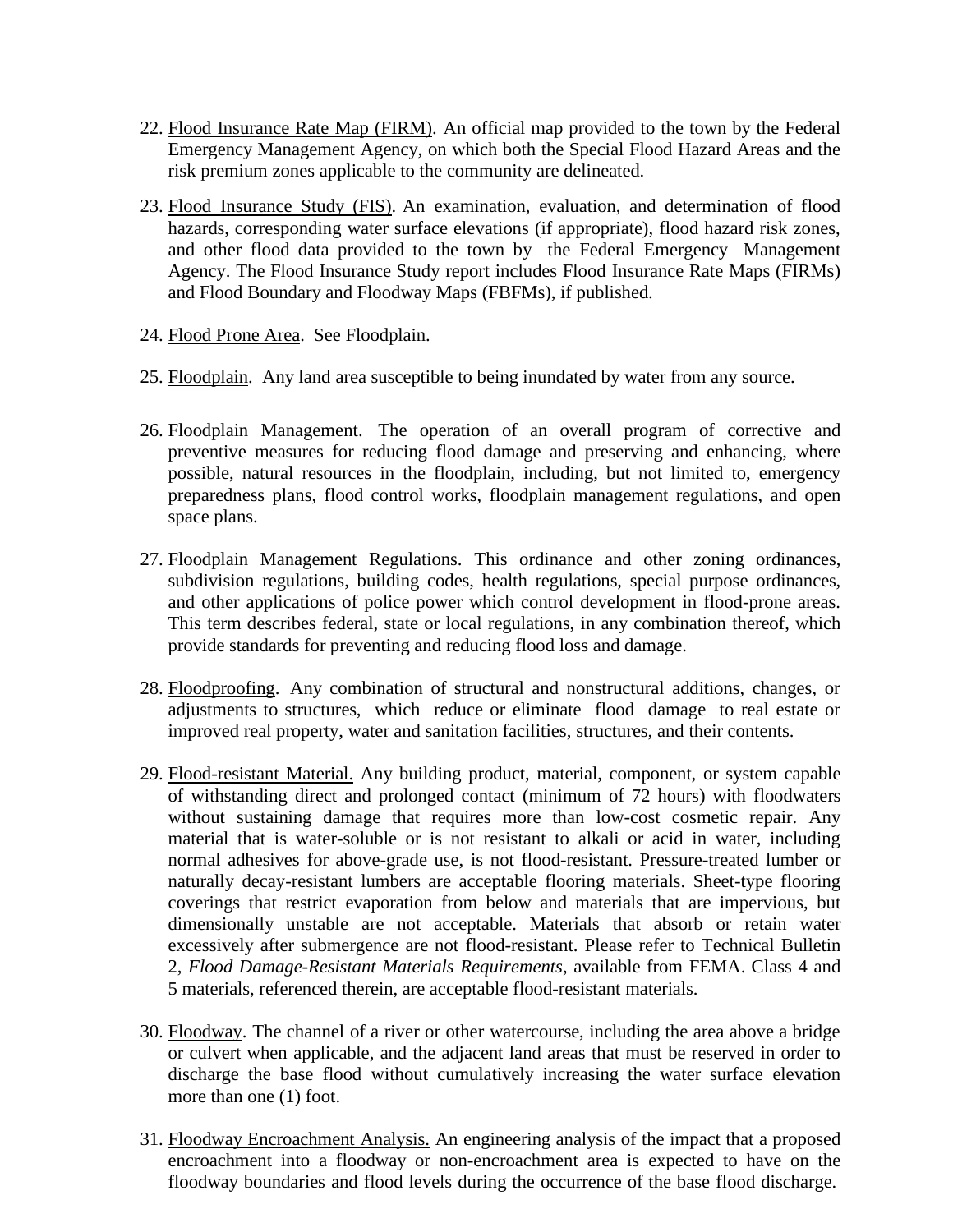- 22. Flood Insurance Rate Map (FIRM). An official map provided to the town by the Federal Emergency Management Agency, on which both the Special Flood Hazard Areas and the risk premium zones applicable to the community are delineated.
- 23. Flood Insurance Study (FIS). An examination, evaluation, and determination of flood hazards, corresponding water surface elevations (if appropriate), flood hazard risk zones, and other flood data provided to the town by the Federal Emergency Management Agency. The Flood Insurance Study report includes Flood Insurance Rate Maps (FIRMs) and Flood Boundary and Floodway Maps (FBFMs), if published.
- 24. Flood Prone Area. See Floodplain.
- 25. Floodplain. Any land area susceptible to being inundated by water from any source.
- 26. Floodplain Management. The operation of an overall program of corrective and preventive measures for reducing flood damage and preserving and enhancing, where possible, natural resources in the floodplain, including, but not limited to, emergency preparedness plans, flood control works, floodplain management regulations, and open space plans.
- 27. Floodplain Management Regulations. This ordinance and other zoning ordinances, subdivision regulations, building codes, health regulations, special purpose ordinances, and other applications of police power which control development in flood-prone areas. This term describes federal, state or local regulations, in any combination thereof, which provide standards for preventing and reducing flood loss and damage.
- 28. Floodproofing. Any combination of structural and nonstructural additions, changes, or adjustments to structures, which reduce or eliminate flood damage to real estate or improved real property, water and sanitation facilities, structures, and their contents.
- 29. Flood-resistant Material. Any building product, material, component, or system capable of withstanding direct and prolonged contact (minimum of 72 hours) with floodwaters without sustaining damage that requires more than low-cost cosmetic repair. Any material that is water-soluble or is not resistant to alkali or acid in water, including normal adhesives for above-grade use, is not flood-resistant. Pressure-treated lumber or naturally decay-resistant lumbers are acceptable flooring materials. Sheet-type flooring coverings that restrict evaporation from below and materials that are impervious, but dimensionally unstable are not acceptable. Materials that absorb or retain water excessively after submergence are not flood-resistant. Please refer to Technical Bulletin 2, *Flood Damage-Resistant Materials Requirements*, available from FEMA. Class 4 and 5 materials, referenced therein, are acceptable flood-resistant materials.
- 30. Floodway. The channel of a river or other watercourse, including the area above a bridge or culvert when applicable, and the adjacent land areas that must be reserved in order to discharge the base flood without cumulatively increasing the water surface elevation more than one (1) foot.
- 31. Floodway Encroachment Analysis. An engineering analysis of the impact that a proposed encroachment into a floodway or non-encroachment area is expected to have on the floodway boundaries and flood levels during the occurrence of the base flood discharge.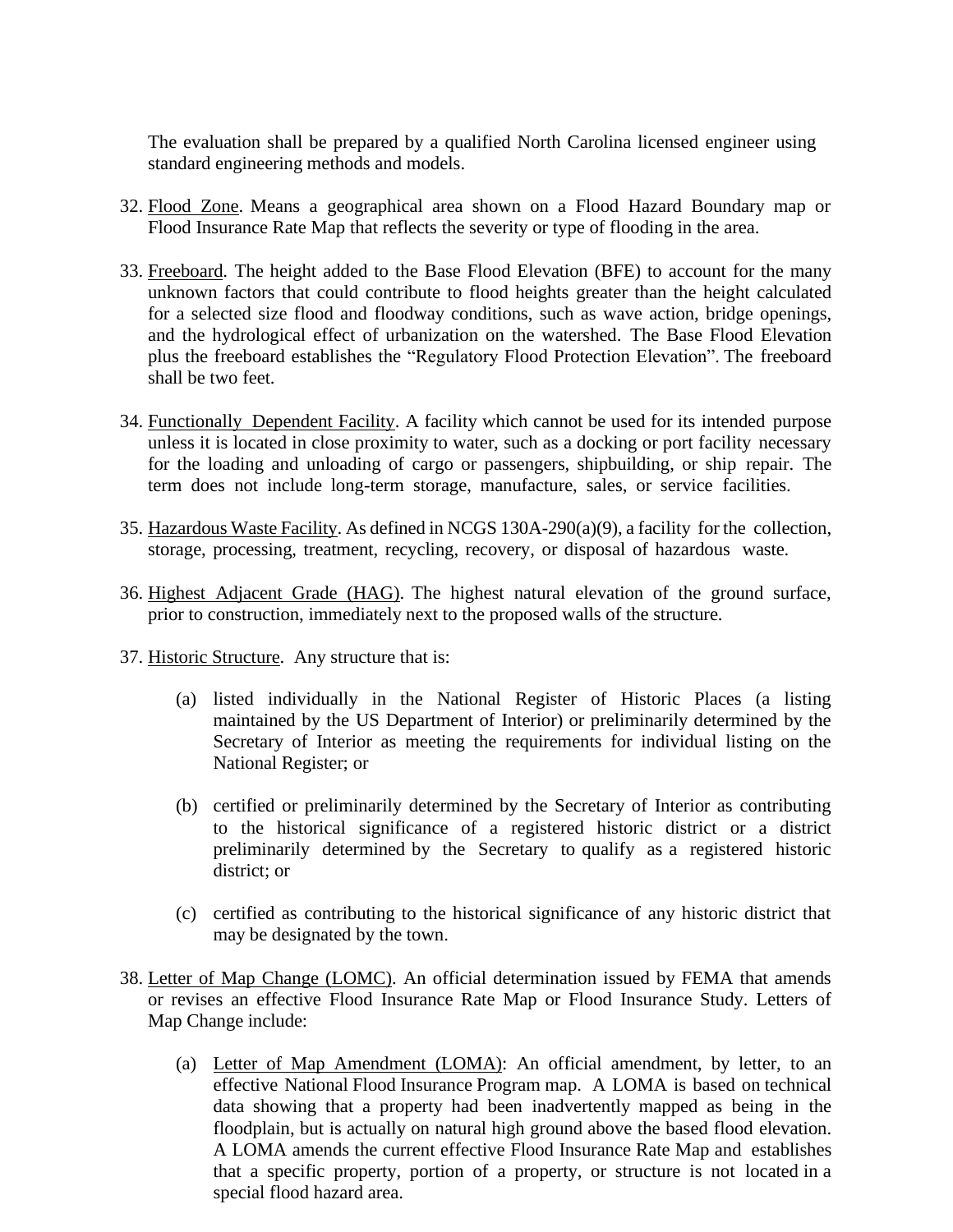The evaluation shall be prepared by a qualified North Carolina licensed engineer using standard engineering methods and models.

- 32. Flood Zone. Means a geographical area shown on a Flood Hazard Boundary map or Flood Insurance Rate Map that reflects the severity or type of flooding in the area.
- 33. Freeboard. The height added to the Base Flood Elevation (BFE) to account for the many unknown factors that could contribute to flood heights greater than the height calculated for a selected size flood and floodway conditions, such as wave action, bridge openings, and the hydrological effect of urbanization on the watershed. The Base Flood Elevation plus the freeboard establishes the "Regulatory Flood Protection Elevation". The freeboard shall be two feet.
- 34. Functionally Dependent Facility. A facility which cannot be used for its intended purpose unless it is located in close proximity to water, such as a docking or port facility necessary for the loading and unloading of cargo or passengers, shipbuilding, or ship repair. The term does not include long-term storage, manufacture, sales, or service facilities.
- 35. Hazardous Waste Facility. As defined in NCGS 130A-290(a)(9), a facility for the collection, storage, processing, treatment, recycling, recovery, or disposal of hazardous waste.
- 36. Highest Adjacent Grade (HAG). The highest natural elevation of the ground surface, prior to construction, immediately next to the proposed walls of the structure.
- 37. Historic Structure. Any structure that is:
	- (a) listed individually in the National Register of Historic Places (a listing maintained by the US Department of Interior) or preliminarily determined by the Secretary of Interior as meeting the requirements for individual listing on the National Register; or
	- (b) certified or preliminarily determined by the Secretary of Interior as contributing to the historical significance of a registered historic district or a district preliminarily determined by the Secretary to qualify as a registered historic district; or
	- (c) certified as contributing to the historical significance of any historic district that may be designated by the town.
- 38. Letter of Map Change (LOMC). An official determination issued by FEMA that amends or revises an effective Flood Insurance Rate Map or Flood Insurance Study. Letters of Map Change include:
	- (a) Letter of Map Amendment (LOMA): An official amendment, by letter, to an effective National Flood Insurance Program map. A LOMA is based on technical data showing that a property had been inadvertently mapped as being in the floodplain, but is actually on natural high ground above the based flood elevation. A LOMA amends the current effective Flood Insurance Rate Map and establishes that a specific property, portion of a property, or structure is not located in a special flood hazard area.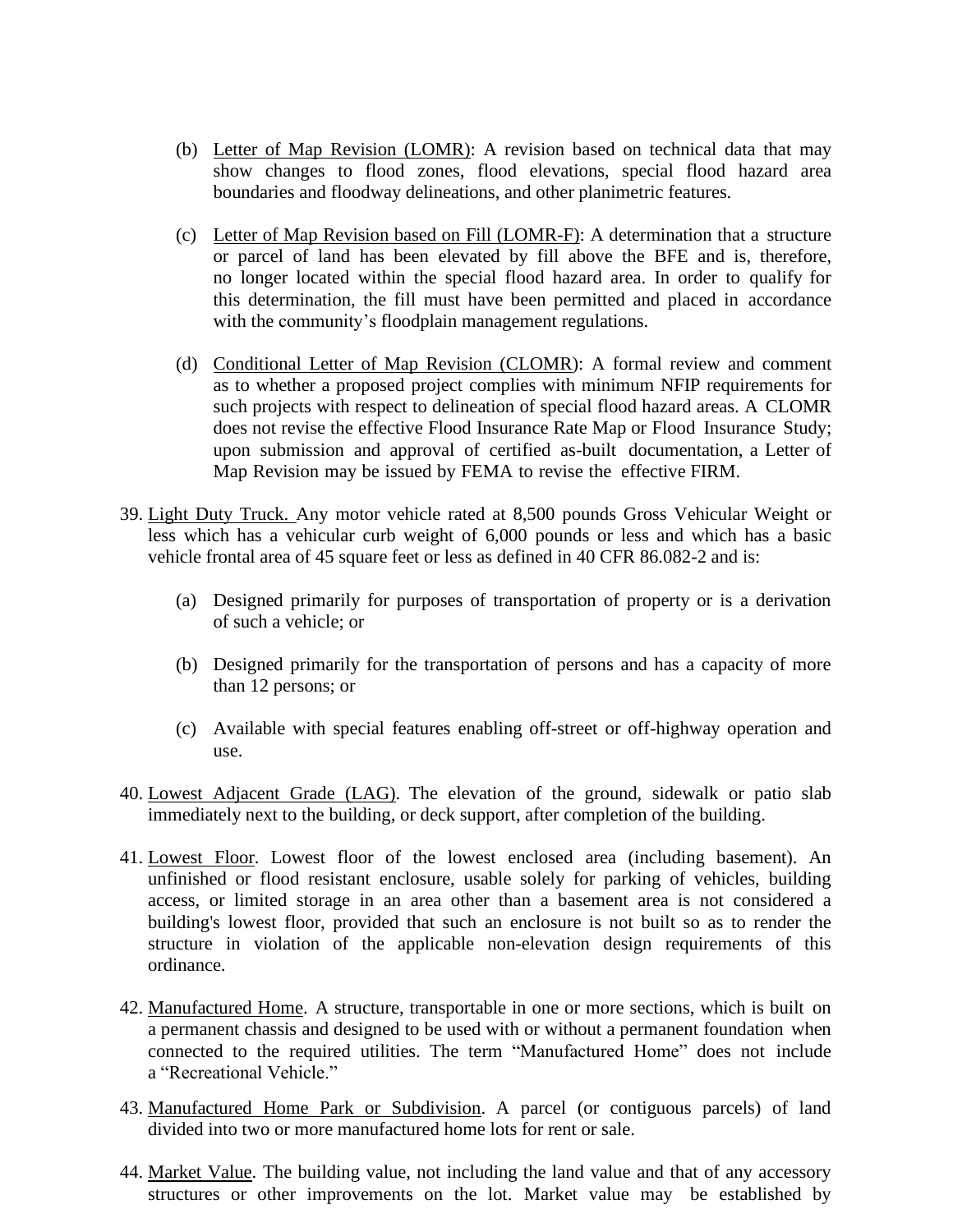- (b) Letter of Map Revision (LOMR): A revision based on technical data that may show changes to flood zones, flood elevations, special flood hazard area boundaries and floodway delineations, and other planimetric features.
- (c) Letter of Map Revision based on Fill (LOMR-F): A determination that a structure or parcel of land has been elevated by fill above the BFE and is, therefore, no longer located within the special flood hazard area. In order to qualify for this determination, the fill must have been permitted and placed in accordance with the community's floodplain management regulations.
- (d) Conditional Letter of Map Revision (CLOMR): A formal review and comment as to whether a proposed project complies with minimum NFIP requirements for such projects with respect to delineation of special flood hazard areas. A CLOMR does not revise the effective Flood Insurance Rate Map or Flood Insurance Study; upon submission and approval of certified as-built documentation, a Letter of Map Revision may be issued by FEMA to revise the effective FIRM.
- 39. Light Duty Truck. Any motor vehicle rated at 8,500 pounds Gross Vehicular Weight or less which has a vehicular curb weight of 6,000 pounds or less and which has a basic vehicle frontal area of 45 square feet or less as defined in 40 CFR 86.082-2 and is:
	- (a) Designed primarily for purposes of transportation of property or is a derivation of such a vehicle; or
	- (b) Designed primarily for the transportation of persons and has a capacity of more than 12 persons; or
	- (c) Available with special features enabling off-street or off-highway operation and use.
- 40. Lowest Adjacent Grade (LAG). The elevation of the ground, sidewalk or patio slab immediately next to the building, or deck support, after completion of the building.
- 41. Lowest Floor. Lowest floor of the lowest enclosed area (including basement). An unfinished or flood resistant enclosure, usable solely for parking of vehicles, building access, or limited storage in an area other than a basement area is not considered a building's lowest floor, provided that such an enclosure is not built so as to render the structure in violation of the applicable non-elevation design requirements of this ordinance.
- 42. Manufactured Home. A structure, transportable in one or more sections, which is built on a permanent chassis and designed to be used with or without a permanent foundation when connected to the required utilities. The term "Manufactured Home" does not include a "Recreational Vehicle."
- 43. Manufactured Home Park or Subdivision. A parcel (or contiguous parcels) of land divided into two or more manufactured home lots for rent or sale.
- 44. Market Value. The building value, not including the land value and that of any accessory structures or other improvements on the lot. Market value may be established by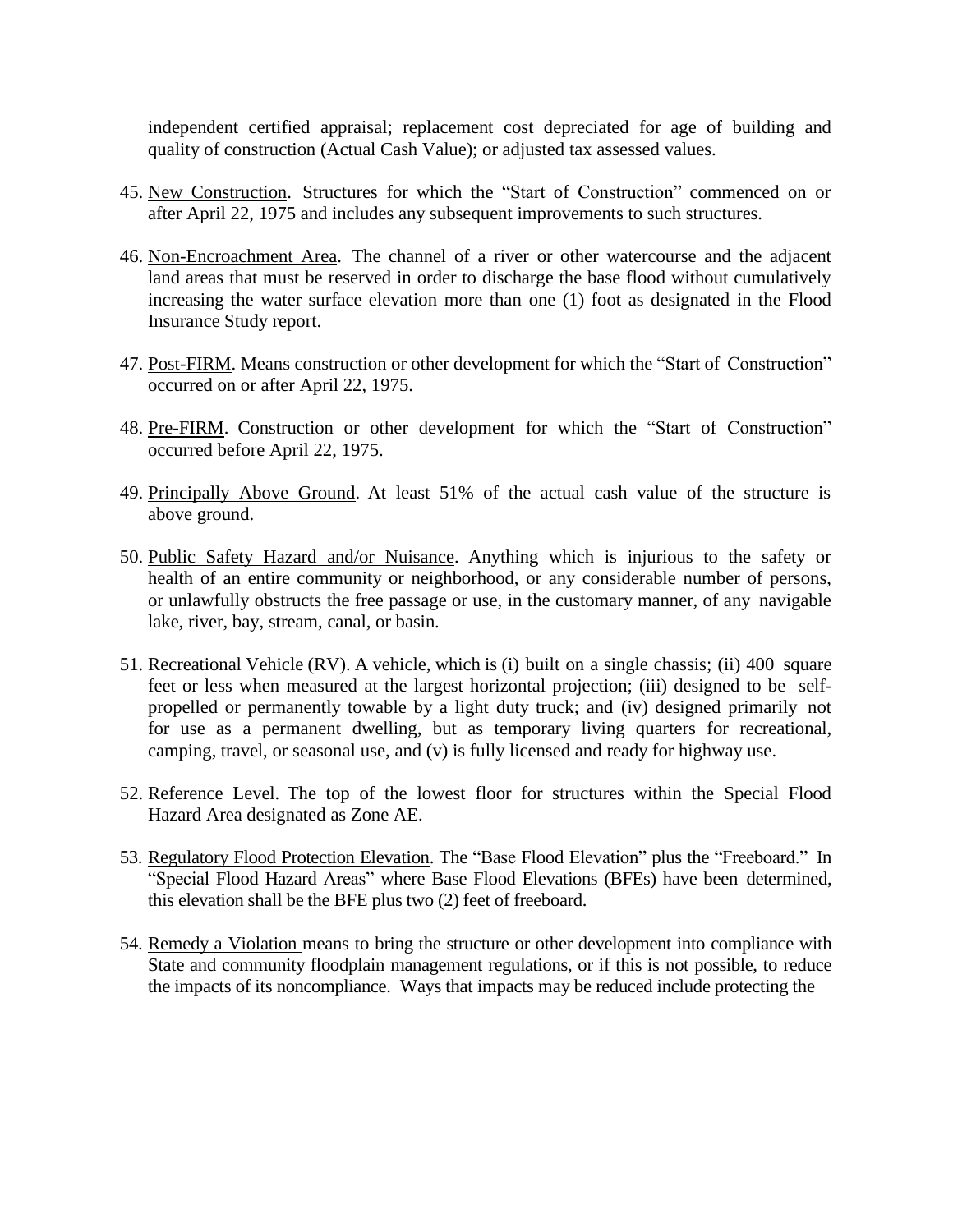independent certified appraisal; replacement cost depreciated for age of building and quality of construction (Actual Cash Value); or adjusted tax assessed values.

- 45. New Construction. Structures for which the "Start of Construction" commenced on or after April 22, 1975 and includes any subsequent improvements to such structures.
- 46. Non-Encroachment Area. The channel of a river or other watercourse and the adjacent land areas that must be reserved in order to discharge the base flood without cumulatively increasing the water surface elevation more than one (1) foot as designated in the Flood Insurance Study report.
- 47. Post-FIRM. Means construction or other development for which the "Start of Construction" occurred on or after April 22, 1975.
- 48. Pre-FIRM. Construction or other development for which the "Start of Construction" occurred before April 22, 1975.
- 49. Principally Above Ground. At least 51% of the actual cash value of the structure is above ground.
- 50. Public Safety Hazard and/or Nuisance. Anything which is injurious to the safety or health of an entire community or neighborhood, or any considerable number of persons, or unlawfully obstructs the free passage or use, in the customary manner, of any navigable lake, river, bay, stream, canal, or basin.
- 51. Recreational Vehicle (RV). A vehicle, which is (i) built on a single chassis; (ii) 400 square feet or less when measured at the largest horizontal projection; (iii) designed to be selfpropelled or permanently towable by a light duty truck; and (iv) designed primarily not for use as a permanent dwelling, but as temporary living quarters for recreational, camping, travel, or seasonal use, and (v) is fully licensed and ready for highway use.
- 52. Reference Level. The top of the lowest floor for structures within the Special Flood Hazard Area designated as Zone AE.
- 53. Regulatory Flood Protection Elevation. The "Base Flood Elevation" plus the "Freeboard." In "Special Flood Hazard Areas" where Base Flood Elevations (BFEs) have been determined, this elevation shall be the BFE plus two (2) feet of freeboard.
- 54. Remedy a Violation means to bring the structure or other development into compliance with State and community floodplain management regulations, or if this is not possible, to reduce the impacts of its noncompliance. Ways that impacts may be reduced include protecting the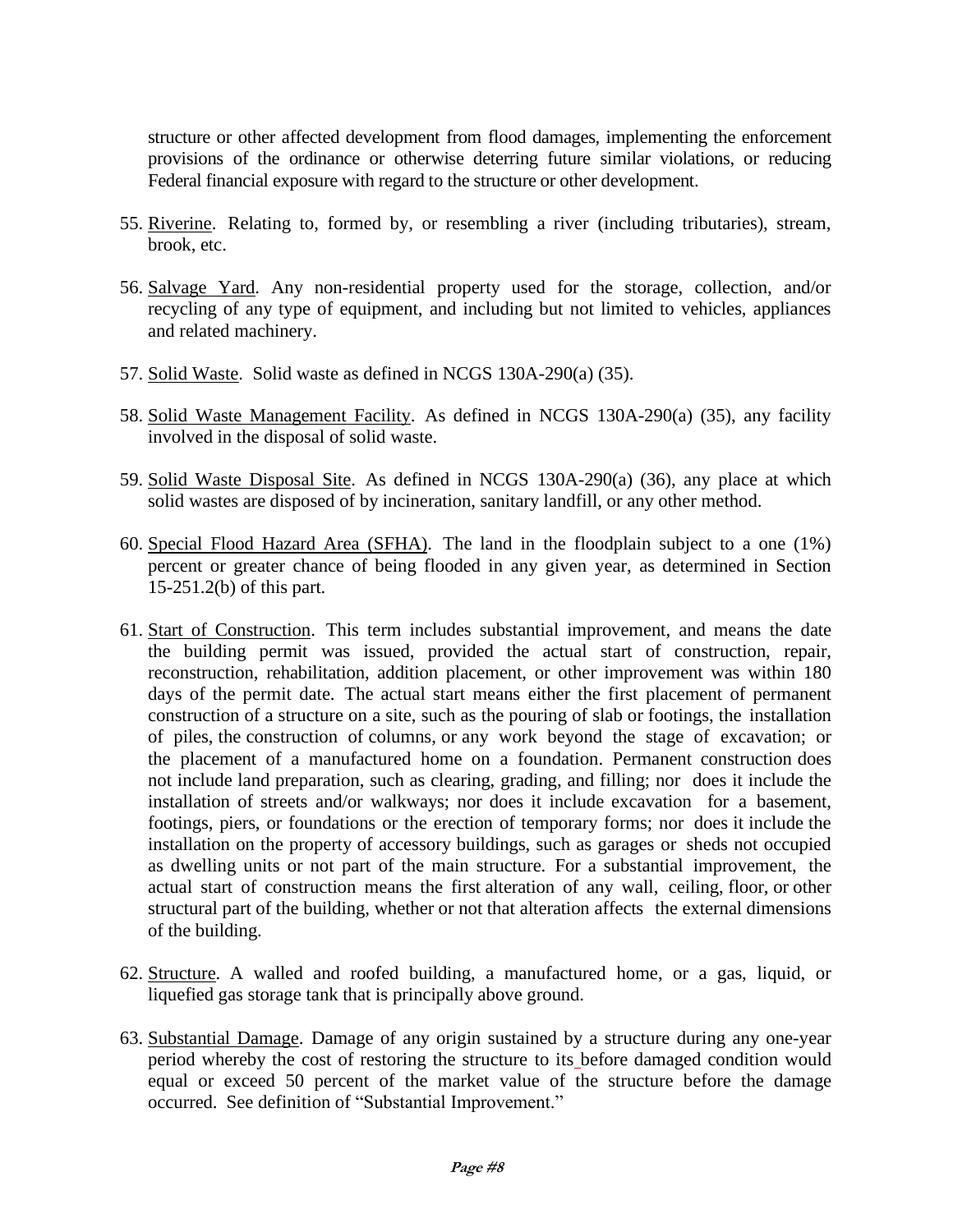structure or other affected development from flood damages, implementing the enforcement provisions of the ordinance or otherwise deterring future similar violations, or reducing Federal financial exposure with regard to the structure or other development.

- 55. Riverine. Relating to, formed by, or resembling a river (including tributaries), stream, brook, etc.
- 56. Salvage Yard. Any non-residential property used for the storage, collection, and/or recycling of any type of equipment, and including but not limited to vehicles, appliances and related machinery.
- 57. Solid Waste. Solid waste as defined in NCGS 130A-290(a) (35).
- 58. Solid Waste Management Facility. As defined in NCGS 130A-290(a) (35), any facility involved in the disposal of solid waste.
- 59. Solid Waste Disposal Site. As defined in NCGS 130A-290(a) (36), any place at which solid wastes are disposed of by incineration, sanitary landfill, or any other method.
- 60. Special Flood Hazard Area (SFHA). The land in the floodplain subject to a one (1%) percent or greater chance of being flooded in any given year, as determined in Section 15-251.2(b) of this part.
- 61. Start of Construction. This term includes substantial improvement, and means the date the building permit was issued, provided the actual start of construction, repair, reconstruction, rehabilitation, addition placement, or other improvement was within 180 days of the permit date. The actual start means either the first placement of permanent construction of a structure on a site, such as the pouring of slab or footings, the installation of piles, the construction of columns, or any work beyond the stage of excavation; or the placement of a manufactured home on a foundation. Permanent construction does not include land preparation, such as clearing, grading, and filling; nor does it include the installation of streets and/or walkways; nor does it include excavation for a basement, footings, piers, or foundations or the erection of temporary forms; nor does it include the installation on the property of accessory buildings, such as garages or sheds not occupied as dwelling units or not part of the main structure. For a substantial improvement, the actual start of construction means the first alteration of any wall, ceiling, floor, or other structural part of the building, whether or not that alteration affects the external dimensions of the building.
- 62. Structure. A walled and roofed building, a manufactured home, or a gas, liquid, or liquefied gas storage tank that is principally above ground.
- 63. Substantial Damage. Damage of any origin sustained by a structure during any one-year period whereby the cost of restoring the structure to its before damaged condition would equal or exceed 50 percent of the market value of the structure before the damage occurred. See definition of "Substantial Improvement."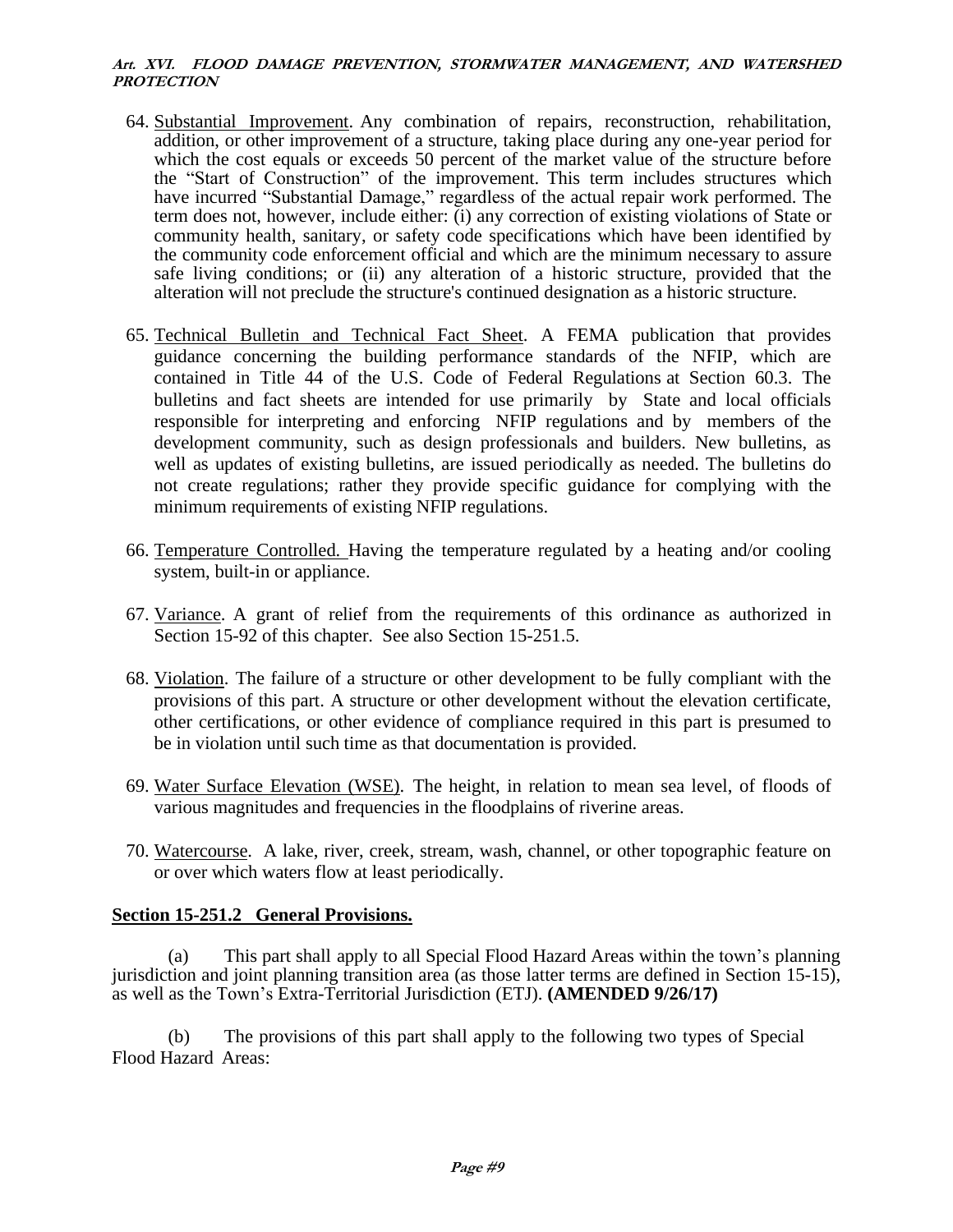- 64. Substantial Improvement. Any combination of repairs, reconstruction, rehabilitation, addition, or other improvement of a structure, taking place during any one-year period for which the cost equals or exceeds 50 percent of the market value of the structure before the "Start of Construction" of the improvement. This term includes structures which have incurred "Substantial Damage," regardless of the actual repair work performed. The term does not, however, include either: (i) any correction of existing violations of State or community health, sanitary, or safety code specifications which have been identified by the community code enforcement official and which are the minimum necessary to assure safe living conditions; or (ii) any alteration of a historic structure, provided that the alteration will not preclude the structure's continued designation as a historic structure.
- 65. Technical Bulletin and Technical Fact Sheet. A FEMA publication that provides guidance concerning the building performance standards of the NFIP, which are contained in Title 44 of the U.S. Code of Federal Regulations at Section 60.3. The bulletins and fact sheets are intended for use primarily by State and local officials responsible for interpreting and enforcing NFIP regulations and by members of the development community, such as design professionals and builders. New bulletins, as well as updates of existing bulletins, are issued periodically as needed. The bulletins do not create regulations; rather they provide specific guidance for complying with the minimum requirements of existing NFIP regulations.
- 66. Temperature Controlled. Having the temperature regulated by a heating and/or cooling system, built-in or appliance.
- 67. Variance. A grant of relief from the requirements of this ordinance as authorized in Section 15-92 of this chapter. See also Section 15-251.5.
- 68. Violation. The failure of a structure or other development to be fully compliant with the provisions of this part. A structure or other development without the elevation certificate, other certifications, or other evidence of compliance required in this part is presumed to be in violation until such time as that documentation is provided.
- 69. Water Surface Elevation (WSE). The height, in relation to mean sea level, of floods of various magnitudes and frequencies in the floodplains of riverine areas.
- 70. Watercourse. A lake, river, creek, stream, wash, channel, or other topographic feature on or over which waters flow at least periodically.

### **Section 15-251.2 General Provisions.**

(a) This part shall apply to all Special Flood Hazard Areas within the town's planning jurisdiction and joint planning transition area (as those latter terms are defined in Section 15-15), as well as the Town's Extra-Territorial Jurisdiction (ETJ). **(AMENDED 9/26/17)**

(b) The provisions of this part shall apply to the following two types of Special Flood Hazard Areas: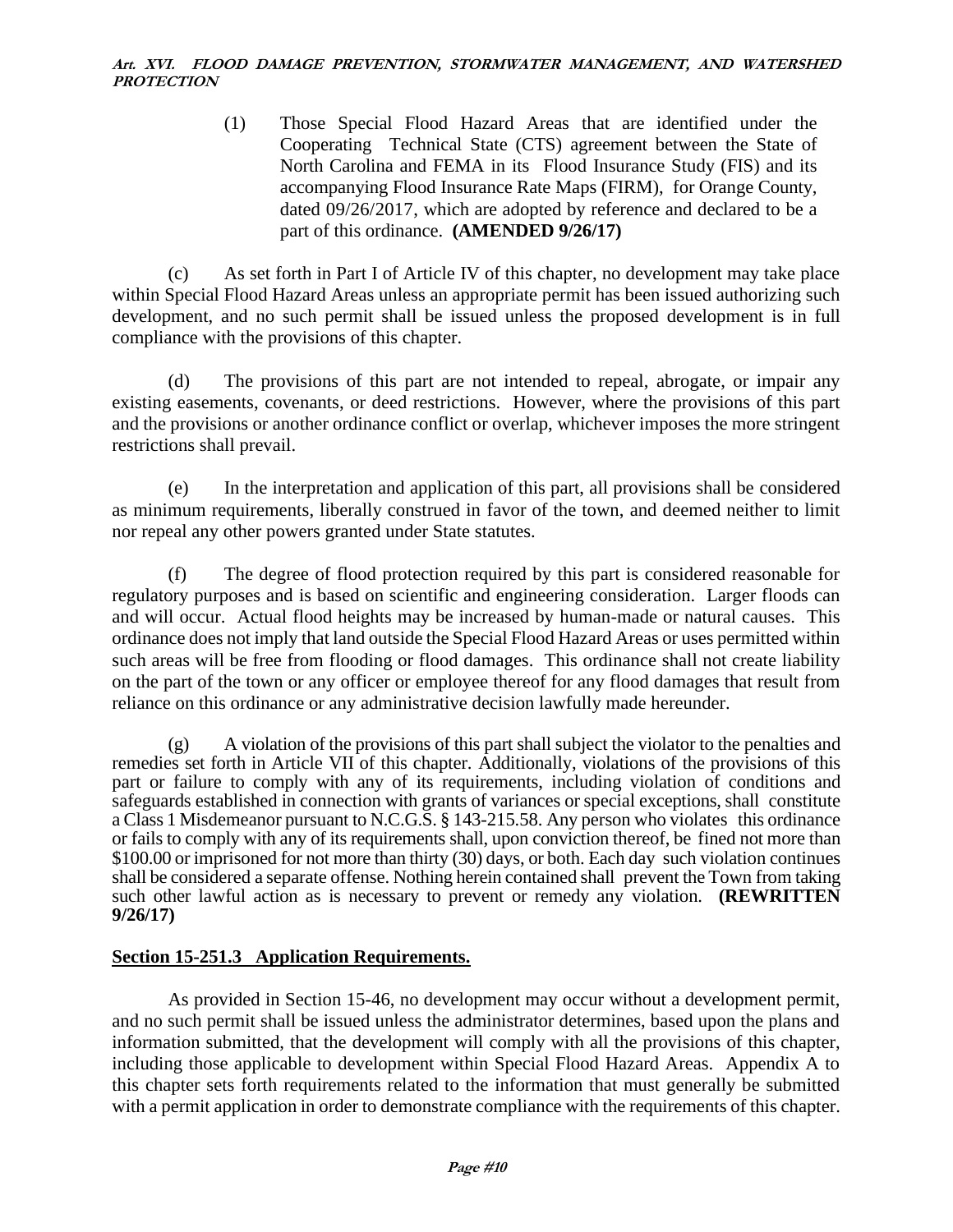(1) Those Special Flood Hazard Areas that are identified under the Cooperating Technical State (CTS) agreement between the State of North Carolina and FEMA in its Flood Insurance Study (FIS) and its accompanying Flood Insurance Rate Maps (FIRM), for Orange County, dated 09/26/2017, which are adopted by reference and declared to be a part of this ordinance. **(AMENDED 9/26/17)**

(c) As set forth in Part I of Article IV of this chapter, no development may take place within Special Flood Hazard Areas unless an appropriate permit has been issued authorizing such development, and no such permit shall be issued unless the proposed development is in full compliance with the provisions of this chapter.

(d) The provisions of this part are not intended to repeal, abrogate, or impair any existing easements, covenants, or deed restrictions. However, where the provisions of this part and the provisions or another ordinance conflict or overlap, whichever imposes the more stringent restrictions shall prevail.

(e) In the interpretation and application of this part, all provisions shall be considered as minimum requirements, liberally construed in favor of the town, and deemed neither to limit nor repeal any other powers granted under State statutes.

(f) The degree of flood protection required by this part is considered reasonable for regulatory purposes and is based on scientific and engineering consideration. Larger floods can and will occur. Actual flood heights may be increased by human-made or natural causes. This ordinance does not imply that land outside the Special Flood Hazard Areas or uses permitted within such areas will be free from flooding or flood damages. This ordinance shall not create liability on the part of the town or any officer or employee thereof for any flood damages that result from reliance on this ordinance or any administrative decision lawfully made hereunder.

(g) A violation of the provisions of this part shall subject the violator to the penalties and remedies set forth in Article VII of this chapter. Additionally, violations of the provisions of this part or failure to comply with any of its requirements, including violation of conditions and safeguards established in connection with grants of variances or special exceptions, shall constitute a Class 1 Misdemeanor pursuant to N.C.G.S. § 143-215.58. Any person who violates this ordinance or fails to comply with any of its requirements shall, upon conviction thereof, be fined not more than \$100.00 or imprisoned for not more than thirty (30) days, or both. Each day such violation continues shall be considered a separate offense. Nothing herein contained shall prevent the Town from taking such other lawful action as is necessary to prevent or remedy any violation. **(REWRITTEN 9/26/17)**

# **Section 15-251.3 Application Requirements.**

As provided in Section 15-46, no development may occur without a development permit, and no such permit shall be issued unless the administrator determines, based upon the plans and information submitted, that the development will comply with all the provisions of this chapter, including those applicable to development within Special Flood Hazard Areas. Appendix A to this chapter sets forth requirements related to the information that must generally be submitted with a permit application in order to demonstrate compliance with the requirements of this chapter.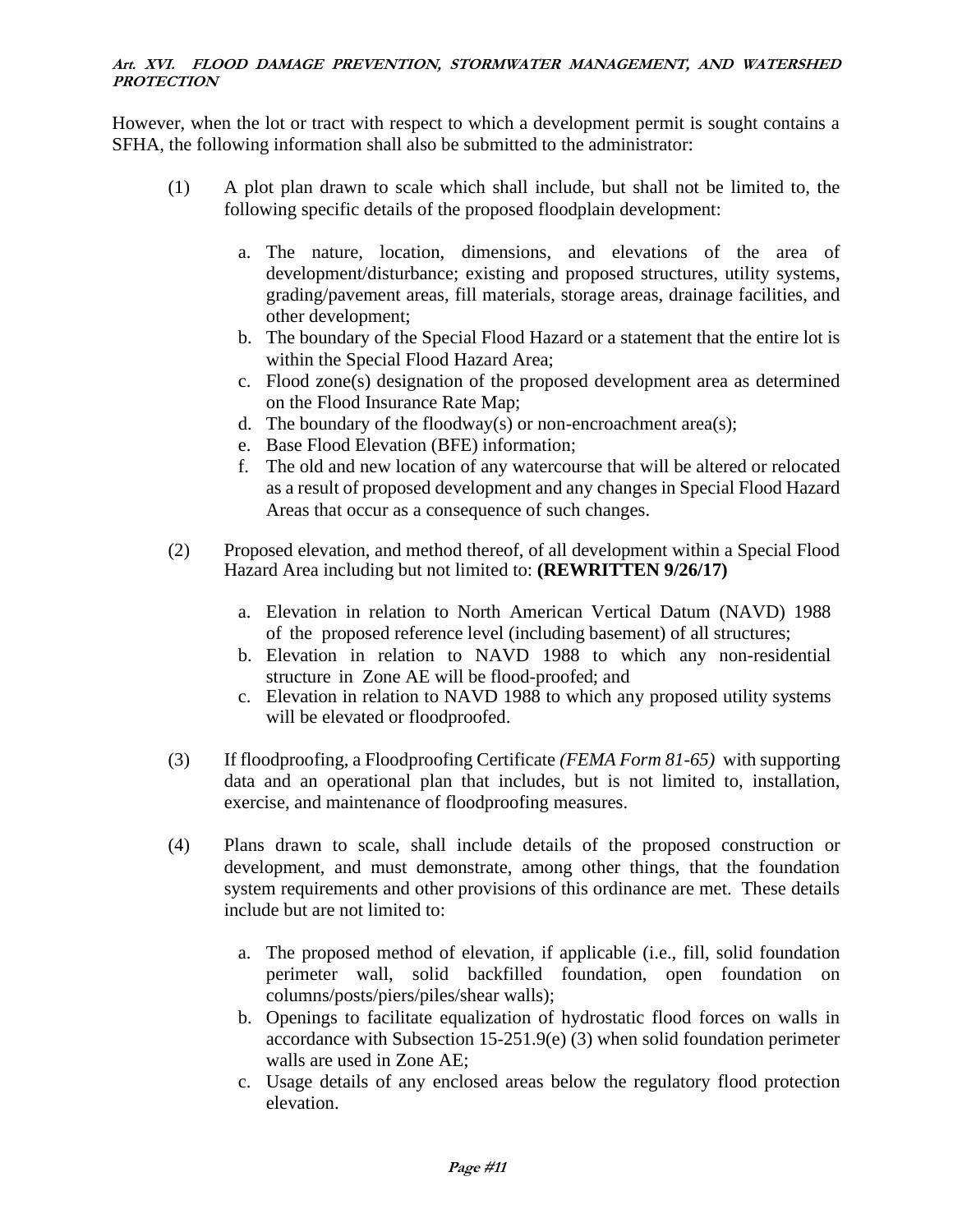However, when the lot or tract with respect to which a development permit is sought contains a SFHA, the following information shall also be submitted to the administrator:

- (1) A plot plan drawn to scale which shall include, but shall not be limited to, the following specific details of the proposed floodplain development:
	- a. The nature, location, dimensions, and elevations of the area of development/disturbance; existing and proposed structures, utility systems, grading/pavement areas, fill materials, storage areas, drainage facilities, and other development;
	- b. The boundary of the Special Flood Hazard or a statement that the entire lot is within the Special Flood Hazard Area;
	- c. Flood zone(s) designation of the proposed development area as determined on the Flood Insurance Rate Map;
	- d. The boundary of the floodway(s) or non-encroachment area(s);
	- e. Base Flood Elevation (BFE) information;
	- f. The old and new location of any watercourse that will be altered or relocated as a result of proposed development and any changes in Special Flood Hazard Areas that occur as a consequence of such changes.
- (2) Proposed elevation, and method thereof, of all development within a Special Flood Hazard Area including but not limited to: **(REWRITTEN 9/26/17)**
	- a. Elevation in relation to North American Vertical Datum (NAVD) 1988 of the proposed reference level (including basement) of all structures;
	- b. Elevation in relation to NAVD 1988 to which any non-residential structure in Zone AE will be flood-proofed; and
	- c. Elevation in relation to NAVD 1988 to which any proposed utility systems will be elevated or floodproofed.
- (3) If floodproofing, a Floodproofing Certificate *(FEMA Form 81-65)* with supporting data and an operational plan that includes, but is not limited to, installation, exercise, and maintenance of floodproofing measures.
- (4) Plans drawn to scale, shall include details of the proposed construction or development, and must demonstrate, among other things, that the foundation system requirements and other provisions of this ordinance are met. These details include but are not limited to:
	- a. The proposed method of elevation, if applicable (i.e., fill, solid foundation perimeter wall, solid backfilled foundation, open foundation on columns/posts/piers/piles/shear walls);
	- b. Openings to facilitate equalization of hydrostatic flood forces on walls in accordance with Subsection 15-251.9(e) (3) when solid foundation perimeter walls are used in Zone AE;
	- c. Usage details of any enclosed areas below the regulatory flood protection elevation.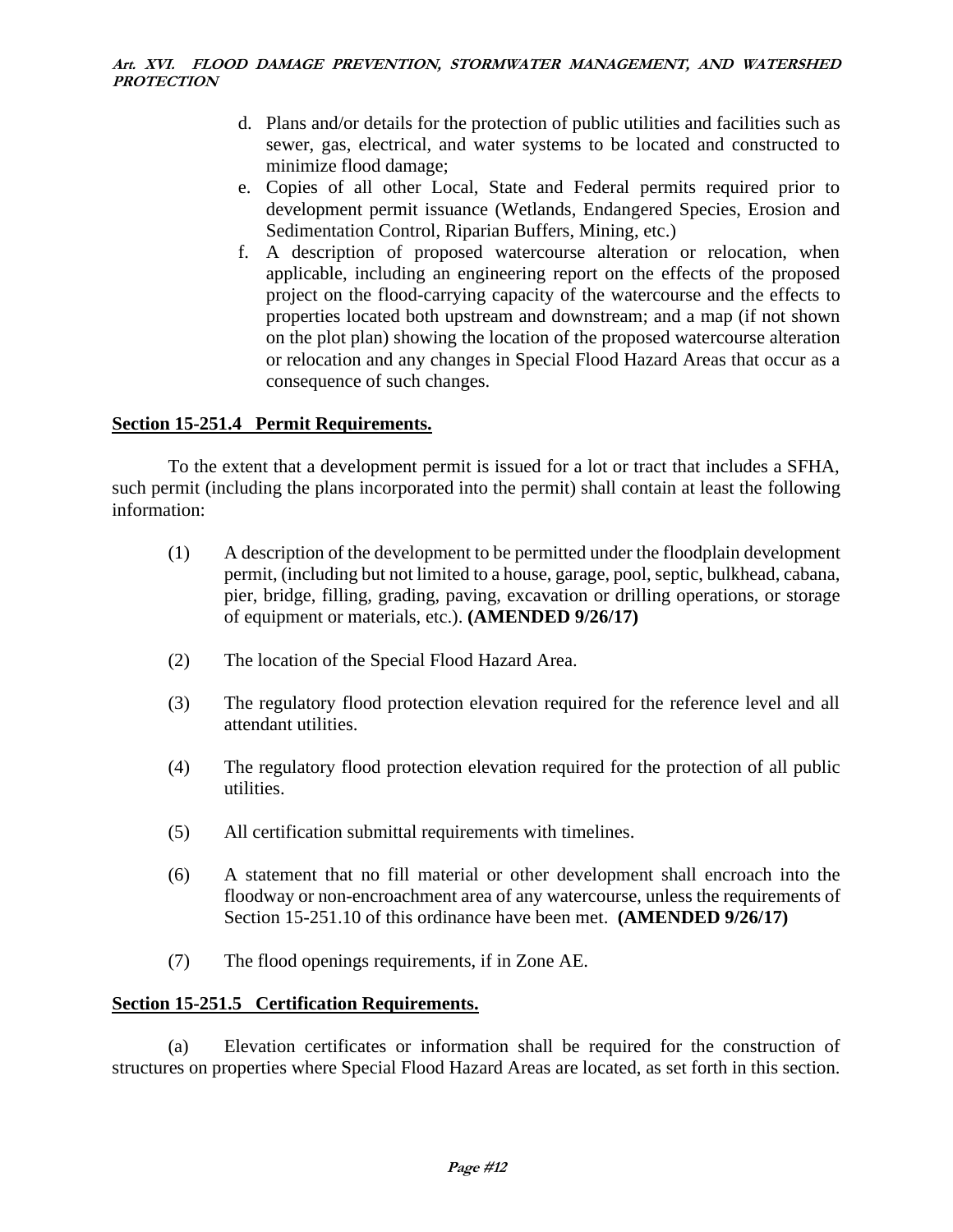- d. Plans and/or details for the protection of public utilities and facilities such as sewer, gas, electrical, and water systems to be located and constructed to minimize flood damage;
- e. Copies of all other Local, State and Federal permits required prior to development permit issuance (Wetlands, Endangered Species, Erosion and Sedimentation Control, Riparian Buffers, Mining, etc.)
- f. A description of proposed watercourse alteration or relocation, when applicable, including an engineering report on the effects of the proposed project on the flood-carrying capacity of the watercourse and the effects to properties located both upstream and downstream; and a map (if not shown on the plot plan) showing the location of the proposed watercourse alteration or relocation and any changes in Special Flood Hazard Areas that occur as a consequence of such changes.

# **Section 15-251.4 Permit Requirements.**

To the extent that a development permit is issued for a lot or tract that includes a SFHA, such permit (including the plans incorporated into the permit) shall contain at least the following information:

- (1) A description of the development to be permitted under the floodplain development permit, (including but not limited to a house, garage, pool, septic, bulkhead, cabana, pier, bridge, filling, grading, paving, excavation or drilling operations, or storage of equipment or materials, etc.). **(AMENDED 9/26/17)**
- (2) The location of the Special Flood Hazard Area.
- (3) The regulatory flood protection elevation required for the reference level and all attendant utilities.
- (4) The regulatory flood protection elevation required for the protection of all public utilities.
- (5) All certification submittal requirements with timelines.
- (6) A statement that no fill material or other development shall encroach into the floodway or non-encroachment area of any watercourse, unless the requirements of Section 15-251.10 of this ordinance have been met. **(AMENDED 9/26/17)**
- (7) The flood openings requirements, if in Zone AE.

### **Section 15-251.5 Certification Requirements.**

(a) Elevation certificates or information shall be required for the construction of structures on properties where Special Flood Hazard Areas are located, as set forth in this section.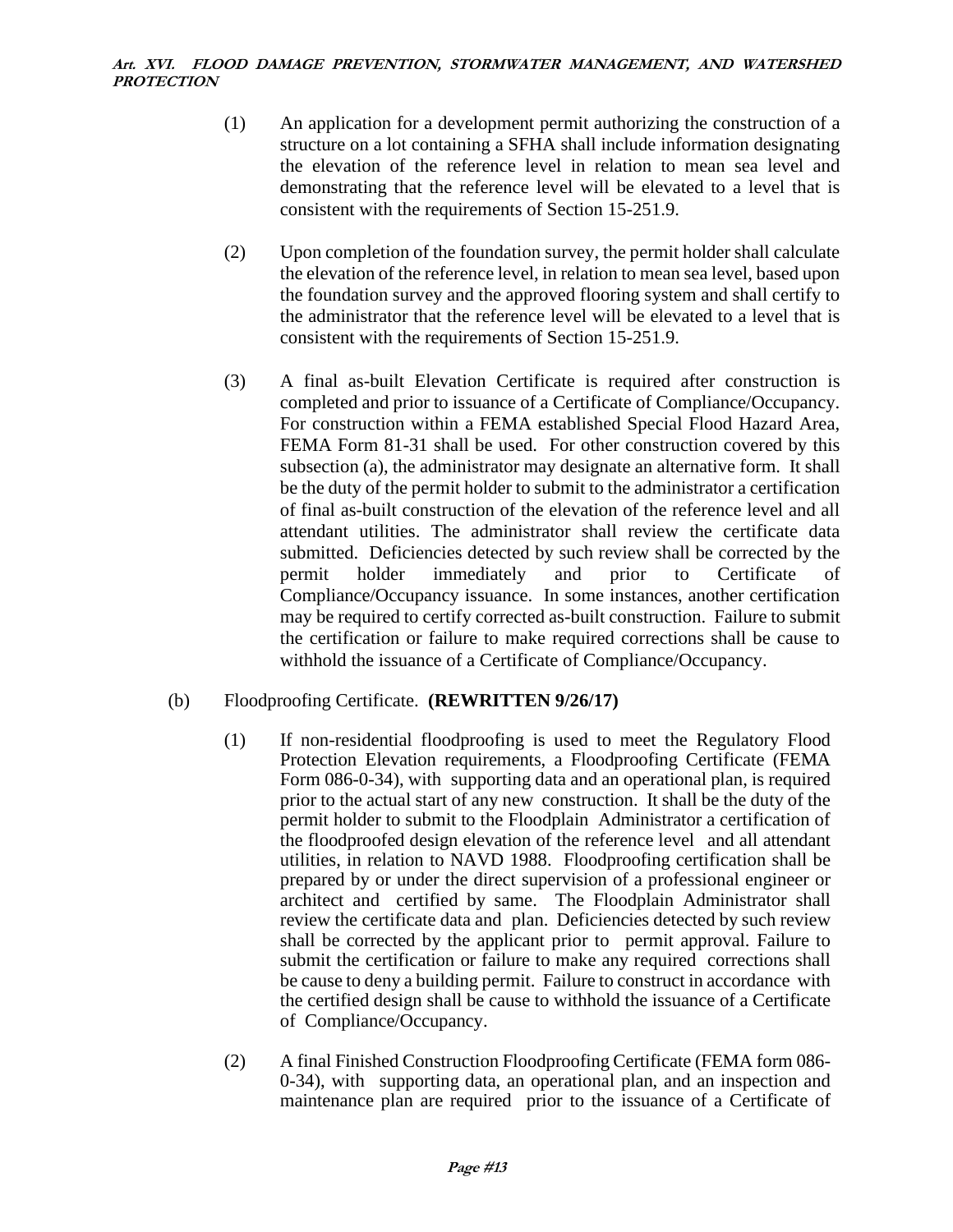- (1) An application for a development permit authorizing the construction of a structure on a lot containing a SFHA shall include information designating the elevation of the reference level in relation to mean sea level and demonstrating that the reference level will be elevated to a level that is consistent with the requirements of Section 15-251.9.
- (2) Upon completion of the foundation survey, the permit holder shall calculate the elevation of the reference level, in relation to mean sea level, based upon the foundation survey and the approved flooring system and shall certify to the administrator that the reference level will be elevated to a level that is consistent with the requirements of Section 15-251.9.
- (3) A final as-built Elevation Certificate is required after construction is completed and prior to issuance of a Certificate of Compliance/Occupancy. For construction within a FEMA established Special Flood Hazard Area, FEMA Form 81-31 shall be used. For other construction covered by this subsection (a), the administrator may designate an alternative form. It shall be the duty of the permit holder to submit to the administrator a certification of final as-built construction of the elevation of the reference level and all attendant utilities. The administrator shall review the certificate data submitted. Deficiencies detected by such review shall be corrected by the permit holder immediately and prior to Certificate of Compliance/Occupancy issuance. In some instances, another certification may be required to certify corrected as-built construction. Failure to submit the certification or failure to make required corrections shall be cause to withhold the issuance of a Certificate of Compliance/Occupancy.

# (b) Floodproofing Certificate. **(REWRITTEN 9/26/17)**

- (1) If non-residential floodproofing is used to meet the Regulatory Flood Protection Elevation requirements, a Floodproofing Certificate (FEMA Form 086-0-34), with supporting data and an operational plan, is required prior to the actual start of any new construction. It shall be the duty of the permit holder to submit to the Floodplain Administrator a certification of the floodproofed design elevation of the reference level and all attendant utilities, in relation to NAVD 1988. Floodproofing certification shall be prepared by or under the direct supervision of a professional engineer or architect and certified by same. The Floodplain Administrator shall review the certificate data and plan. Deficiencies detected by such review shall be corrected by the applicant prior to permit approval. Failure to submit the certification or failure to make any required corrections shall be cause to deny a building permit. Failure to construct in accordance with the certified design shall be cause to withhold the issuance of a Certificate of Compliance/Occupancy.
- (2) A final Finished Construction Floodproofing Certificate (FEMA form 086- 0-34), with supporting data, an operational plan, and an inspection and maintenance plan are required prior to the issuance of a Certificate of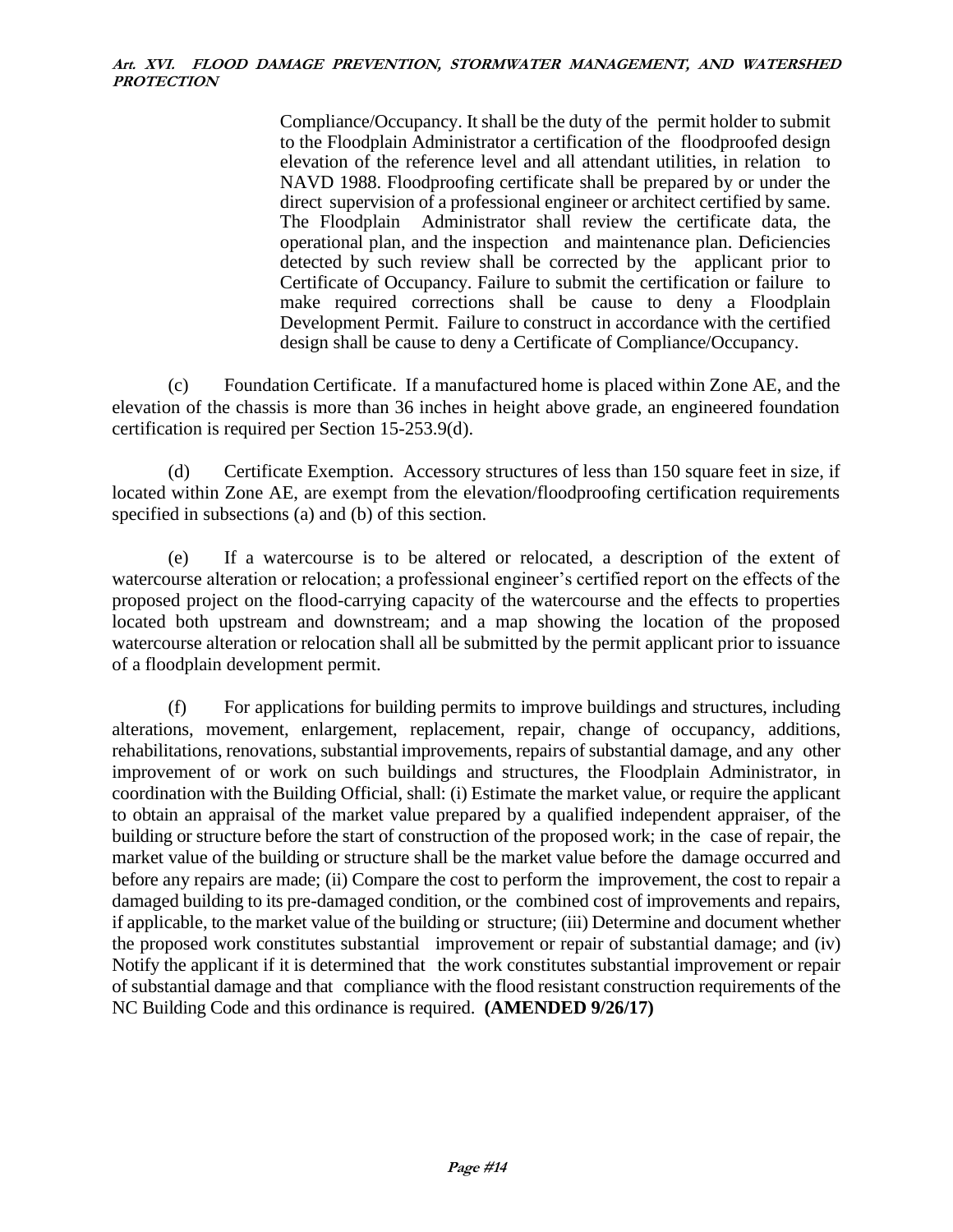Compliance/Occupancy. It shall be the duty of the permit holder to submit to the Floodplain Administrator a certification of the floodproofed design elevation of the reference level and all attendant utilities, in relation to NAVD 1988. Floodproofing certificate shall be prepared by or under the direct supervision of a professional engineer or architect certified by same. The Floodplain Administrator shall review the certificate data, the operational plan, and the inspection and maintenance plan. Deficiencies detected by such review shall be corrected by the applicant prior to Certificate of Occupancy. Failure to submit the certification or failure to make required corrections shall be cause to deny a Floodplain Development Permit. Failure to construct in accordance with the certified design shall be cause to deny a Certificate of Compliance/Occupancy.

(c) Foundation Certificate. If a manufactured home is placed within Zone AE, and the elevation of the chassis is more than 36 inches in height above grade, an engineered foundation certification is required per Section 15-253.9(d).

(d) Certificate Exemption. Accessory structures of less than 150 square feet in size, if located within Zone AE, are exempt from the elevation/floodproofing certification requirements specified in subsections (a) and (b) of this section.

(e) If a watercourse is to be altered or relocated, a description of the extent of watercourse alteration or relocation; a professional engineer's certified report on the effects of the proposed project on the flood-carrying capacity of the watercourse and the effects to properties located both upstream and downstream; and a map showing the location of the proposed watercourse alteration or relocation shall all be submitted by the permit applicant prior to issuance of a floodplain development permit.

(f) For applications for building permits to improve buildings and structures, including alterations, movement, enlargement, replacement, repair, change of occupancy, additions, rehabilitations, renovations, substantial improvements, repairs of substantial damage, and any other improvement of or work on such buildings and structures, the Floodplain Administrator, in coordination with the Building Official, shall: (i) Estimate the market value, or require the applicant to obtain an appraisal of the market value prepared by a qualified independent appraiser, of the building or structure before the start of construction of the proposed work; in the case of repair, the market value of the building or structure shall be the market value before the damage occurred and before any repairs are made; (ii) Compare the cost to perform the improvement, the cost to repair a damaged building to its pre-damaged condition, or the combined cost of improvements and repairs, if applicable, to the market value of the building or structure; (iii) Determine and document whether the proposed work constitutes substantial improvement or repair of substantial damage; and (iv) Notify the applicant if it is determined that the work constitutes substantial improvement or repair of substantial damage and that compliance with the flood resistant construction requirements of the NC Building Code and this ordinance is required. **(AMENDED 9/26/17)**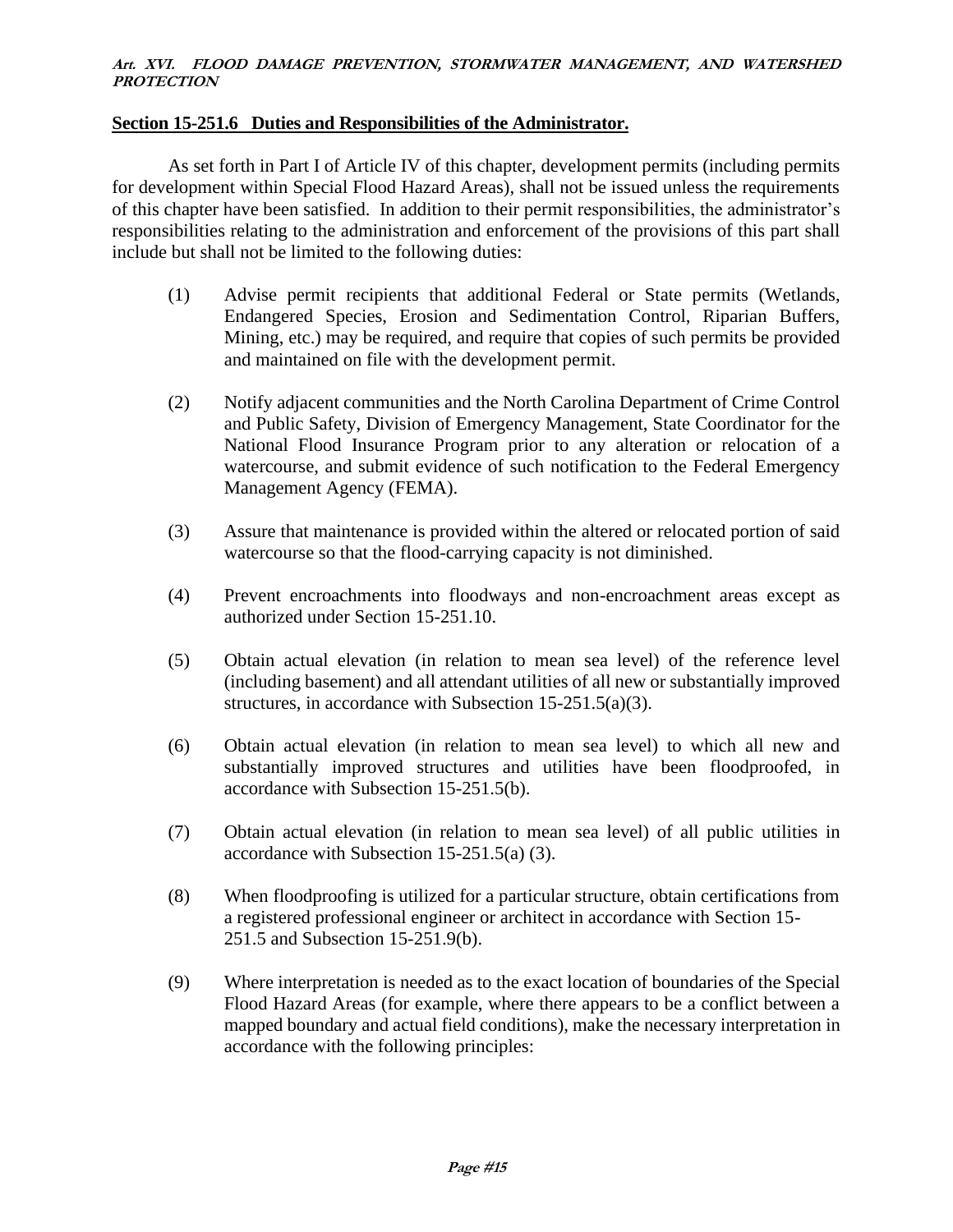### **Section 15-251.6 Duties and Responsibilities of the Administrator.**

As set forth in Part I of Article IV of this chapter, development permits (including permits for development within Special Flood Hazard Areas), shall not be issued unless the requirements of this chapter have been satisfied. In addition to their permit responsibilities, the administrator's responsibilities relating to the administration and enforcement of the provisions of this part shall include but shall not be limited to the following duties:

- (1) Advise permit recipients that additional Federal or State permits (Wetlands, Endangered Species, Erosion and Sedimentation Control, Riparian Buffers, Mining, etc.) may be required, and require that copies of such permits be provided and maintained on file with the development permit.
- (2) Notify adjacent communities and the North Carolina Department of Crime Control and Public Safety, Division of Emergency Management, State Coordinator for the National Flood Insurance Program prior to any alteration or relocation of a watercourse, and submit evidence of such notification to the Federal Emergency Management Agency (FEMA).
- (3) Assure that maintenance is provided within the altered or relocated portion of said watercourse so that the flood-carrying capacity is not diminished.
- (4) Prevent encroachments into floodways and non-encroachment areas except as authorized under Section 15-251.10.
- (5) Obtain actual elevation (in relation to mean sea level) of the reference level (including basement) and all attendant utilities of all new or substantially improved structures, in accordance with Subsection 15-251.5(a)(3).
- (6) Obtain actual elevation (in relation to mean sea level) to which all new and substantially improved structures and utilities have been floodproofed, in accordance with Subsection 15-251.5(b).
- (7) Obtain actual elevation (in relation to mean sea level) of all public utilities in accordance with Subsection 15-251.5(a) (3).
- (8) When floodproofing is utilized for a particular structure, obtain certifications from a registered professional engineer or architect in accordance with Section 15- 251.5 and Subsection 15-251.9(b).
- (9) Where interpretation is needed as to the exact location of boundaries of the Special Flood Hazard Areas (for example, where there appears to be a conflict between a mapped boundary and actual field conditions), make the necessary interpretation in accordance with the following principles: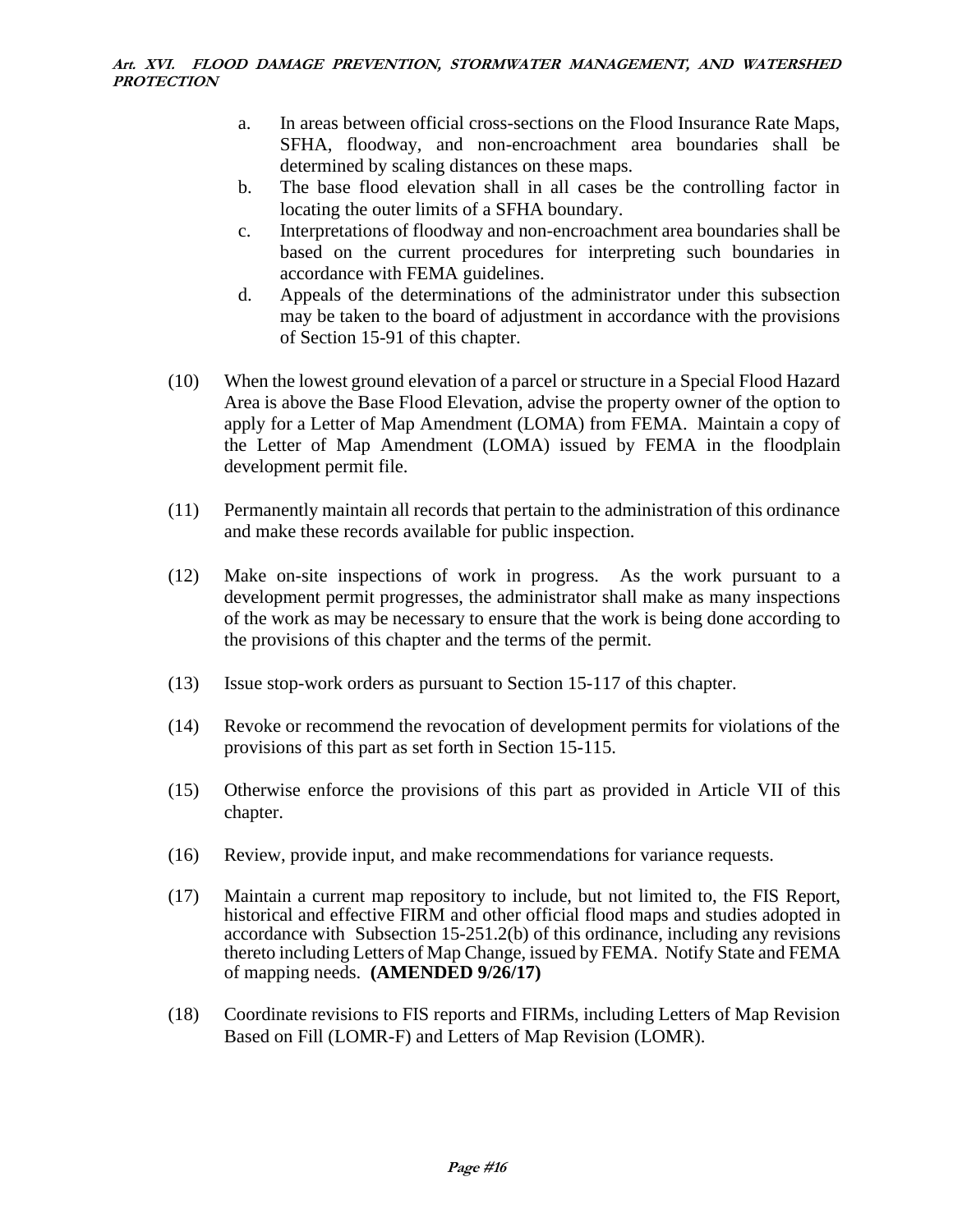- a. In areas between official cross-sections on the Flood Insurance Rate Maps, SFHA, floodway, and non-encroachment area boundaries shall be determined by scaling distances on these maps.
- b. The base flood elevation shall in all cases be the controlling factor in locating the outer limits of a SFHA boundary.
- c. Interpretations of floodway and non-encroachment area boundaries shall be based on the current procedures for interpreting such boundaries in accordance with FEMA guidelines.
- d. Appeals of the determinations of the administrator under this subsection may be taken to the board of adjustment in accordance with the provisions of Section 15-91 of this chapter.
- (10) When the lowest ground elevation of a parcel or structure in a Special Flood Hazard Area is above the Base Flood Elevation, advise the property owner of the option to apply for a Letter of Map Amendment (LOMA) from FEMA. Maintain a copy of the Letter of Map Amendment (LOMA) issued by FEMA in the floodplain development permit file.
- (11) Permanently maintain all records that pertain to the administration of this ordinance and make these records available for public inspection.
- (12) Make on-site inspections of work in progress. As the work pursuant to a development permit progresses, the administrator shall make as many inspections of the work as may be necessary to ensure that the work is being done according to the provisions of this chapter and the terms of the permit.
- (13) Issue stop-work orders as pursuant to Section 15-117 of this chapter.
- (14) Revoke or recommend the revocation of development permits for violations of the provisions of this part as set forth in Section 15-115.
- (15) Otherwise enforce the provisions of this part as provided in Article VII of this chapter.
- (16) Review, provide input, and make recommendations for variance requests.
- (17) Maintain a current map repository to include, but not limited to, the FIS Report, historical and effective FIRM and other official flood maps and studies adopted in accordance with Subsection 15-251.2(b) of this ordinance, including any revisions thereto including Letters of Map Change, issued by FEMA. Notify State and FEMA of mapping needs. **(AMENDED 9/26/17)**
- (18) Coordinate revisions to FIS reports and FIRMs, including Letters of Map Revision Based on Fill (LOMR-F) and Letters of Map Revision (LOMR).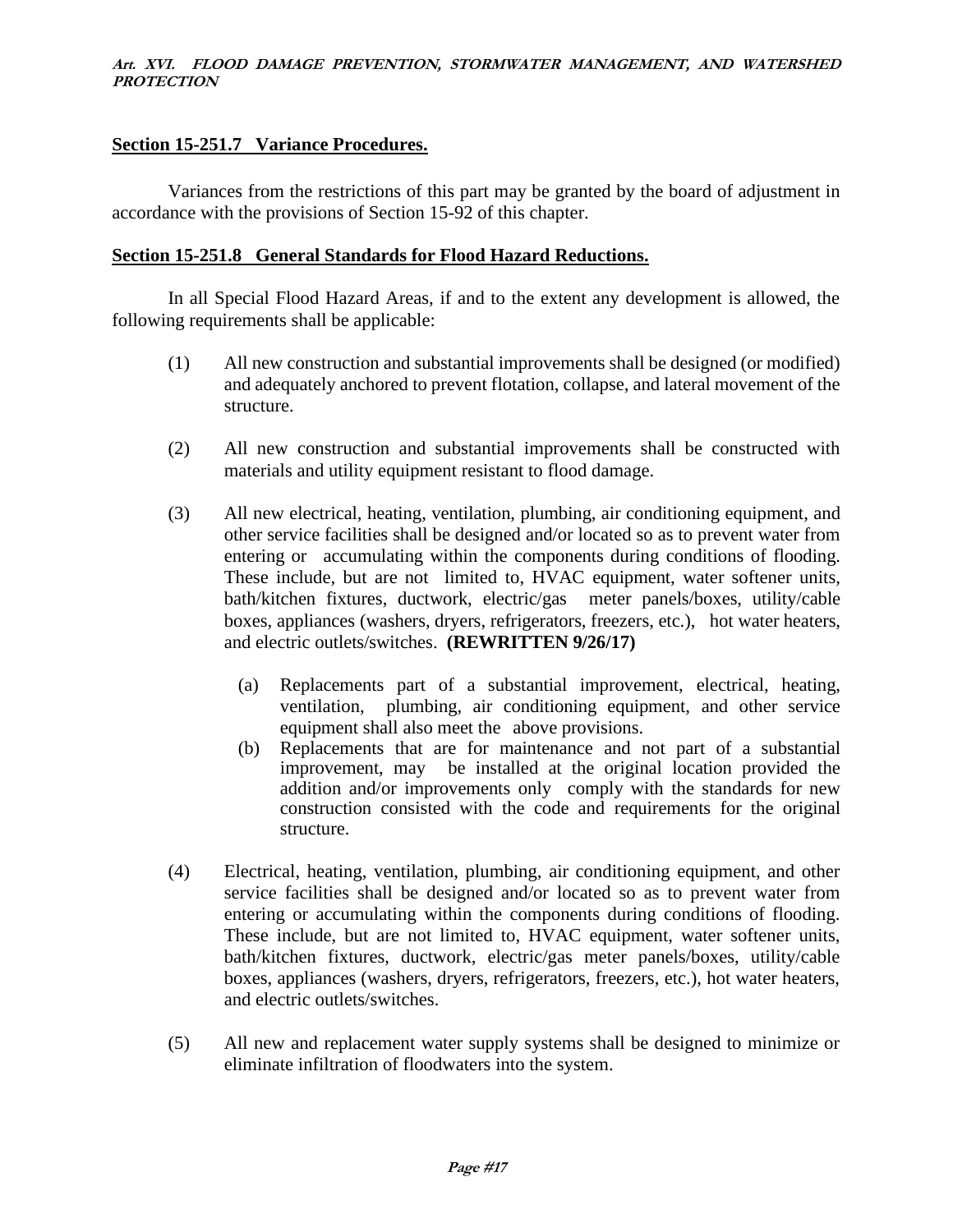### **Section 15-251.7 Variance Procedures.**

Variances from the restrictions of this part may be granted by the board of adjustment in accordance with the provisions of Section 15-92 of this chapter.

### **Section 15-251.8 General Standards for Flood Hazard Reductions.**

In all Special Flood Hazard Areas, if and to the extent any development is allowed, the following requirements shall be applicable:

- (1) All new construction and substantial improvements shall be designed (or modified) and adequately anchored to prevent flotation, collapse, and lateral movement of the structure.
- (2) All new construction and substantial improvements shall be constructed with materials and utility equipment resistant to flood damage.
- (3) All new electrical, heating, ventilation, plumbing, air conditioning equipment, and other service facilities shall be designed and/or located so as to prevent water from entering or accumulating within the components during conditions of flooding. These include, but are not limited to, HVAC equipment, water softener units, bath/kitchen fixtures, ductwork, electric/gas meter panels/boxes, utility/cable boxes, appliances (washers, dryers, refrigerators, freezers, etc.), hot water heaters, and electric outlets/switches. **(REWRITTEN 9/26/17)**
	- (a) Replacements part of a substantial improvement, electrical, heating, ventilation, plumbing, air conditioning equipment, and other service equipment shall also meet the above provisions.
	- (b) Replacements that are for maintenance and not part of a substantial improvement, may be installed at the original location provided the addition and/or improvements only comply with the standards for new construction consisted with the code and requirements for the original structure.
- (4) Electrical, heating, ventilation, plumbing, air conditioning equipment, and other service facilities shall be designed and/or located so as to prevent water from entering or accumulating within the components during conditions of flooding. These include, but are not limited to, HVAC equipment, water softener units, bath/kitchen fixtures, ductwork, electric/gas meter panels/boxes, utility/cable boxes, appliances (washers, dryers, refrigerators, freezers, etc.), hot water heaters, and electric outlets/switches.
- (5) All new and replacement water supply systems shall be designed to minimize or eliminate infiltration of floodwaters into the system.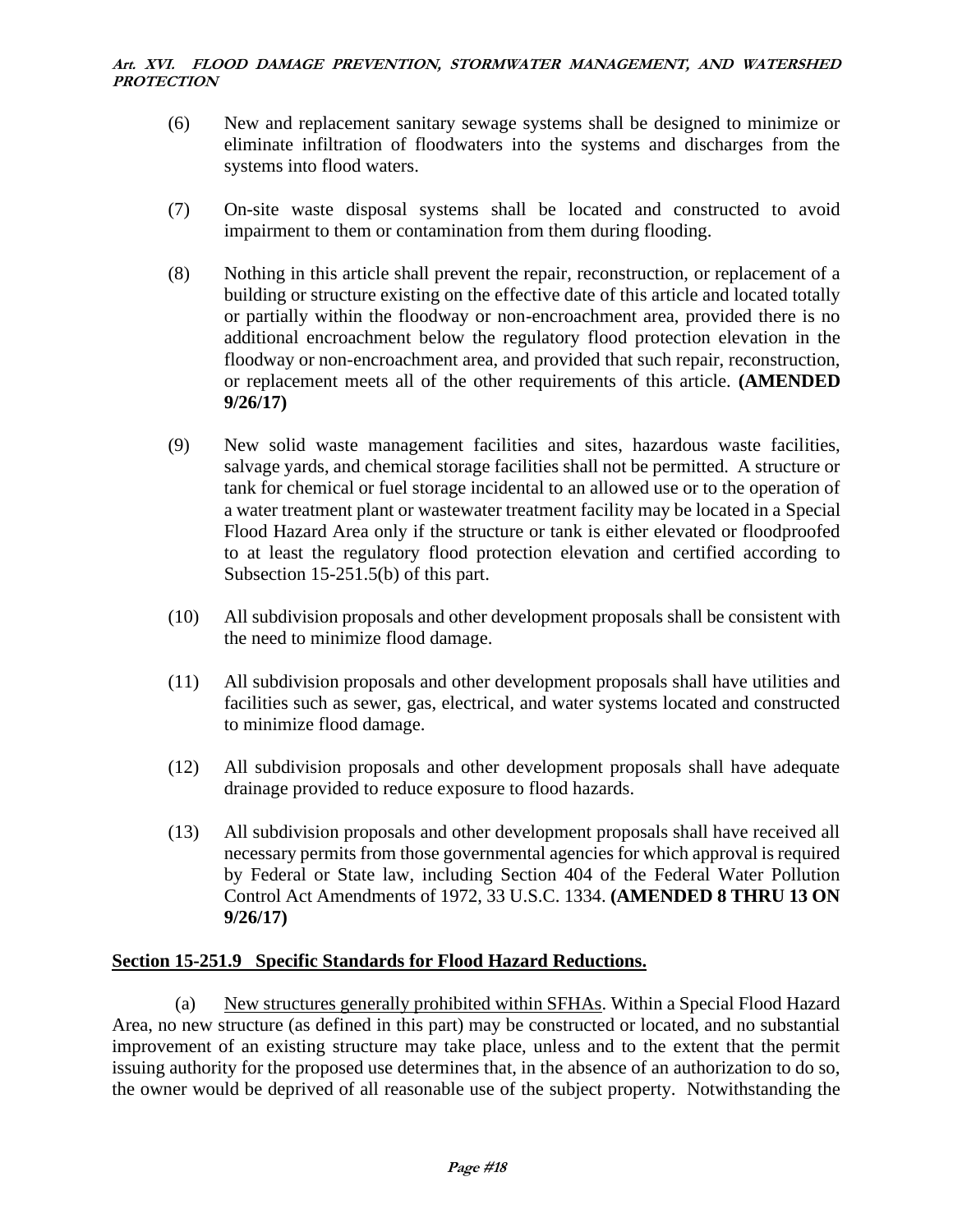- (6) New and replacement sanitary sewage systems shall be designed to minimize or eliminate infiltration of floodwaters into the systems and discharges from the systems into flood waters.
- (7) On-site waste disposal systems shall be located and constructed to avoid impairment to them or contamination from them during flooding.
- (8) Nothing in this article shall prevent the repair, reconstruction, or replacement of a building or structure existing on the effective date of this article and located totally or partially within the floodway or non-encroachment area, provided there is no additional encroachment below the regulatory flood protection elevation in the floodway or non-encroachment area, and provided that such repair, reconstruction, or replacement meets all of the other requirements of this article. **(AMENDED 9/26/17)**
- (9) New solid waste management facilities and sites, hazardous waste facilities, salvage yards, and chemical storage facilities shall not be permitted. A structure or tank for chemical or fuel storage incidental to an allowed use or to the operation of a water treatment plant or wastewater treatment facility may be located in a Special Flood Hazard Area only if the structure or tank is either elevated or floodproofed to at least the regulatory flood protection elevation and certified according to Subsection 15-251.5(b) of this part.
- (10) All subdivision proposals and other development proposals shall be consistent with the need to minimize flood damage.
- (11) All subdivision proposals and other development proposals shall have utilities and facilities such as sewer, gas, electrical, and water systems located and constructed to minimize flood damage.
- (12) All subdivision proposals and other development proposals shall have adequate drainage provided to reduce exposure to flood hazards.
- (13) All subdivision proposals and other development proposals shall have received all necessary permits from those governmental agencies for which approval is required by Federal or State law, including Section 404 of the Federal Water Pollution Control Act Amendments of 1972, 33 U.S.C. 1334. **(AMENDED 8 THRU 13 ON 9/26/17)**

### **Section 15-251.9 Specific Standards for Flood Hazard Reductions.**

(a) New structures generally prohibited within SFHAs. Within a Special Flood Hazard Area, no new structure (as defined in this part) may be constructed or located, and no substantial improvement of an existing structure may take place, unless and to the extent that the permit issuing authority for the proposed use determines that, in the absence of an authorization to do so, the owner would be deprived of all reasonable use of the subject property. Notwithstanding the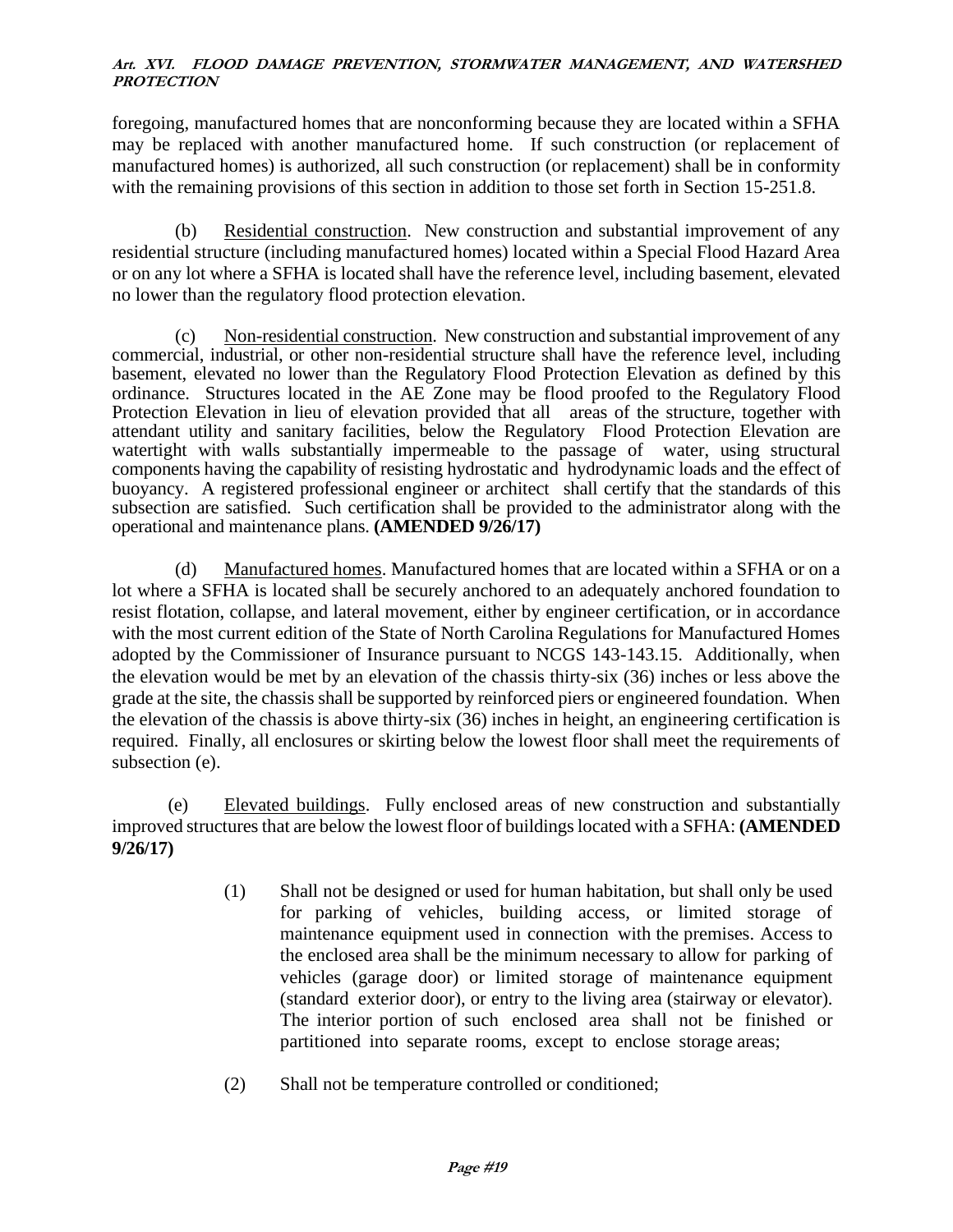foregoing, manufactured homes that are nonconforming because they are located within a SFHA may be replaced with another manufactured home. If such construction (or replacement of manufactured homes) is authorized, all such construction (or replacement) shall be in conformity with the remaining provisions of this section in addition to those set forth in Section 15-251.8.

(b) Residential construction. New construction and substantial improvement of any residential structure (including manufactured homes) located within a Special Flood Hazard Area or on any lot where a SFHA is located shall have the reference level, including basement, elevated no lower than the regulatory flood protection elevation.

(c) Non-residential construction. New construction and substantial improvement of any commercial, industrial, or other non-residential structure shall have the reference level, including basement, elevated no lower than the Regulatory Flood Protection Elevation as defined by this ordinance. Structures located in the AE Zone may be flood proofed to the Regulatory Flood Protection Elevation in lieu of elevation provided that all areas of the structure, together with attendant utility and sanitary facilities, below the Regulatory Flood Protection Elevation are watertight with walls substantially impermeable to the passage of water, using structural components having the capability of resisting hydrostatic and hydrodynamic loads and the effect of buoyancy. A registered professional engineer or architect shall certify that the standards of this subsection are satisfied. Such certification shall be provided to the administrator along with the operational and maintenance plans. **(AMENDED 9/26/17)**

(d) Manufactured homes. Manufactured homes that are located within a SFHA or on a lot where a SFHA is located shall be securely anchored to an adequately anchored foundation to resist flotation, collapse, and lateral movement, either by engineer certification, or in accordance with the most current edition of the State of North Carolina Regulations for Manufactured Homes adopted by the Commissioner of Insurance pursuant to NCGS 143-143.15. Additionally, when the elevation would be met by an elevation of the chassis thirty-six (36) inches or less above the grade at the site, the chassis shall be supported by reinforced piers or engineered foundation. When the elevation of the chassis is above thirty-six (36) inches in height, an engineering certification is required. Finally, all enclosures or skirting below the lowest floor shall meet the requirements of subsection (e).

(e) Elevated buildings. Fully enclosed areas of new construction and substantially improved structures that are below the lowest floor of buildings located with a SFHA: **(AMENDED 9/26/17)**

- (1) Shall not be designed or used for human habitation, but shall only be used for parking of vehicles, building access, or limited storage of maintenance equipment used in connection with the premises. Access to the enclosed area shall be the minimum necessary to allow for parking of vehicles (garage door) or limited storage of maintenance equipment (standard exterior door), or entry to the living area (stairway or elevator). The interior portion of such enclosed area shall not be finished or partitioned into separate rooms, except to enclose storage areas;
- (2) Shall not be temperature controlled or conditioned;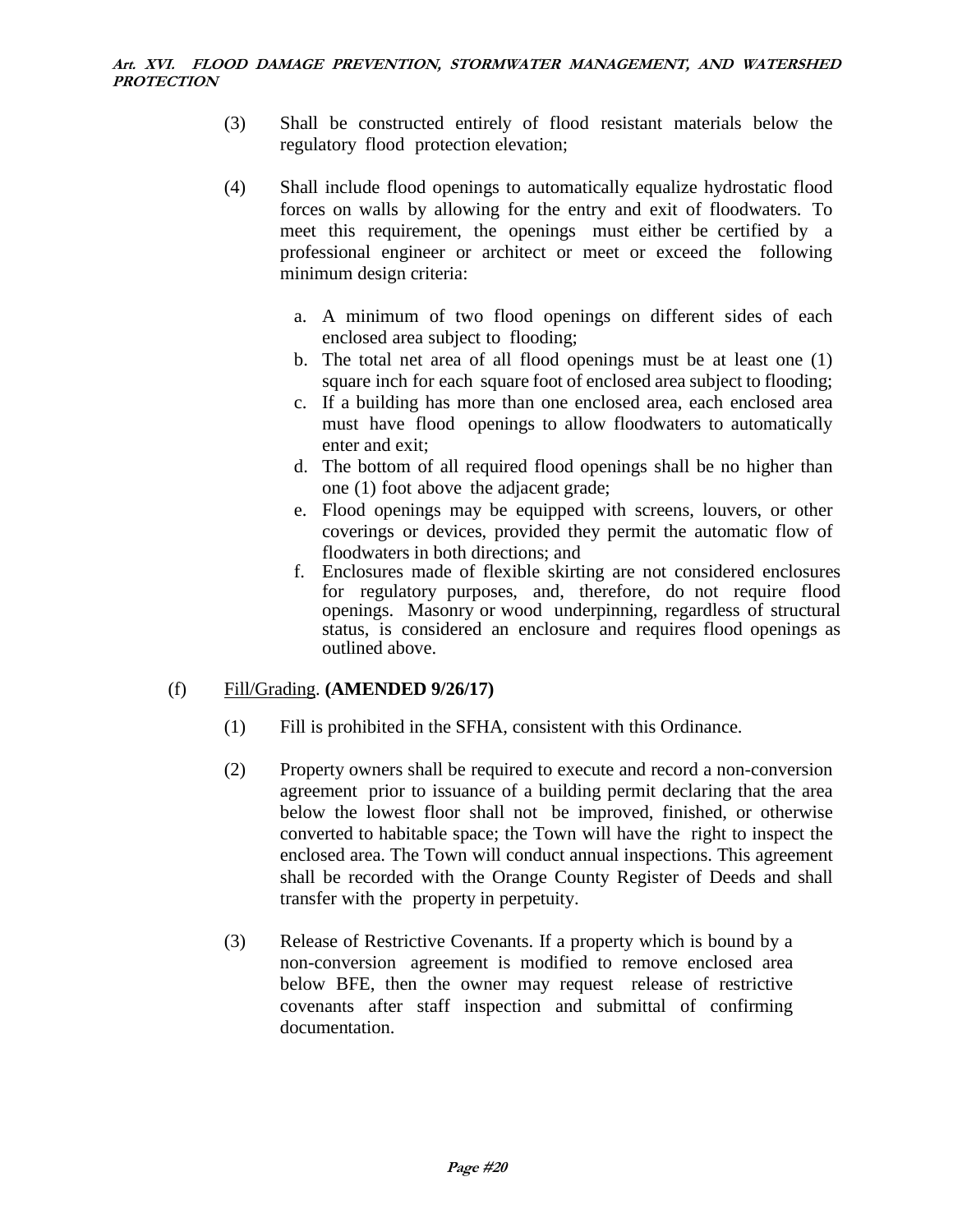- (3) Shall be constructed entirely of flood resistant materials below the regulatory flood protection elevation;
- (4) Shall include flood openings to automatically equalize hydrostatic flood forces on walls by allowing for the entry and exit of floodwaters. To meet this requirement, the openings must either be certified by a professional engineer or architect or meet or exceed the following minimum design criteria:
	- a. A minimum of two flood openings on different sides of each enclosed area subject to flooding;
	- b. The total net area of all flood openings must be at least one (1) square inch for each square foot of enclosed area subject to flooding;
	- c. If a building has more than one enclosed area, each enclosed area must have flood openings to allow floodwaters to automatically enter and exit;
	- d. The bottom of all required flood openings shall be no higher than one (1) foot above the adjacent grade;
	- e. Flood openings may be equipped with screens, louvers, or other coverings or devices, provided they permit the automatic flow of floodwaters in both directions; and
	- f. Enclosures made of flexible skirting are not considered enclosures for regulatory purposes, and, therefore, do not require flood openings. Masonry or wood underpinning, regardless of structural status, is considered an enclosure and requires flood openings as outlined above.

# (f) Fill/Grading. **(AMENDED 9/26/17)**

- (1) Fill is prohibited in the SFHA, consistent with this Ordinance.
- (2) Property owners shall be required to execute and record a non-conversion agreement prior to issuance of a building permit declaring that the area below the lowest floor shall not be improved, finished, or otherwise converted to habitable space; the Town will have the right to inspect the enclosed area. The Town will conduct annual inspections. This agreement shall be recorded with the Orange County Register of Deeds and shall transfer with the property in perpetuity.
- (3) Release of Restrictive Covenants. If a property which is bound by a non-conversion agreement is modified to remove enclosed area below BFE, then the owner may request release of restrictive covenants after staff inspection and submittal of confirming documentation.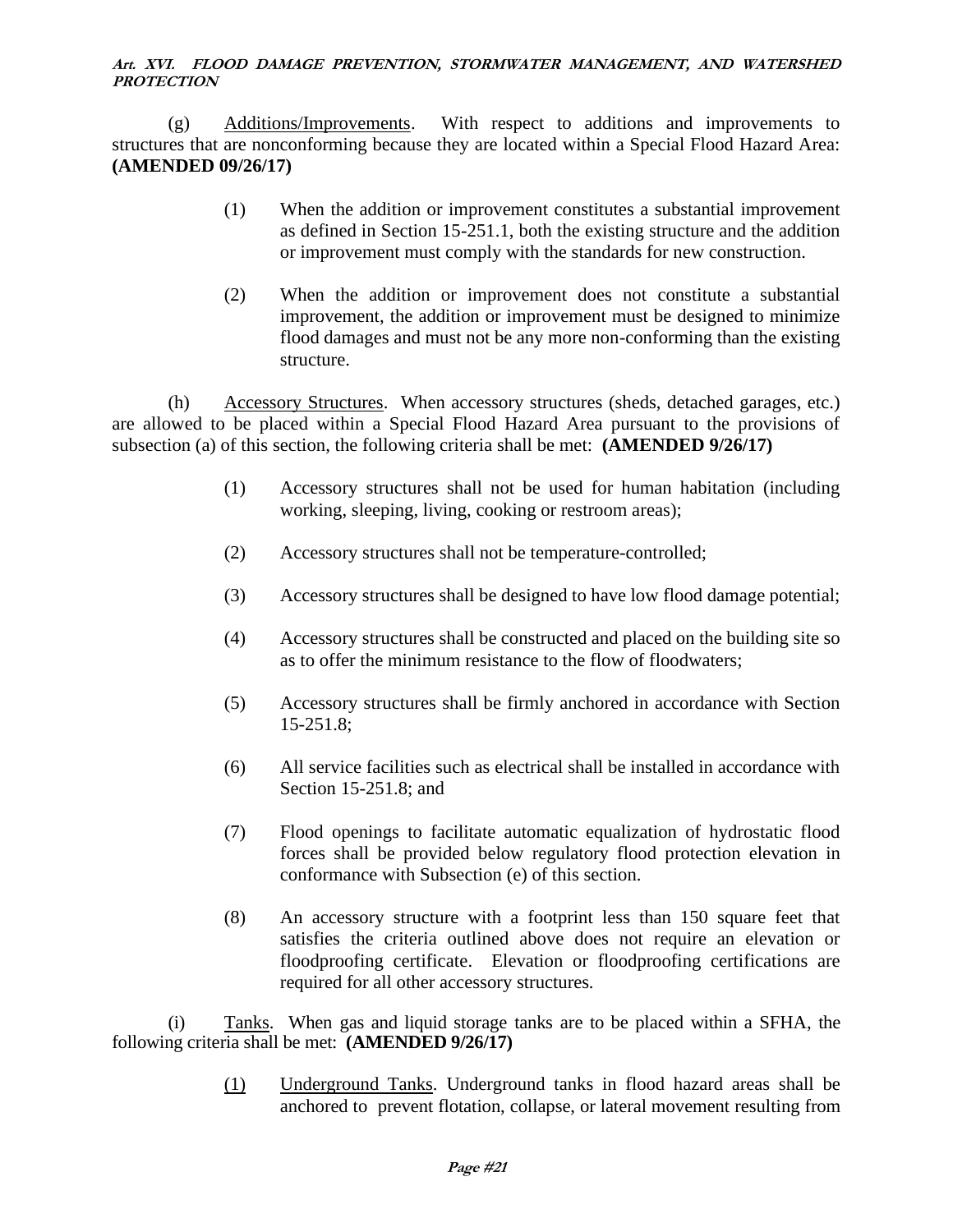(g) Additions/Improvements. With respect to additions and improvements to structures that are nonconforming because they are located within a Special Flood Hazard Area: **(AMENDED 09/26/17)**

- (1) When the addition or improvement constitutes a substantial improvement as defined in Section 15-251.1, both the existing structure and the addition or improvement must comply with the standards for new construction.
- (2) When the addition or improvement does not constitute a substantial improvement, the addition or improvement must be designed to minimize flood damages and must not be any more non-conforming than the existing structure.

(h) Accessory Structures. When accessory structures (sheds, detached garages, etc.) are allowed to be placed within a Special Flood Hazard Area pursuant to the provisions of subsection (a) of this section, the following criteria shall be met: **(AMENDED 9/26/17)**

- (1) Accessory structures shall not be used for human habitation (including working, sleeping, living, cooking or restroom areas);
- (2) Accessory structures shall not be temperature-controlled;
- (3) Accessory structures shall be designed to have low flood damage potential;
- (4) Accessory structures shall be constructed and placed on the building site so as to offer the minimum resistance to the flow of floodwaters;
- (5) Accessory structures shall be firmly anchored in accordance with Section 15-251.8;
- (6) All service facilities such as electrical shall be installed in accordance with Section 15-251.8; and
- (7) Flood openings to facilitate automatic equalization of hydrostatic flood forces shall be provided below regulatory flood protection elevation in conformance with Subsection (e) of this section.
- (8) An accessory structure with a footprint less than 150 square feet that satisfies the criteria outlined above does not require an elevation or floodproofing certificate. Elevation or floodproofing certifications are required for all other accessory structures*.*

(i) Tanks. When gas and liquid storage tanks are to be placed within a SFHA, the following criteria shall be met: **(AMENDED 9/26/17)**

> (1) Underground Tanks. Underground tanks in flood hazard areas shall be anchored to prevent flotation, collapse, or lateral movement resulting from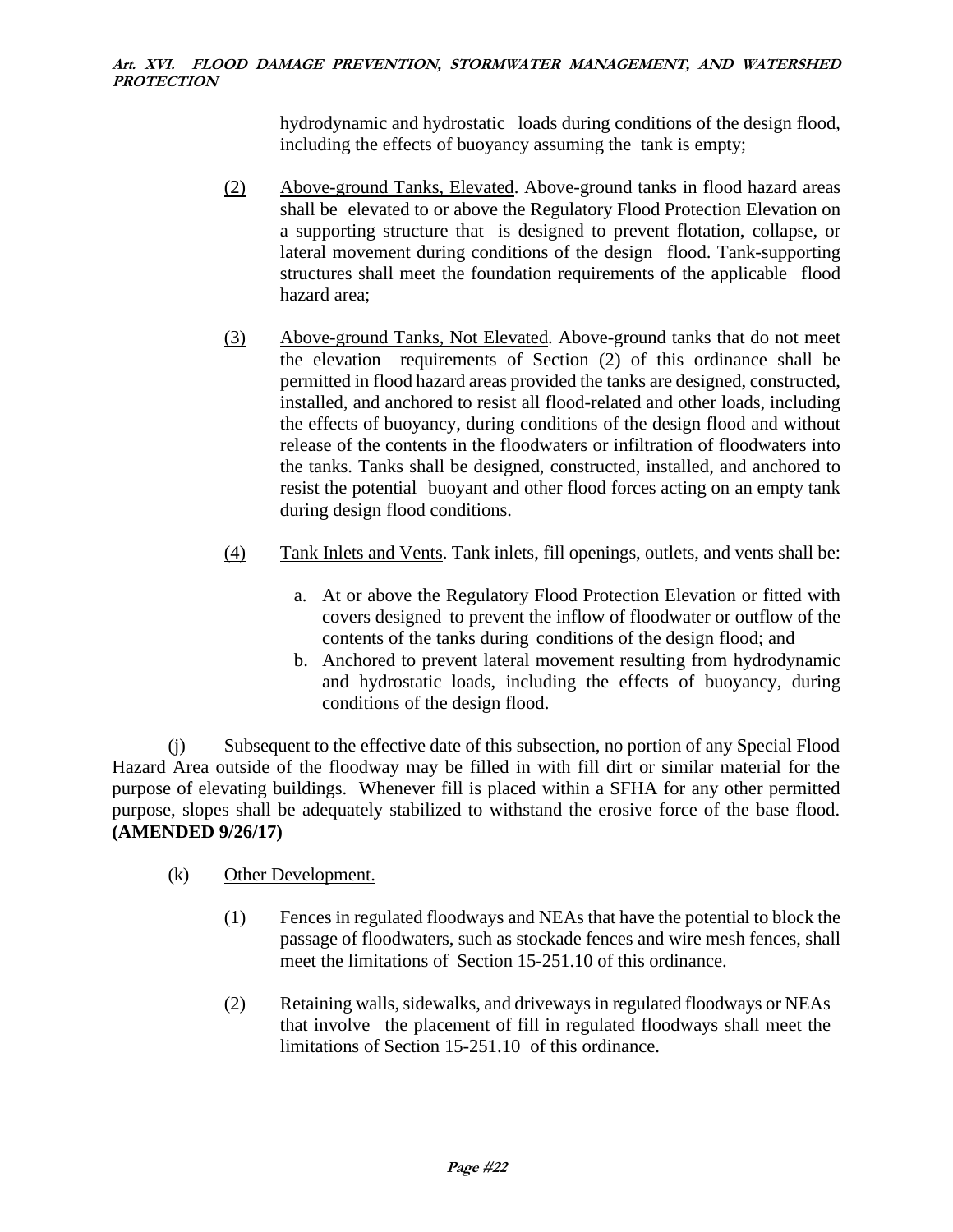hydrodynamic and hydrostatic loads during conditions of the design flood, including the effects of buoyancy assuming the tank is empty;

- (2) Above-ground Tanks, Elevated. Above-ground tanks in flood hazard areas shall be elevated to or above the Regulatory Flood Protection Elevation on a supporting structure that is designed to prevent flotation, collapse, or lateral movement during conditions of the design flood. Tank-supporting structures shall meet the foundation requirements of the applicable flood hazard area;
- (3) Above-ground Tanks, Not Elevated. Above-ground tanks that do not meet the elevation requirements of Section (2) of this ordinance shall be permitted in flood hazard areas provided the tanks are designed, constructed, installed, and anchored to resist all flood-related and other loads, including the effects of buoyancy, during conditions of the design flood and without release of the contents in the floodwaters or infiltration of floodwaters into the tanks. Tanks shall be designed, constructed, installed, and anchored to resist the potential buoyant and other flood forces acting on an empty tank during design flood conditions.
- (4) Tank Inlets and Vents. Tank inlets, fill openings, outlets, and vents shall be:
	- a. At or above the Regulatory Flood Protection Elevation or fitted with covers designed to prevent the inflow of floodwater or outflow of the contents of the tanks during conditions of the design flood; and
	- b. Anchored to prevent lateral movement resulting from hydrodynamic and hydrostatic loads, including the effects of buoyancy, during conditions of the design flood.

(j) Subsequent to the effective date of this subsection, no portion of any Special Flood Hazard Area outside of the floodway may be filled in with fill dirt or similar material for the purpose of elevating buildings. Whenever fill is placed within a SFHA for any other permitted purpose, slopes shall be adequately stabilized to withstand the erosive force of the base flood. **(AMENDED 9/26/17)**

- (k) Other Development.
	- (1) Fences in regulated floodways and NEAs that have the potential to block the passage of floodwaters, such as stockade fences and wire mesh fences, shall meet the limitations of Section 15-251.10 of this ordinance.
	- (2) Retaining walls, sidewalks, and driveways in regulated floodways or NEAs that involve the placement of fill in regulated floodways shall meet the limitations of Section 15-251.10 of this ordinance.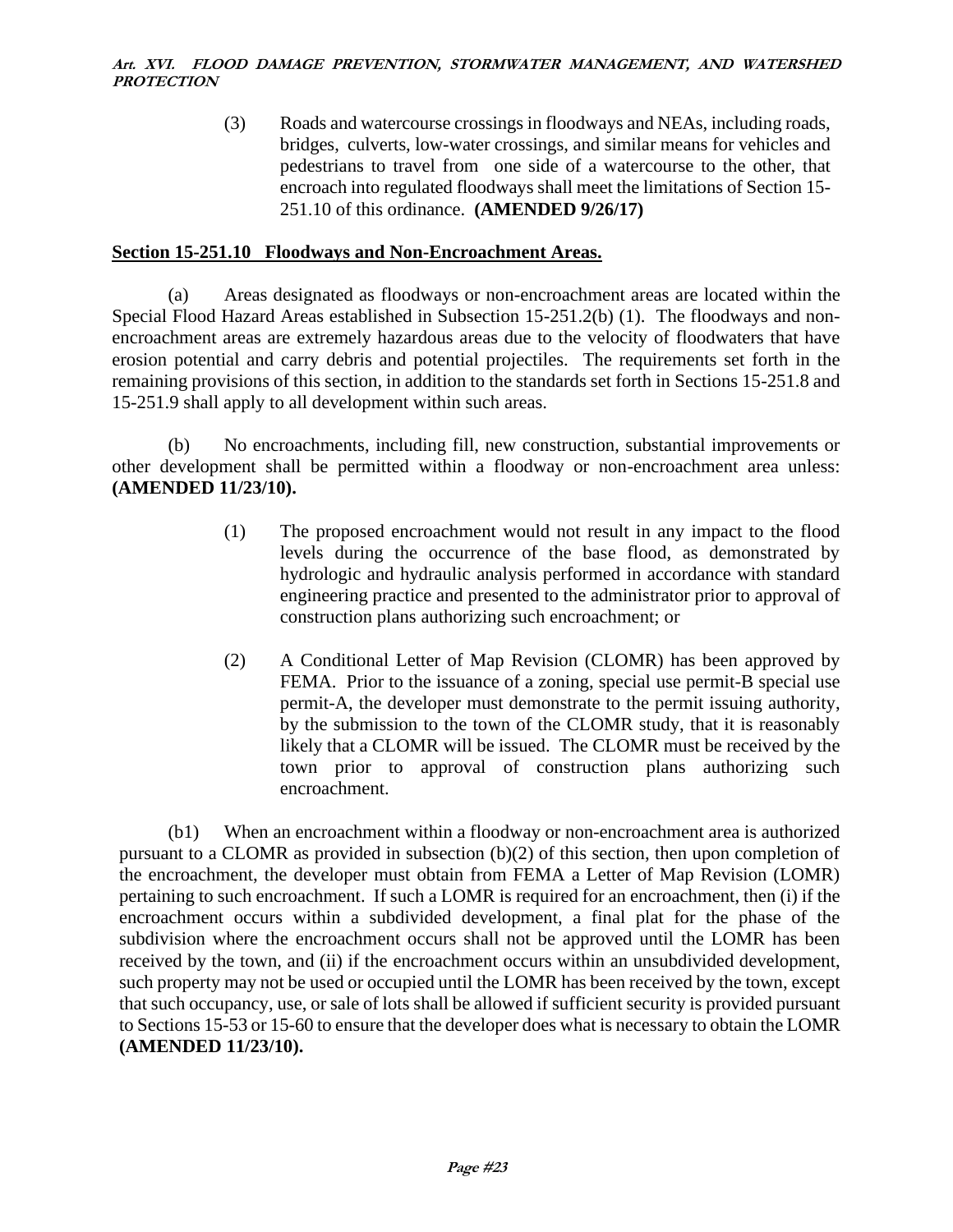(3) Roads and watercourse crossings in floodways and NEAs, including roads, bridges, culverts, low-water crossings, and similar means for vehicles and pedestrians to travel from one side of a watercourse to the other, that encroach into regulated floodways shall meet the limitations of Section 15- 251.10 of this ordinance. **(AMENDED 9/26/17)**

# **Section 15-251.10 Floodways and Non-Encroachment Areas.**

(a) Areas designated as floodways or non-encroachment areas are located within the Special Flood Hazard Areas established in Subsection 15-251.2(b) (1). The floodways and nonencroachment areas are extremely hazardous areas due to the velocity of floodwaters that have erosion potential and carry debris and potential projectiles. The requirements set forth in the remaining provisions of this section, in addition to the standards set forth in Sections 15-251.8 and 15-251.9 shall apply to all development within such areas.

(b) No encroachments, including fill, new construction, substantial improvements or other development shall be permitted within a floodway or non-encroachment area unless: **(AMENDED 11/23/10).**

- (1) The proposed encroachment would not result in any impact to the flood levels during the occurrence of the base flood, as demonstrated by hydrologic and hydraulic analysis performed in accordance with standard engineering practice and presented to the administrator prior to approval of construction plans authorizing such encroachment; or
- (2) A Conditional Letter of Map Revision (CLOMR) has been approved by FEMA. Prior to the issuance of a zoning, special use permit-B special use permit-A, the developer must demonstrate to the permit issuing authority, by the submission to the town of the CLOMR study, that it is reasonably likely that a CLOMR will be issued. The CLOMR must be received by the town prior to approval of construction plans authorizing such encroachment.

(b1) When an encroachment within a floodway or non-encroachment area is authorized pursuant to a CLOMR as provided in subsection (b)(2) of this section, then upon completion of the encroachment, the developer must obtain from FEMA a Letter of Map Revision (LOMR) pertaining to such encroachment. If such a LOMR is required for an encroachment, then (i) if the encroachment occurs within a subdivided development, a final plat for the phase of the subdivision where the encroachment occurs shall not be approved until the LOMR has been received by the town, and (ii) if the encroachment occurs within an unsubdivided development, such property may not be used or occupied until the LOMR has been received by the town, except that such occupancy, use, or sale of lots shall be allowed if sufficient security is provided pursuant to Sections 15-53 or 15-60 to ensure that the developer does what is necessary to obtain the LOMR **(AMENDED 11/23/10).**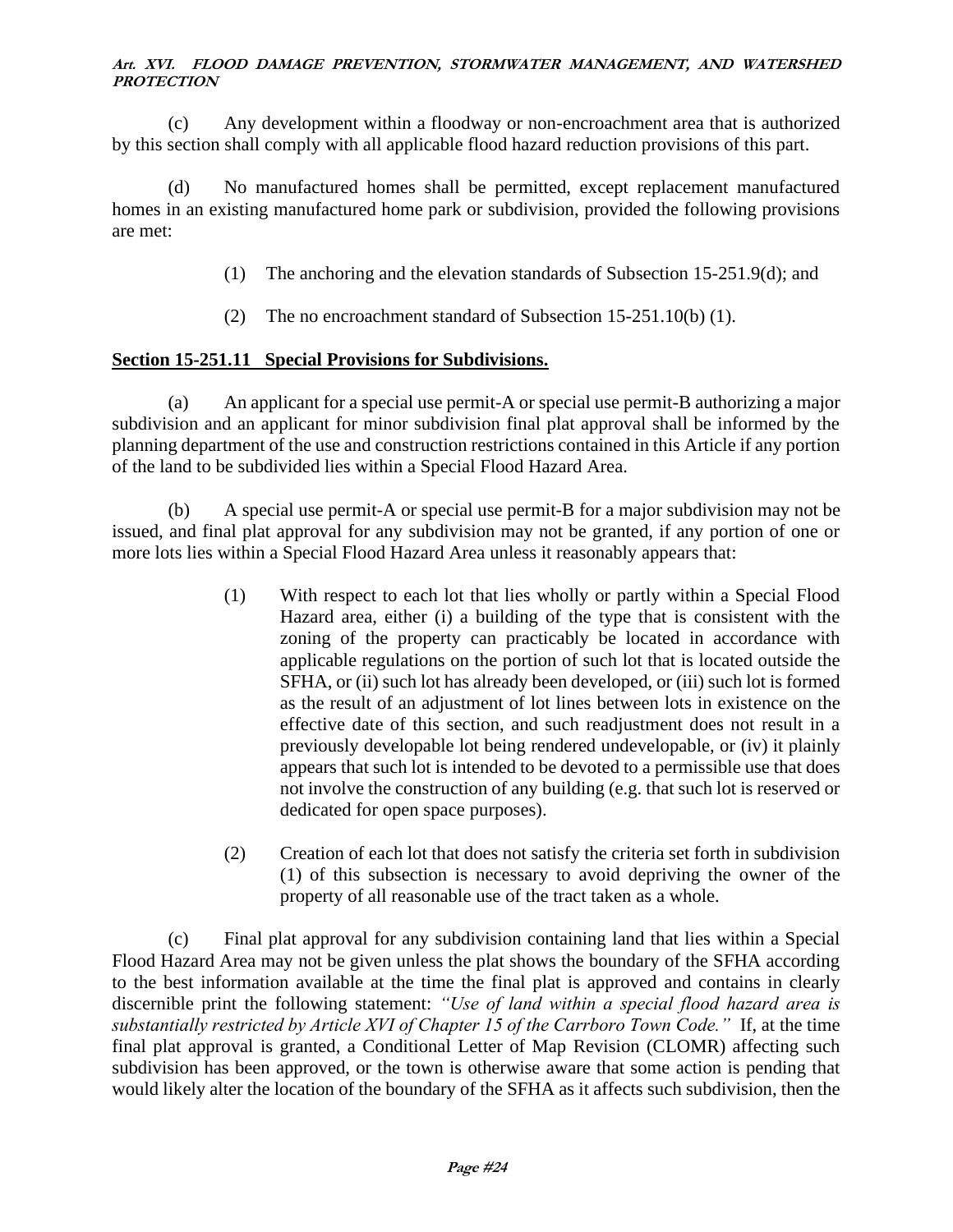(c) Any development within a floodway or non-encroachment area that is authorized by this section shall comply with all applicable flood hazard reduction provisions of this part.

(d) No manufactured homes shall be permitted, except replacement manufactured homes in an existing manufactured home park or subdivision, provided the following provisions are met:

- (1) The anchoring and the elevation standards of Subsection 15-251.9(d); and
- (2) The no encroachment standard of Subsection 15-251.10(b) (1).

# **Section 15-251.11 Special Provisions for Subdivisions.**

(a) An applicant for a special use permit-A or special use permit-B authorizing a major subdivision and an applicant for minor subdivision final plat approval shall be informed by the planning department of the use and construction restrictions contained in this Article if any portion of the land to be subdivided lies within a Special Flood Hazard Area.

(b) A special use permit-A or special use permit-B for a major subdivision may not be issued, and final plat approval for any subdivision may not be granted, if any portion of one or more lots lies within a Special Flood Hazard Area unless it reasonably appears that:

- (1) With respect to each lot that lies wholly or partly within a Special Flood Hazard area, either (i) a building of the type that is consistent with the zoning of the property can practicably be located in accordance with applicable regulations on the portion of such lot that is located outside the SFHA, or (ii) such lot has already been developed, or (iii) such lot is formed as the result of an adjustment of lot lines between lots in existence on the effective date of this section, and such readjustment does not result in a previously developable lot being rendered undevelopable, or (iv) it plainly appears that such lot is intended to be devoted to a permissible use that does not involve the construction of any building (e.g. that such lot is reserved or dedicated for open space purposes).
- (2) Creation of each lot that does not satisfy the criteria set forth in subdivision (1) of this subsection is necessary to avoid depriving the owner of the property of all reasonable use of the tract taken as a whole.

(c) Final plat approval for any subdivision containing land that lies within a Special Flood Hazard Area may not be given unless the plat shows the boundary of the SFHA according to the best information available at the time the final plat is approved and contains in clearly discernible print the following statement: *"Use of land within a special flood hazard area is substantially restricted by Article XVI of Chapter 15 of the Carrboro Town Code."* If, at the time final plat approval is granted, a Conditional Letter of Map Revision (CLOMR) affecting such subdivision has been approved, or the town is otherwise aware that some action is pending that would likely alter the location of the boundary of the SFHA as it affects such subdivision, then the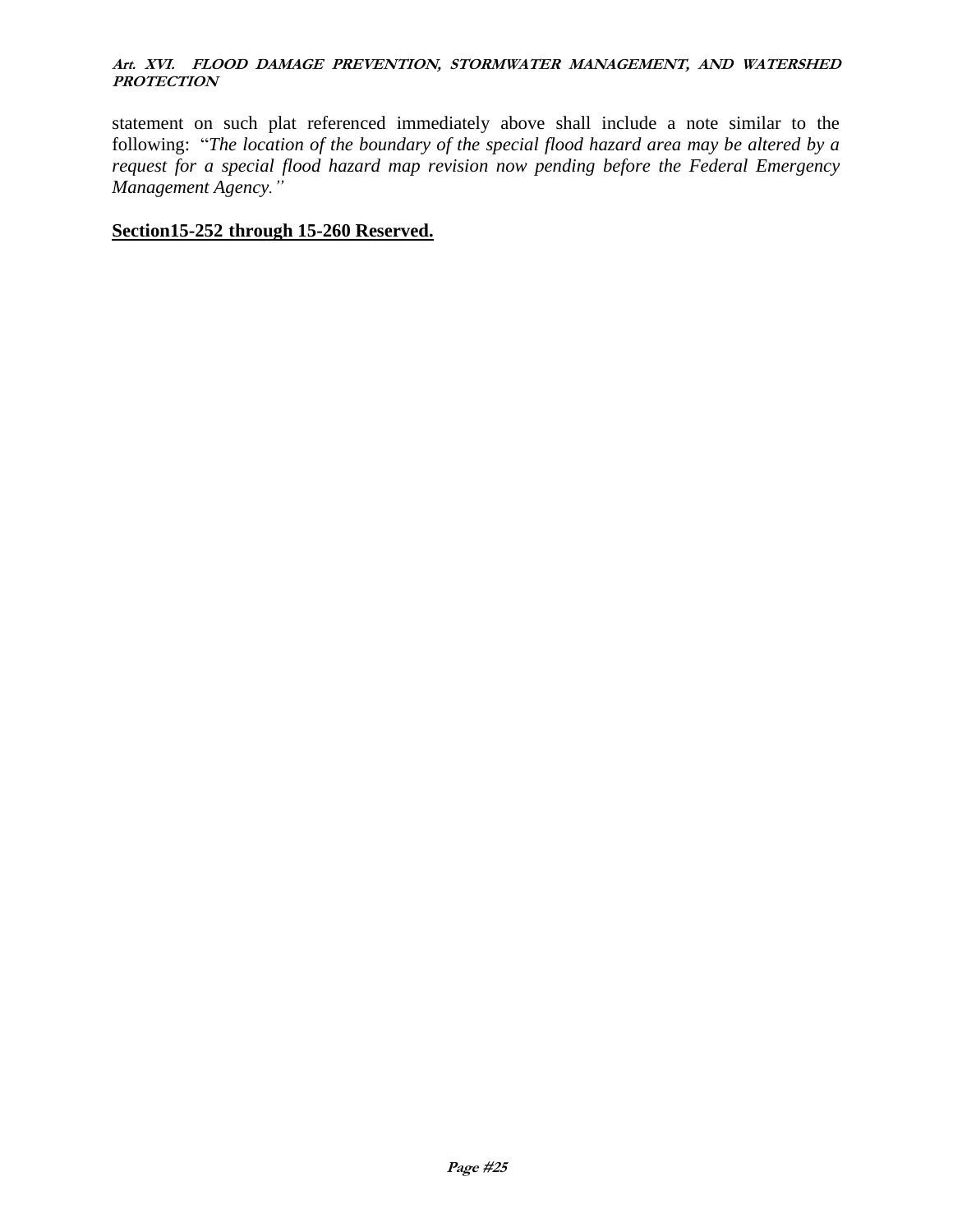statement on such plat referenced immediately above shall include a note similar to the following: "*The location of the boundary of the special flood hazard area may be altered by a request for a special flood hazard map revision now pending before the Federal Emergency Management Agency."*

### **Section15-252 through 15-260 Reserved.**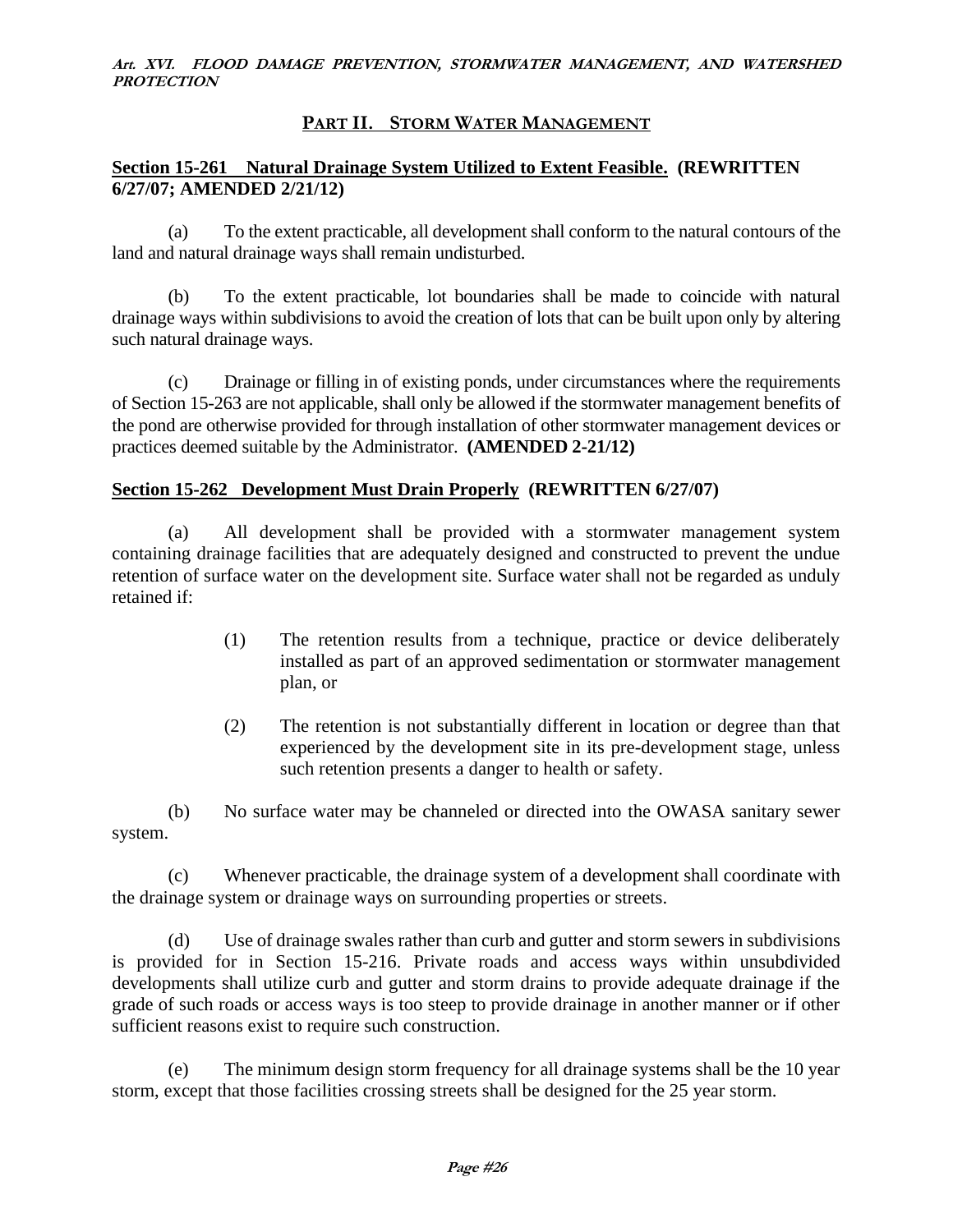### **PART II. STORM WATER MANAGEMENT**

### **Section 15-261 Natural Drainage System Utilized to Extent Feasible. (REWRITTEN 6/27/07; AMENDED 2/21/12)**

(a) To the extent practicable, all development shall conform to the natural contours of the land and natural drainage ways shall remain undisturbed.

(b) To the extent practicable, lot boundaries shall be made to coincide with natural drainage ways within subdivisions to avoid the creation of lots that can be built upon only by altering such natural drainage ways.

(c) Drainage or filling in of existing ponds, under circumstances where the requirements of Section 15-263 are not applicable, shall only be allowed if the stormwater management benefits of the pond are otherwise provided for through installation of other stormwater management devices or practices deemed suitable by the Administrator. **(AMENDED 2-21/12)**

### **Section 15-262 Development Must Drain Properly (REWRITTEN 6/27/07)**

(a) All development shall be provided with a stormwater management system containing drainage facilities that are adequately designed and constructed to prevent the undue retention of surface water on the development site. Surface water shall not be regarded as unduly retained if:

- (1) The retention results from a technique, practice or device deliberately installed as part of an approved sedimentation or stormwater management plan, or
- (2) The retention is not substantially different in location or degree than that experienced by the development site in its pre-development stage, unless such retention presents a danger to health or safety.

(b) No surface water may be channeled or directed into the OWASA sanitary sewer system.

(c) Whenever practicable, the drainage system of a development shall coordinate with the drainage system or drainage ways on surrounding properties or streets.

(d) Use of drainage swales rather than curb and gutter and storm sewers in subdivisions is provided for in Section 15-216. Private roads and access ways within unsubdivided developments shall utilize curb and gutter and storm drains to provide adequate drainage if the grade of such roads or access ways is too steep to provide drainage in another manner or if other sufficient reasons exist to require such construction.

(e) The minimum design storm frequency for all drainage systems shall be the 10 year storm, except that those facilities crossing streets shall be designed for the 25 year storm.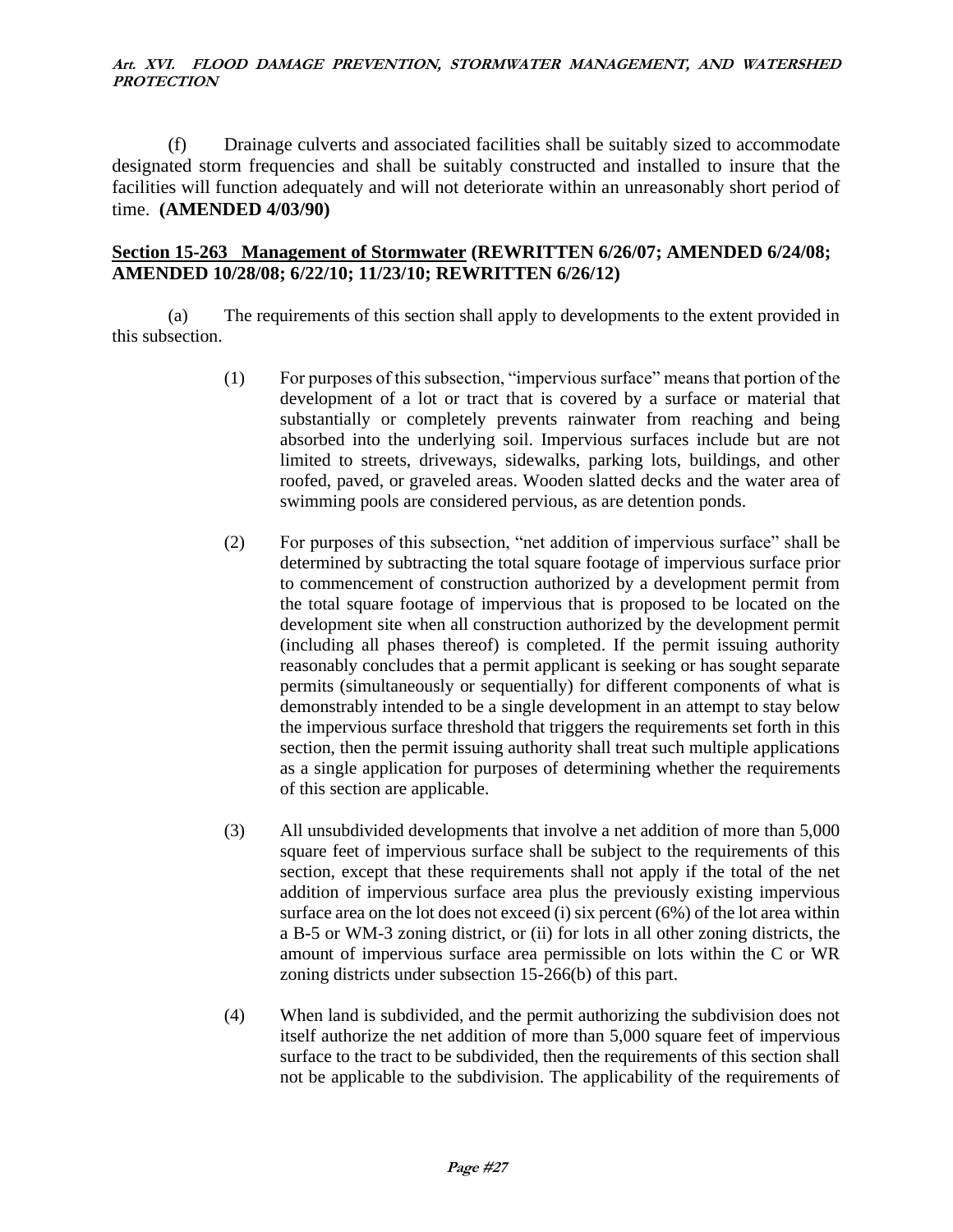(f) Drainage culverts and associated facilities shall be suitably sized to accommodate designated storm frequencies and shall be suitably constructed and installed to insure that the facilities will function adequately and will not deteriorate within an unreasonably short period of time. **(AMENDED 4/03/90)**

### **Section 15-263 Management of Stormwater (REWRITTEN 6/26/07; AMENDED 6/24/08; AMENDED 10/28/08; 6/22/10; 11/23/10; REWRITTEN 6/26/12)**

(a) The requirements of this section shall apply to developments to the extent provided in this subsection.

- (1) For purposes of this subsection, "impervious surface" means that portion of the development of a lot or tract that is covered by a surface or material that substantially or completely prevents rainwater from reaching and being absorbed into the underlying soil. Impervious surfaces include but are not limited to streets, driveways, sidewalks, parking lots, buildings, and other roofed, paved, or graveled areas. Wooden slatted decks and the water area of swimming pools are considered pervious, as are detention ponds.
- (2) For purposes of this subsection, "net addition of impervious surface" shall be determined by subtracting the total square footage of impervious surface prior to commencement of construction authorized by a development permit from the total square footage of impervious that is proposed to be located on the development site when all construction authorized by the development permit (including all phases thereof) is completed. If the permit issuing authority reasonably concludes that a permit applicant is seeking or has sought separate permits (simultaneously or sequentially) for different components of what is demonstrably intended to be a single development in an attempt to stay below the impervious surface threshold that triggers the requirements set forth in this section, then the permit issuing authority shall treat such multiple applications as a single application for purposes of determining whether the requirements of this section are applicable.
- (3) All unsubdivided developments that involve a net addition of more than 5,000 square feet of impervious surface shall be subject to the requirements of this section, except that these requirements shall not apply if the total of the net addition of impervious surface area plus the previously existing impervious surface area on the lot does not exceed (i) six percent (6%) of the lot area within a B-5 or WM-3 zoning district, or (ii) for lots in all other zoning districts, the amount of impervious surface area permissible on lots within the C or WR zoning districts under subsection 15-266(b) of this part.
- (4) When land is subdivided, and the permit authorizing the subdivision does not itself authorize the net addition of more than 5,000 square feet of impervious surface to the tract to be subdivided, then the requirements of this section shall not be applicable to the subdivision. The applicability of the requirements of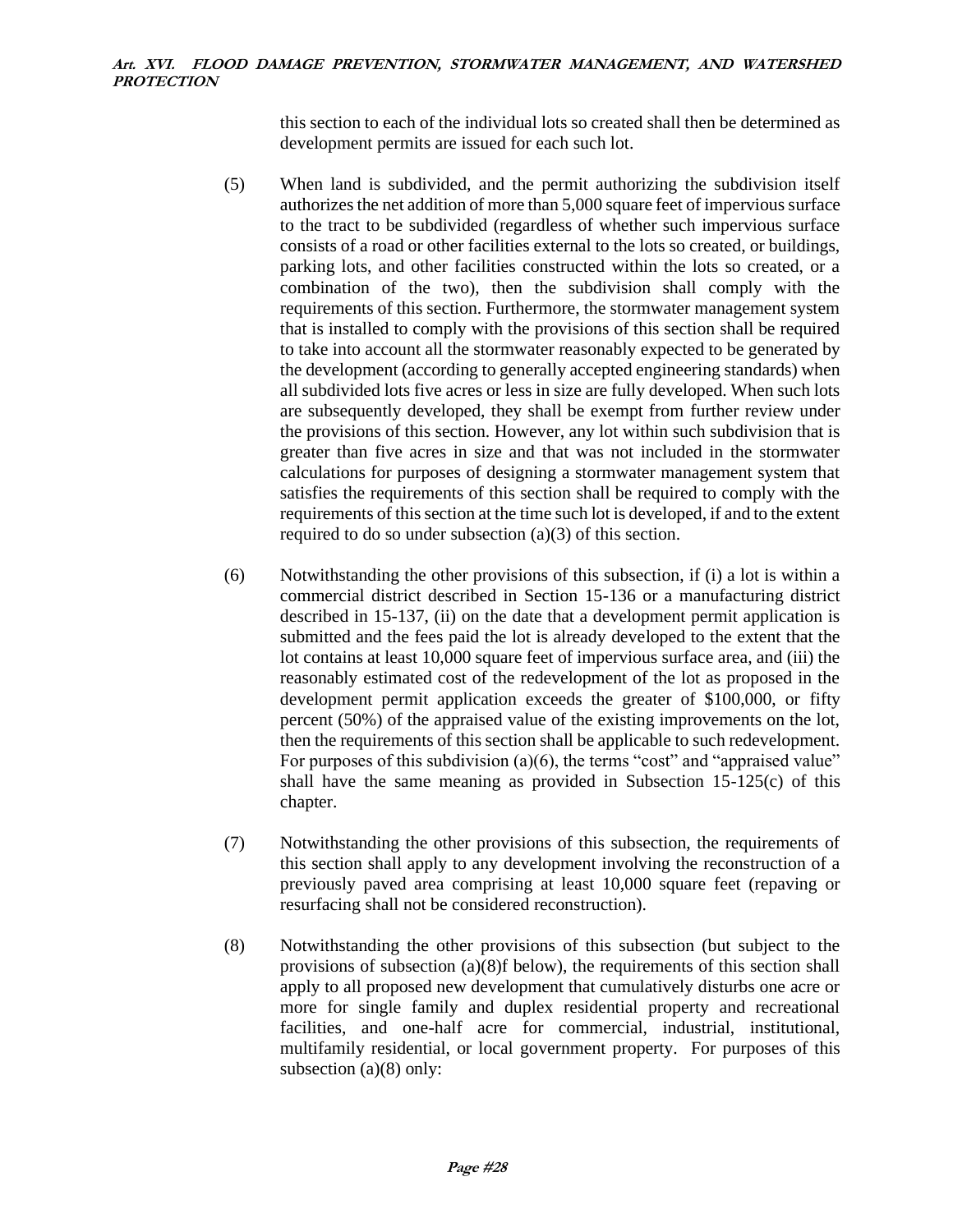this section to each of the individual lots so created shall then be determined as development permits are issued for each such lot.

- (5) When land is subdivided, and the permit authorizing the subdivision itself authorizes the net addition of more than 5,000 square feet of impervious surface to the tract to be subdivided (regardless of whether such impervious surface consists of a road or other facilities external to the lots so created, or buildings, parking lots, and other facilities constructed within the lots so created, or a combination of the two), then the subdivision shall comply with the requirements of this section. Furthermore, the stormwater management system that is installed to comply with the provisions of this section shall be required to take into account all the stormwater reasonably expected to be generated by the development (according to generally accepted engineering standards) when all subdivided lots five acres or less in size are fully developed. When such lots are subsequently developed, they shall be exempt from further review under the provisions of this section. However, any lot within such subdivision that is greater than five acres in size and that was not included in the stormwater calculations for purposes of designing a stormwater management system that satisfies the requirements of this section shall be required to comply with the requirements of this section at the time such lot is developed, if and to the extent required to do so under subsection (a)(3) of this section.
- (6) Notwithstanding the other provisions of this subsection, if (i) a lot is within a commercial district described in Section 15-136 or a manufacturing district described in 15-137, (ii) on the date that a development permit application is submitted and the fees paid the lot is already developed to the extent that the lot contains at least 10,000 square feet of impervious surface area, and (iii) the reasonably estimated cost of the redevelopment of the lot as proposed in the development permit application exceeds the greater of \$100,000, or fifty percent (50%) of the appraised value of the existing improvements on the lot, then the requirements of this section shall be applicable to such redevelopment. For purposes of this subdivision (a)(6), the terms "cost" and "appraised value" shall have the same meaning as provided in Subsection 15-125(c) of this chapter.
- (7) Notwithstanding the other provisions of this subsection, the requirements of this section shall apply to any development involving the reconstruction of a previously paved area comprising at least 10,000 square feet (repaving or resurfacing shall not be considered reconstruction).
- (8) Notwithstanding the other provisions of this subsection (but subject to the provisions of subsection (a)(8)f below), the requirements of this section shall apply to all proposed new development that cumulatively disturbs one acre or more for single family and duplex residential property and recreational facilities, and one-half acre for commercial, industrial, institutional, multifamily residential, or local government property. For purposes of this subsection (a)(8) only: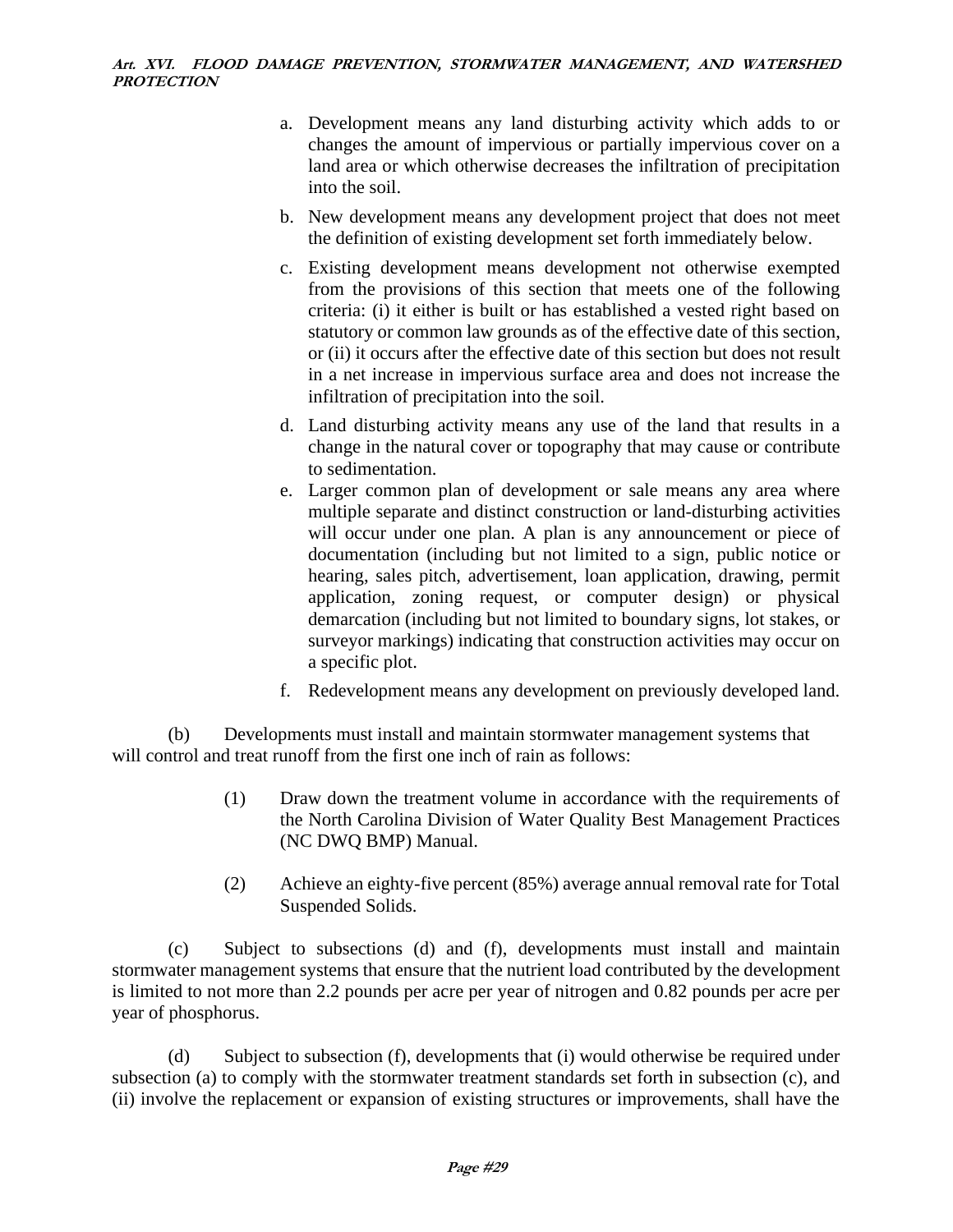- a. Development means any land disturbing activity which adds to or changes the amount of impervious or partially impervious cover on a land area or which otherwise decreases the infiltration of precipitation into the soil.
- b. New development means any development project that does not meet the definition of existing development set forth immediately below.
- c. Existing development means development not otherwise exempted from the provisions of this section that meets one of the following criteria: (i) it either is built or has established a vested right based on statutory or common law grounds as of the effective date of this section, or (ii) it occurs after the effective date of this section but does not result in a net increase in impervious surface area and does not increase the infiltration of precipitation into the soil.
- d. Land disturbing activity means any use of the land that results in a change in the natural cover or topography that may cause or contribute to sedimentation.
- e. Larger common plan of development or sale means any area where multiple separate and distinct construction or land-disturbing activities will occur under one plan. A plan is any announcement or piece of documentation (including but not limited to a sign, public notice or hearing, sales pitch, advertisement, loan application, drawing, permit application, zoning request, or computer design) or physical demarcation (including but not limited to boundary signs, lot stakes, or surveyor markings) indicating that construction activities may occur on a specific plot.
- f. Redevelopment means any development on previously developed land.

(b) Developments must install and maintain stormwater management systems that will control and treat runoff from the first one inch of rain as follows:

- (1) Draw down the treatment volume in accordance with the requirements of the North Carolina Division of Water Quality Best Management Practices (NC DWQ BMP) Manual.
- (2) Achieve an eighty-five percent (85%) average annual removal rate for Total Suspended Solids.

(c) Subject to subsections (d) and (f), developments must install and maintain stormwater management systems that ensure that the nutrient load contributed by the development is limited to not more than 2.2 pounds per acre per year of nitrogen and 0.82 pounds per acre per year of phosphorus.

(d) Subject to subsection (f), developments that (i) would otherwise be required under subsection (a) to comply with the stormwater treatment standards set forth in subsection (c), and (ii) involve the replacement or expansion of existing structures or improvements, shall have the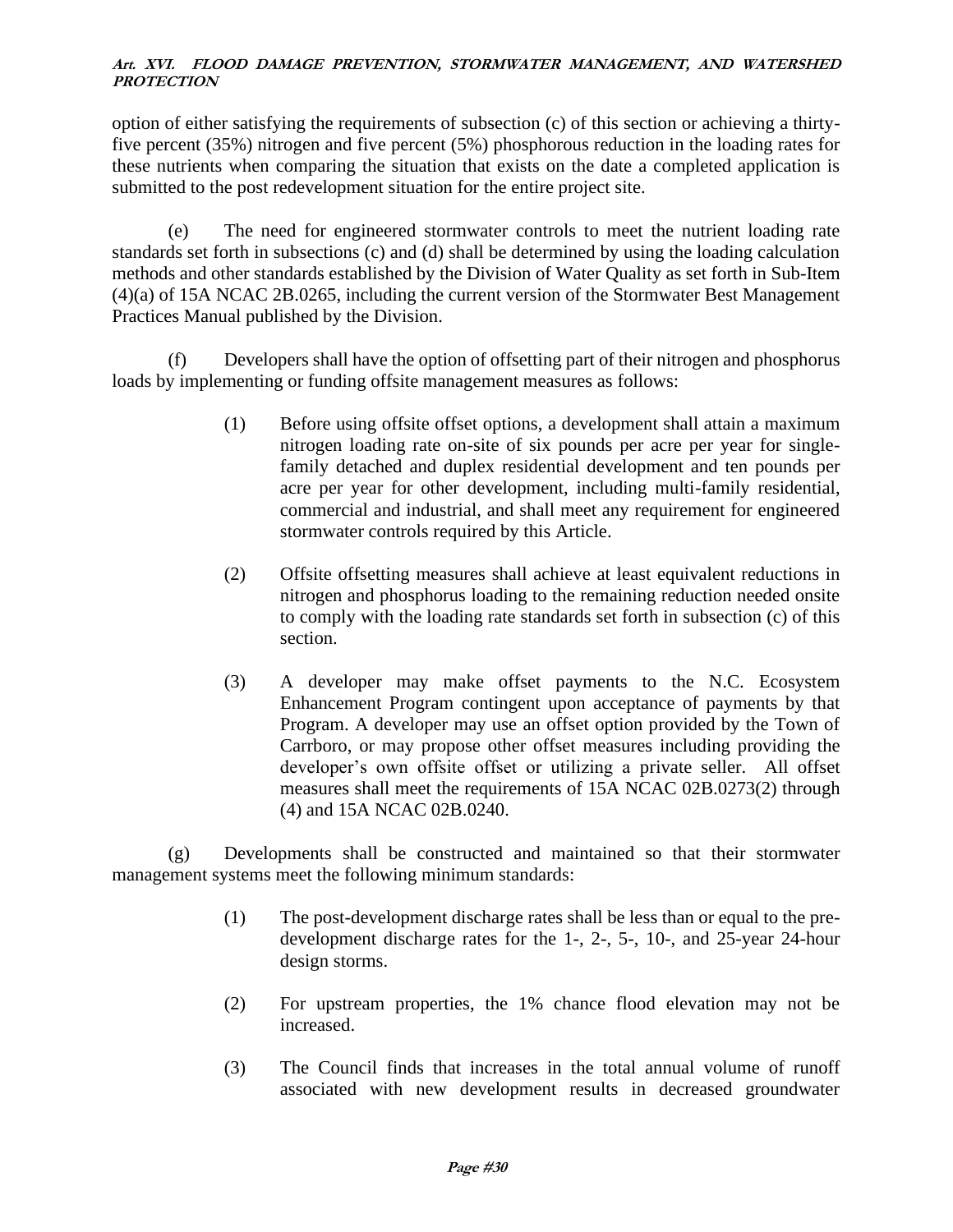option of either satisfying the requirements of subsection (c) of this section or achieving a thirtyfive percent (35%) nitrogen and five percent (5%) phosphorous reduction in the loading rates for these nutrients when comparing the situation that exists on the date a completed application is submitted to the post redevelopment situation for the entire project site.

(e) The need for engineered stormwater controls to meet the nutrient loading rate standards set forth in subsections (c) and (d) shall be determined by using the loading calculation methods and other standards established by the Division of Water Quality as set forth in Sub-Item (4)(a) of 15A NCAC 2B.0265, including the current version of the Stormwater Best Management Practices Manual published by the Division.

(f) Developers shall have the option of offsetting part of their nitrogen and phosphorus loads by implementing or funding offsite management measures as follows:

- (1) Before using offsite offset options, a development shall attain a maximum nitrogen loading rate on-site of six pounds per acre per year for singlefamily detached and duplex residential development and ten pounds per acre per year for other development, including multi-family residential, commercial and industrial, and shall meet any requirement for engineered stormwater controls required by this Article.
- (2) Offsite offsetting measures shall achieve at least equivalent reductions in nitrogen and phosphorus loading to the remaining reduction needed onsite to comply with the loading rate standards set forth in subsection (c) of this section.
- (3) A developer may make offset payments to the N.C. Ecosystem Enhancement Program contingent upon acceptance of payments by that Program. A developer may use an offset option provided by the Town of Carrboro, or may propose other offset measures including providing the developer's own offsite offset or utilizing a private seller. All offset measures shall meet the requirements of 15A NCAC 02B.0273(2) through (4) and 15A NCAC 02B.0240.

(g) Developments shall be constructed and maintained so that their stormwater management systems meet the following minimum standards:

- (1) The post-development discharge rates shall be less than or equal to the predevelopment discharge rates for the 1-, 2-, 5-, 10-, and 25-year 24-hour design storms.
- (2) For upstream properties, the 1% chance flood elevation may not be increased.
- (3) The Council finds that increases in the total annual volume of runoff associated with new development results in decreased groundwater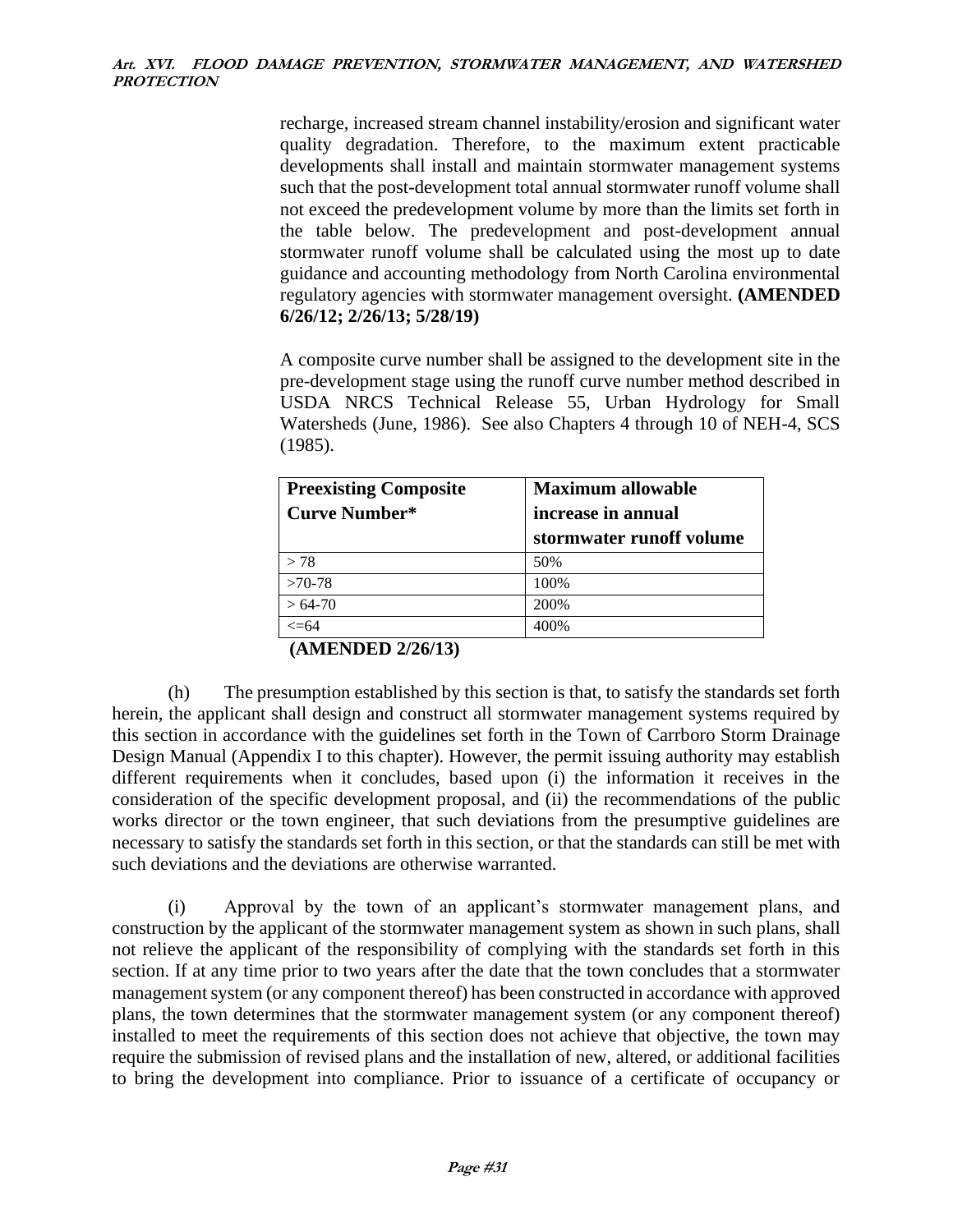recharge, increased stream channel instability/erosion and significant water quality degradation. Therefore, to the maximum extent practicable developments shall install and maintain stormwater management systems such that the post-development total annual stormwater runoff volume shall not exceed the predevelopment volume by more than the limits set forth in the table below. The predevelopment and post-development annual stormwater runoff volume shall be calculated using the most up to date guidance and accounting methodology from North Carolina environmental regulatory agencies with stormwater management oversight. **(AMENDED 6/26/12; 2/26/13; 5/28/19)**

A composite curve number shall be assigned to the development site in the pre-development stage using the runoff curve number method described in USDA NRCS Technical Release 55, Urban Hydrology for Small Watersheds (June, 1986). See also Chapters 4 through 10 of NEH-4, SCS (1985).

| <b>Preexisting Composite</b> | <b>Maximum allowable</b> |
|------------------------------|--------------------------|
| <b>Curve Number*</b>         | increase in annual       |
|                              | stormwater runoff volume |
| > 78                         | 50%                      |
| $>70-78$                     | 100%                     |
| $>64-70$                     | 200%                     |
| <=64                         | 400%                     |

# **(AMENDED 2/26/13)**

(h) The presumption established by this section is that, to satisfy the standards set forth herein, the applicant shall design and construct all stormwater management systems required by this section in accordance with the guidelines set forth in the Town of Carrboro Storm Drainage Design Manual (Appendix I to this chapter). However, the permit issuing authority may establish different requirements when it concludes, based upon (i) the information it receives in the consideration of the specific development proposal, and (ii) the recommendations of the public works director or the town engineer, that such deviations from the presumptive guidelines are necessary to satisfy the standards set forth in this section, or that the standards can still be met with such deviations and the deviations are otherwise warranted.

(i) Approval by the town of an applicant's stormwater management plans, and construction by the applicant of the stormwater management system as shown in such plans, shall not relieve the applicant of the responsibility of complying with the standards set forth in this section. If at any time prior to two years after the date that the town concludes that a stormwater management system (or any component thereof) has been constructed in accordance with approved plans, the town determines that the stormwater management system (or any component thereof) installed to meet the requirements of this section does not achieve that objective, the town may require the submission of revised plans and the installation of new, altered, or additional facilities to bring the development into compliance. Prior to issuance of a certificate of occupancy or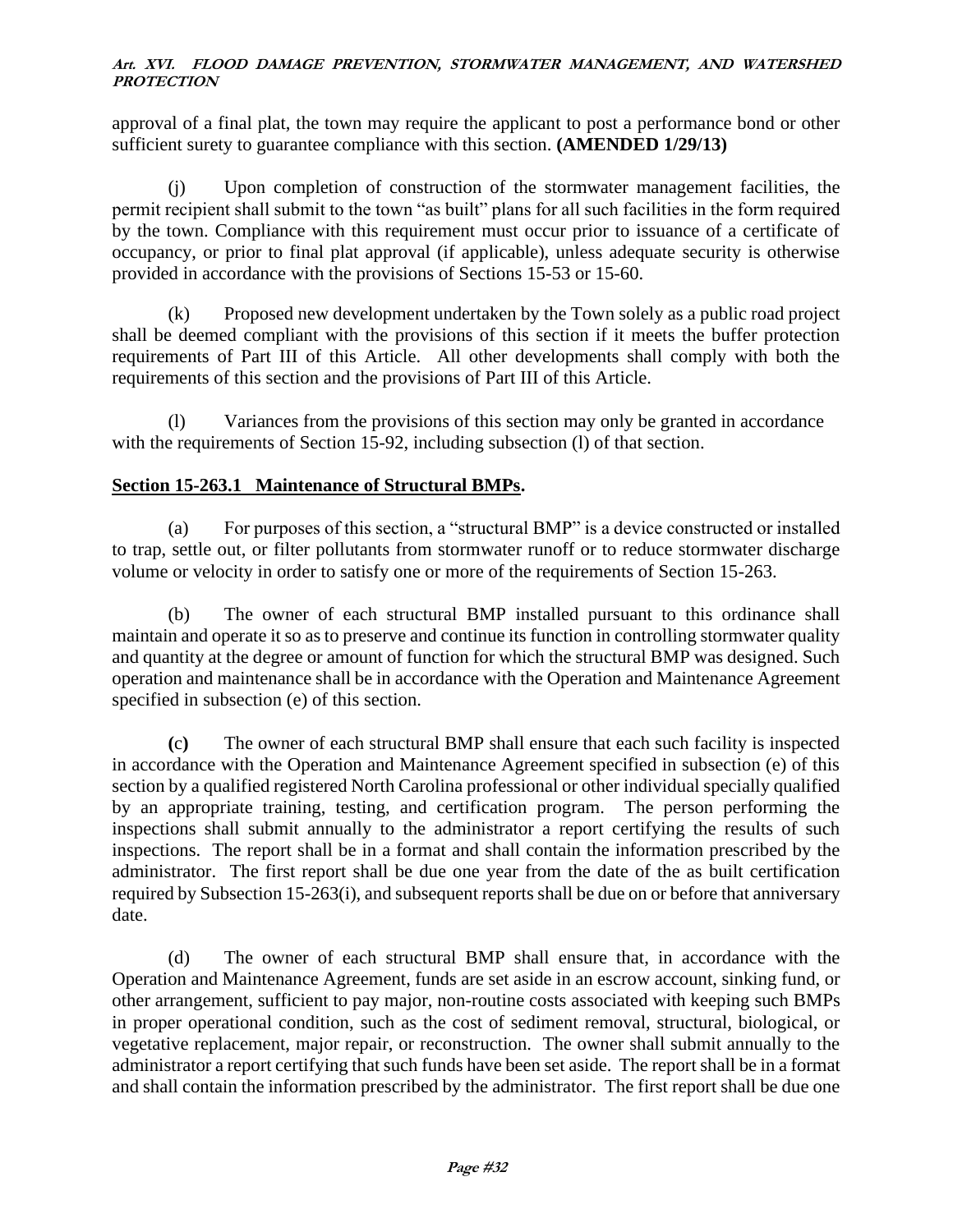approval of a final plat, the town may require the applicant to post a performance bond or other sufficient surety to guarantee compliance with this section. **(AMENDED 1/29/13)**

(j) Upon completion of construction of the stormwater management facilities, the permit recipient shall submit to the town "as built" plans for all such facilities in the form required by the town. Compliance with this requirement must occur prior to issuance of a certificate of occupancy, or prior to final plat approval (if applicable), unless adequate security is otherwise provided in accordance with the provisions of Sections 15-53 or 15-60.

(k) Proposed new development undertaken by the Town solely as a public road project shall be deemed compliant with the provisions of this section if it meets the buffer protection requirements of Part III of this Article. All other developments shall comply with both the requirements of this section and the provisions of Part III of this Article.

(l) Variances from the provisions of this section may only be granted in accordance with the requirements of Section 15-92, including subsection (l) of that section.

# **Section 15-263.1 Maintenance of Structural BMPs.**

(a) For purposes of this section, a "structural BMP" is a device constructed or installed to trap, settle out, or filter pollutants from stormwater runoff or to reduce stormwater discharge volume or velocity in order to satisfy one or more of the requirements of Section 15-263.

(b) The owner of each structural BMP installed pursuant to this ordinance shall maintain and operate it so as to preserve and continue its function in controlling stormwater quality and quantity at the degree or amount of function for which the structural BMP was designed. Such operation and maintenance shall be in accordance with the Operation and Maintenance Agreement specified in subsection (e) of this section.

**(**c**)** The owner of each structural BMP shall ensure that each such facility is inspected in accordance with the Operation and Maintenance Agreement specified in subsection (e) of this section by a qualified registered North Carolina professional or other individual specially qualified by an appropriate training, testing, and certification program. The person performing the inspections shall submit annually to the administrator a report certifying the results of such inspections. The report shall be in a format and shall contain the information prescribed by the administrator. The first report shall be due one year from the date of the as built certification required by Subsection 15-263(i), and subsequent reports shall be due on or before that anniversary date.

(d) The owner of each structural BMP shall ensure that, in accordance with the Operation and Maintenance Agreement, funds are set aside in an escrow account, sinking fund, or other arrangement, sufficient to pay major, non-routine costs associated with keeping such BMPs in proper operational condition, such as the cost of sediment removal, structural, biological, or vegetative replacement, major repair, or reconstruction. The owner shall submit annually to the administrator a report certifying that such funds have been set aside. The report shall be in a format and shall contain the information prescribed by the administrator. The first report shall be due one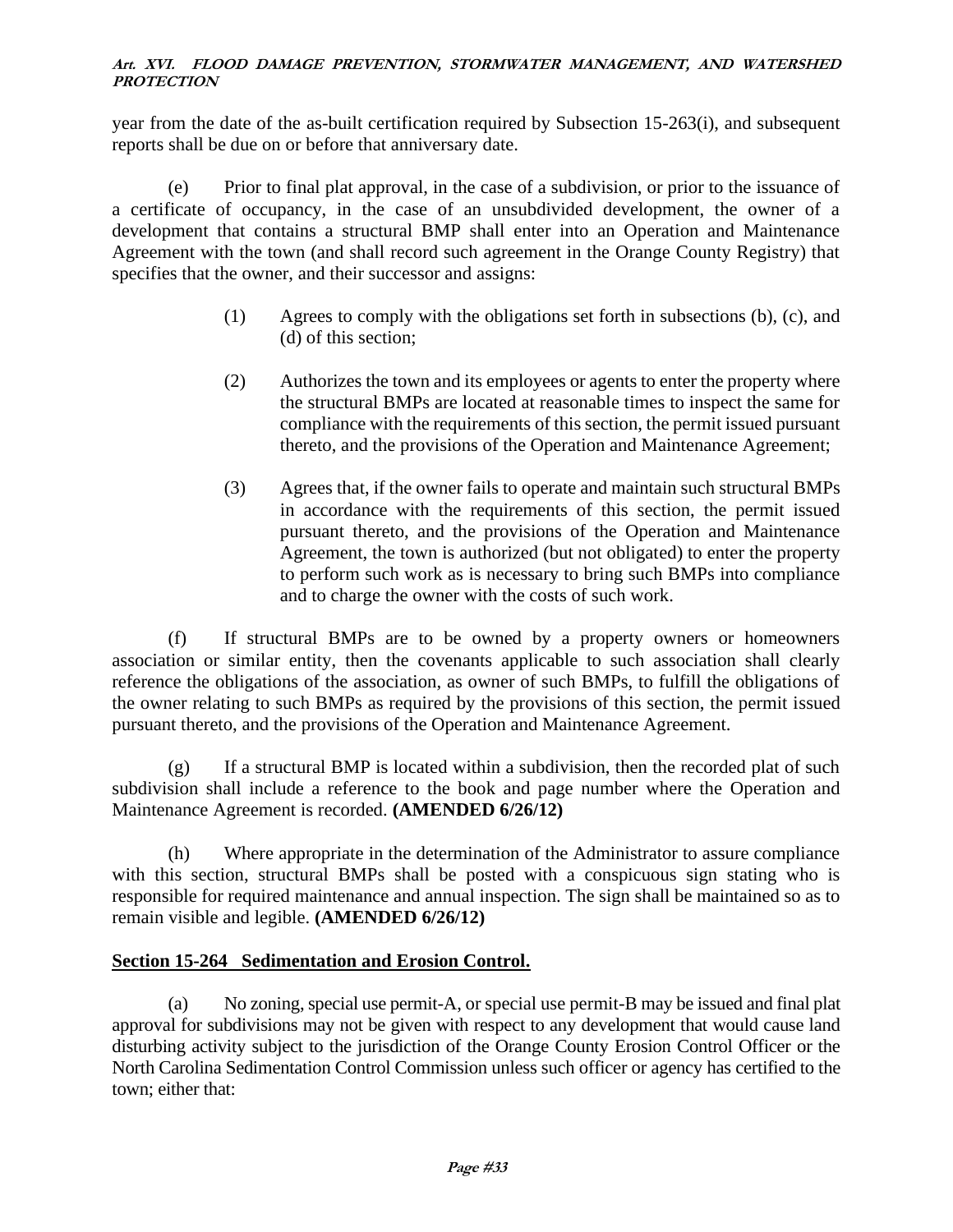year from the date of the as-built certification required by Subsection 15-263(i), and subsequent reports shall be due on or before that anniversary date.

(e) Prior to final plat approval, in the case of a subdivision, or prior to the issuance of a certificate of occupancy, in the case of an unsubdivided development, the owner of a development that contains a structural BMP shall enter into an Operation and Maintenance Agreement with the town (and shall record such agreement in the Orange County Registry) that specifies that the owner, and their successor and assigns:

- (1) Agrees to comply with the obligations set forth in subsections (b), (c), and (d) of this section;
- (2) Authorizes the town and its employees or agents to enter the property where the structural BMPs are located at reasonable times to inspect the same for compliance with the requirements of this section, the permit issued pursuant thereto, and the provisions of the Operation and Maintenance Agreement;
- (3) Agrees that, if the owner fails to operate and maintain such structural BMPs in accordance with the requirements of this section, the permit issued pursuant thereto, and the provisions of the Operation and Maintenance Agreement, the town is authorized (but not obligated) to enter the property to perform such work as is necessary to bring such BMPs into compliance and to charge the owner with the costs of such work.

(f) If structural BMPs are to be owned by a property owners or homeowners association or similar entity, then the covenants applicable to such association shall clearly reference the obligations of the association, as owner of such BMPs, to fulfill the obligations of the owner relating to such BMPs as required by the provisions of this section, the permit issued pursuant thereto, and the provisions of the Operation and Maintenance Agreement.

 $(g)$  If a structural BMP is located within a subdivision, then the recorded plat of such subdivision shall include a reference to the book and page number where the Operation and Maintenance Agreement is recorded. **(AMENDED 6/26/12)**

(h) Where appropriate in the determination of the Administrator to assure compliance with this section, structural BMPs shall be posted with a conspicuous sign stating who is responsible for required maintenance and annual inspection. The sign shall be maintained so as to remain visible and legible. **(AMENDED 6/26/12)**

# **Section 15-264 Sedimentation and Erosion Control.**

(a) No zoning, special use permit-A, or special use permit-B may be issued and final plat approval for subdivisions may not be given with respect to any development that would cause land disturbing activity subject to the jurisdiction of the Orange County Erosion Control Officer or the North Carolina Sedimentation Control Commission unless such officer or agency has certified to the town; either that: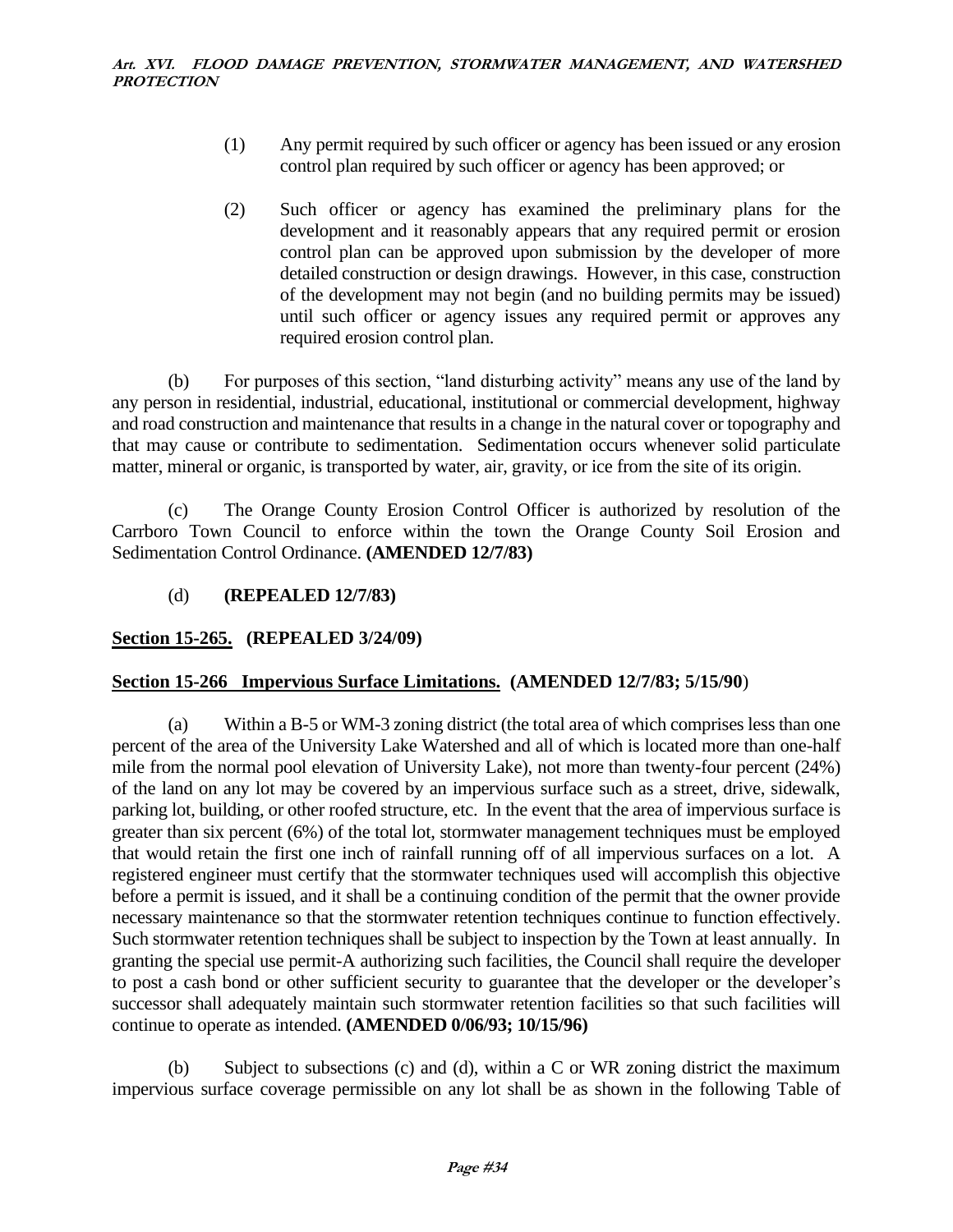- (1) Any permit required by such officer or agency has been issued or any erosion control plan required by such officer or agency has been approved; or
- (2) Such officer or agency has examined the preliminary plans for the development and it reasonably appears that any required permit or erosion control plan can be approved upon submission by the developer of more detailed construction or design drawings. However, in this case, construction of the development may not begin (and no building permits may be issued) until such officer or agency issues any required permit or approves any required erosion control plan.

(b) For purposes of this section, "land disturbing activity" means any use of the land by any person in residential, industrial, educational, institutional or commercial development, highway and road construction and maintenance that results in a change in the natural cover or topography and that may cause or contribute to sedimentation. Sedimentation occurs whenever solid particulate matter, mineral or organic, is transported by water, air, gravity, or ice from the site of its origin.

(c) The Orange County Erosion Control Officer is authorized by resolution of the Carrboro Town Council to enforce within the town the Orange County Soil Erosion and Sedimentation Control Ordinance. **(AMENDED 12/7/83)**

(d) **(REPEALED 12/7/83)**

# **Section 15-265. (REPEALED 3/24/09)**

# **Section 15-266 Impervious Surface Limitations. (AMENDED 12/7/83; 5/15/90**)

(a) Within a B-5 or WM-3 zoning district (the total area of which comprises less than one percent of the area of the University Lake Watershed and all of which is located more than one-half mile from the normal pool elevation of University Lake), not more than twenty-four percent (24%) of the land on any lot may be covered by an impervious surface such as a street, drive, sidewalk, parking lot, building, or other roofed structure, etc. In the event that the area of impervious surface is greater than six percent (6%) of the total lot, stormwater management techniques must be employed that would retain the first one inch of rainfall running off of all impervious surfaces on a lot. A registered engineer must certify that the stormwater techniques used will accomplish this objective before a permit is issued, and it shall be a continuing condition of the permit that the owner provide necessary maintenance so that the stormwater retention techniques continue to function effectively. Such stormwater retention techniques shall be subject to inspection by the Town at least annually. In granting the special use permit-A authorizing such facilities, the Council shall require the developer to post a cash bond or other sufficient security to guarantee that the developer or the developer's successor shall adequately maintain such stormwater retention facilities so that such facilities will continue to operate as intended. **(AMENDED 0/06/93; 10/15/96)**

(b) Subject to subsections (c) and (d), within a C or WR zoning district the maximum impervious surface coverage permissible on any lot shall be as shown in the following Table of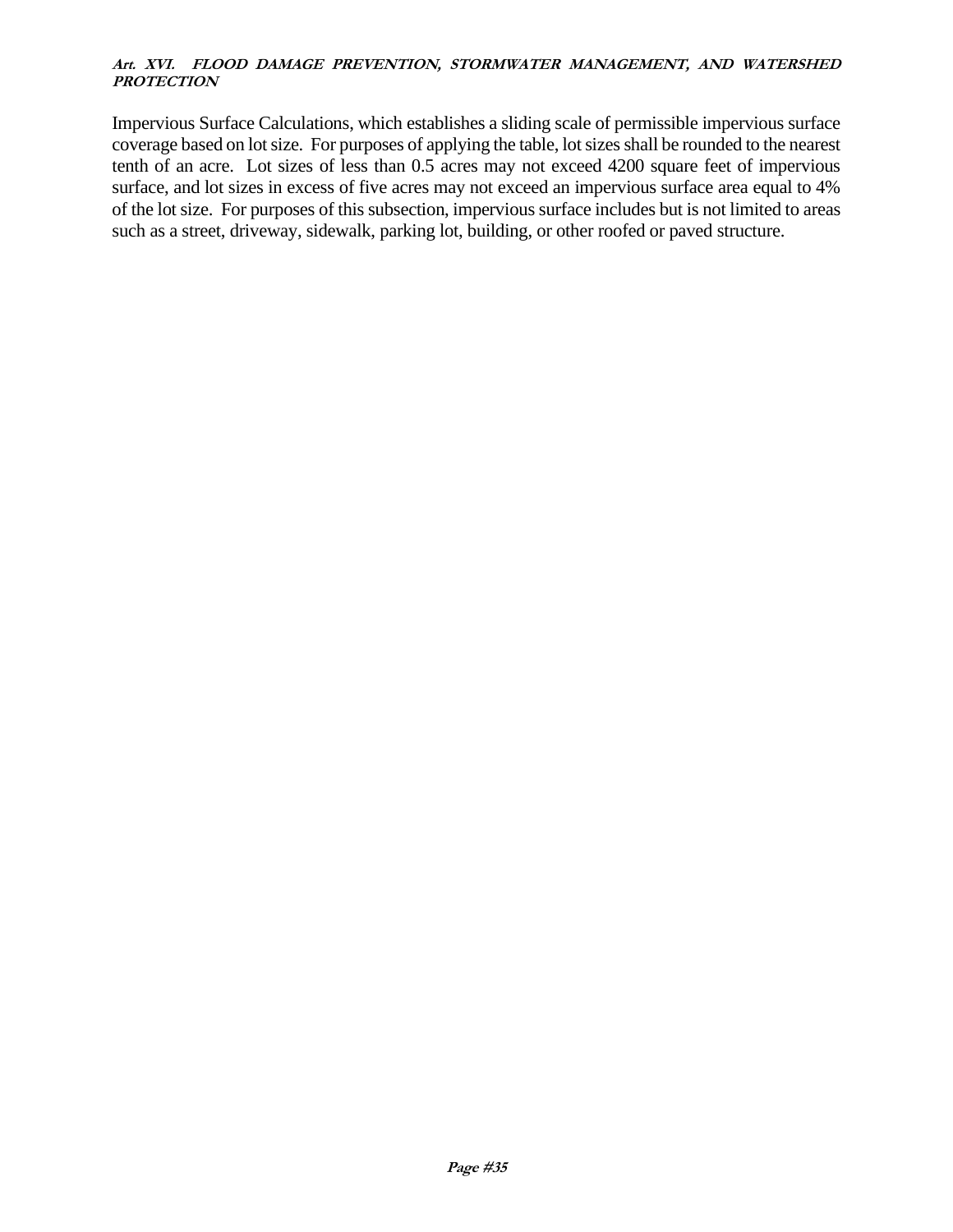Impervious Surface Calculations, which establishes a sliding scale of permissible impervious surface coverage based on lot size. For purposes of applying the table, lot sizes shall be rounded to the nearest tenth of an acre. Lot sizes of less than 0.5 acres may not exceed 4200 square feet of impervious surface, and lot sizes in excess of five acres may not exceed an impervious surface area equal to 4% of the lot size. For purposes of this subsection, impervious surface includes but is not limited to areas such as a street, driveway, sidewalk, parking lot, building, or other roofed or paved structure.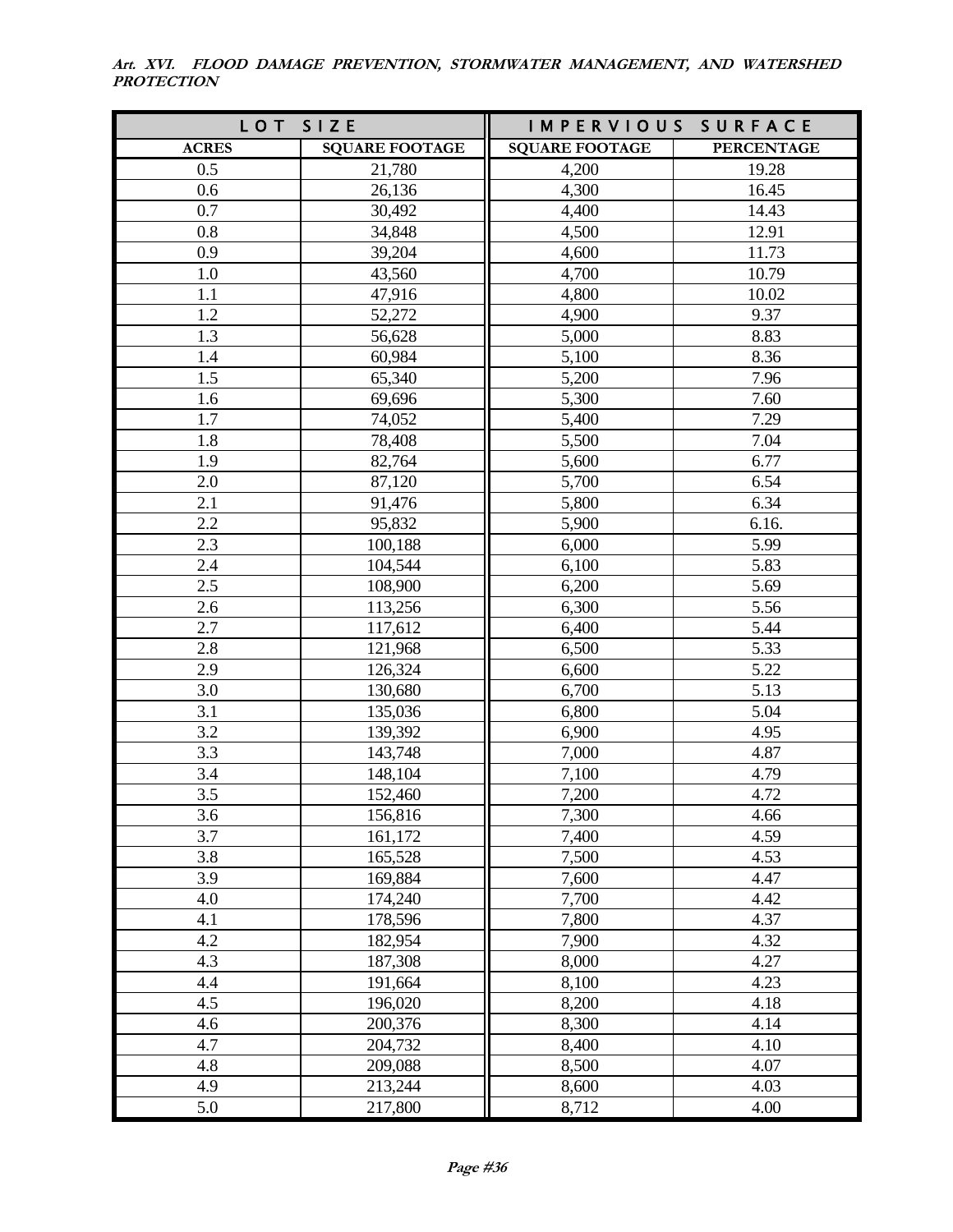**Art. XVI. FLOOD DAMAGE PREVENTION, STORMWATER MANAGEMENT, AND WATERSHED PROTECTION**

| LOT          | SIZE                  | IMPERVIOUS SURFACE    |                   |
|--------------|-----------------------|-----------------------|-------------------|
| <b>ACRES</b> | <b>SQUARE FOOTAGE</b> | <b>SQUARE FOOTAGE</b> | <b>PERCENTAGE</b> |
| 0.5          | 21,780                | 4,200                 | 19.28             |
| 0.6          | 26,136                | 4,300                 | 16.45             |
| 0.7          | 30,492                | 4,400                 | 14.43             |
| 0.8          | 34,848                | 4,500                 | 12.91             |
| 0.9          | 39,204                | 4,600                 | 11.73             |
| 1.0          | 43,560                | 4,700                 | 10.79             |
| 1.1          | 47,916                | 4,800                 | 10.02             |
| 1.2          | 52,272                | 4,900                 | 9.37              |
| 1.3          | 56,628                | 5,000                 | 8.83              |
| 1.4          | 60,984                | 5,100                 | 8.36              |
| 1.5          | 65,340                | 5,200                 | 7.96              |
| 1.6          | 69,696                | 5,300                 | 7.60              |
| 1.7          | 74,052                | 5,400                 | 7.29              |
| 1.8          | 78,408                | 5,500                 | 7.04              |
| 1.9          | 82,764                | 5,600                 | 6.77              |
| 2.0          | 87,120                | 5,700                 | 6.54              |
| 2.1          | 91,476                | 5,800                 | 6.34              |
| 2.2          | 95,832                | 5,900                 | 6.16.             |
| 2.3          | 100,188               | 6,000                 | 5.99              |
| 2.4          | 104,544               | 6,100                 | 5.83              |
| 2.5          | 108,900               | 6,200                 | 5.69              |
| 2.6          | 113,256               | 6,300                 | 5.56              |
| 2.7          | 117,612               | 6,400                 | 5.44              |
| 2.8          | 121,968               | 6,500                 | 5.33              |
| 2.9          | 126,324               | 6,600                 | 5.22              |
| 3.0          | 130,680               | 6,700                 | 5.13              |
| 3.1          | 135,036               | 6,800                 | 5.04              |
| 3.2          | 139,392               | 6,900                 | 4.95              |
| 3.3          | 143,748               | 7,000                 | 4.87              |
| 3.4          | 148,104               | 7,100                 | 4.79              |
| 3.5          | 152,460               | 7,200                 | 4.72              |
| 3.6          | 156,816               | 7,300                 | 4.66              |
| 3.7          | 161,172               | 7,400                 | 4.59              |
| 3.8          | 165,528<br>169,884    | 7,500<br>7,600        | 4.53              |
| 3.9<br>4.0   |                       | 7,700                 | 4.47<br>4.42      |
| 4.1          | 174,240<br>178,596    |                       |                   |
| 4.2          | 182,954               | 7,800<br>7,900        | 4.37<br>4.32      |
| 4.3          | 187,308               | 8,000                 | 4.27              |
| 4.4          | 191,664               | 8,100                 | 4.23              |
| 4.5          | 196,020               | 8,200                 | 4.18              |
| 4.6          | 200,376               | 8,300                 | 4.14              |
| 4.7          | 204,732               | 8,400                 | 4.10              |
| 4.8          | 209,088               | 8,500                 | 4.07              |
| 4.9          | 213,244               | 8,600                 | 4.03              |
| 5.0          |                       |                       |                   |
|              | 217,800               | 8,712                 | 4.00              |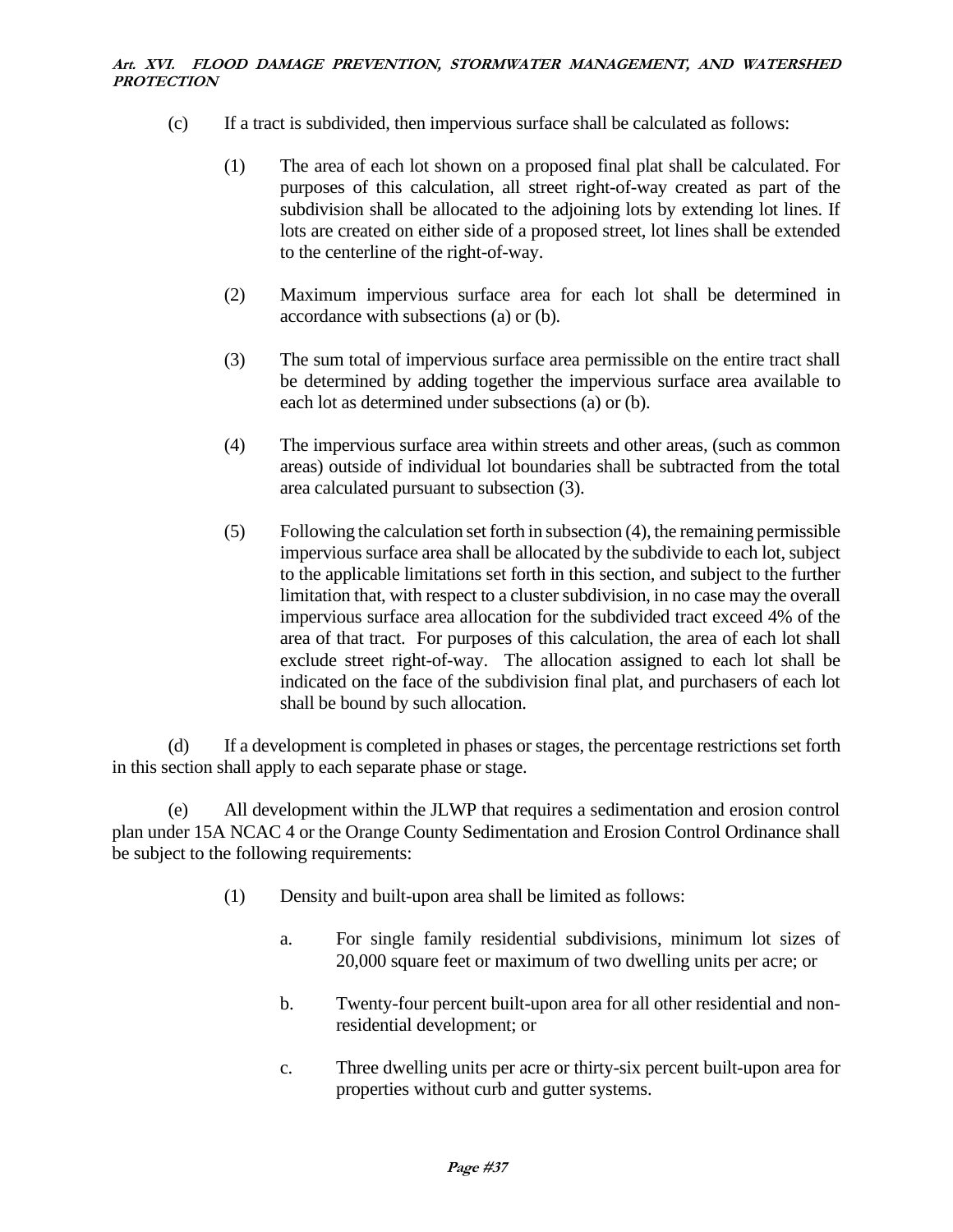- (c) If a tract is subdivided, then impervious surface shall be calculated as follows:
	- (1) The area of each lot shown on a proposed final plat shall be calculated. For purposes of this calculation, all street right-of-way created as part of the subdivision shall be allocated to the adjoining lots by extending lot lines. If lots are created on either side of a proposed street, lot lines shall be extended to the centerline of the right-of-way.
	- (2) Maximum impervious surface area for each lot shall be determined in accordance with subsections (a) or (b).
	- (3) The sum total of impervious surface area permissible on the entire tract shall be determined by adding together the impervious surface area available to each lot as determined under subsections (a) or (b).
	- (4) The impervious surface area within streets and other areas, (such as common areas) outside of individual lot boundaries shall be subtracted from the total area calculated pursuant to subsection (3).
	- (5) Following the calculation set forth in subsection (4), the remaining permissible impervious surface area shall be allocated by the subdivide to each lot, subject to the applicable limitations set forth in this section, and subject to the further limitation that, with respect to a cluster subdivision, in no case may the overall impervious surface area allocation for the subdivided tract exceed 4% of the area of that tract. For purposes of this calculation, the area of each lot shall exclude street right-of-way. The allocation assigned to each lot shall be indicated on the face of the subdivision final plat, and purchasers of each lot shall be bound by such allocation.

(d) If a development is completed in phases or stages, the percentage restrictions set forth in this section shall apply to each separate phase or stage.

(e) All development within the JLWP that requires a sedimentation and erosion control plan under 15A NCAC 4 or the Orange County Sedimentation and Erosion Control Ordinance shall be subject to the following requirements:

- (1) Density and built-upon area shall be limited as follows:
	- a. For single family residential subdivisions, minimum lot sizes of 20,000 square feet or maximum of two dwelling units per acre; or
	- b. Twenty-four percent built-upon area for all other residential and nonresidential development; or
	- c. Three dwelling units per acre or thirty-six percent built-upon area for properties without curb and gutter systems.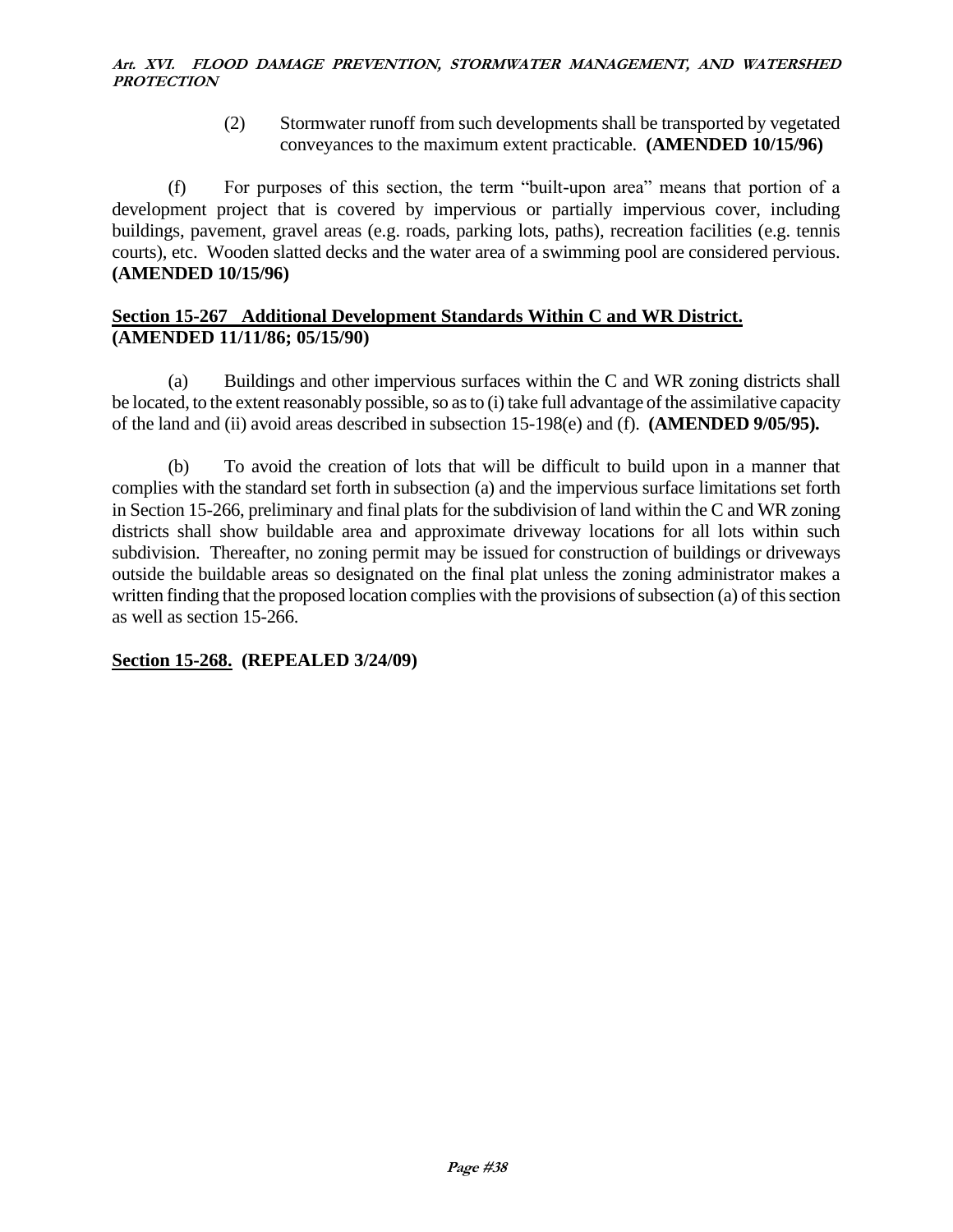(2) Stormwater runoff from such developments shall be transported by vegetated conveyances to the maximum extent practicable. **(AMENDED 10/15/96)**

(f) For purposes of this section, the term "built-upon area" means that portion of a development project that is covered by impervious or partially impervious cover, including buildings, pavement, gravel areas (e.g. roads, parking lots, paths), recreation facilities (e.g. tennis courts), etc. Wooden slatted decks and the water area of a swimming pool are considered pervious. **(AMENDED 10/15/96)**

### **Section 15-267 Additional Development Standards Within C and WR District. (AMENDED 11/11/86; 05/15/90)**

(a) Buildings and other impervious surfaces within the C and WR zoning districts shall be located, to the extent reasonably possible, so as to (i) take full advantage of the assimilative capacity of the land and (ii) avoid areas described in subsection 15-198(e) and (f). **(AMENDED 9/05/95).**

(b) To avoid the creation of lots that will be difficult to build upon in a manner that complies with the standard set forth in subsection (a) and the impervious surface limitations set forth in Section 15-266, preliminary and final plats for the subdivision of land within the C and WR zoning districts shall show buildable area and approximate driveway locations for all lots within such subdivision. Thereafter, no zoning permit may be issued for construction of buildings or driveways outside the buildable areas so designated on the final plat unless the zoning administrator makes a written finding that the proposed location complies with the provisions of subsection (a) of this section as well as section 15-266.

# **Section 15-268. (REPEALED 3/24/09)**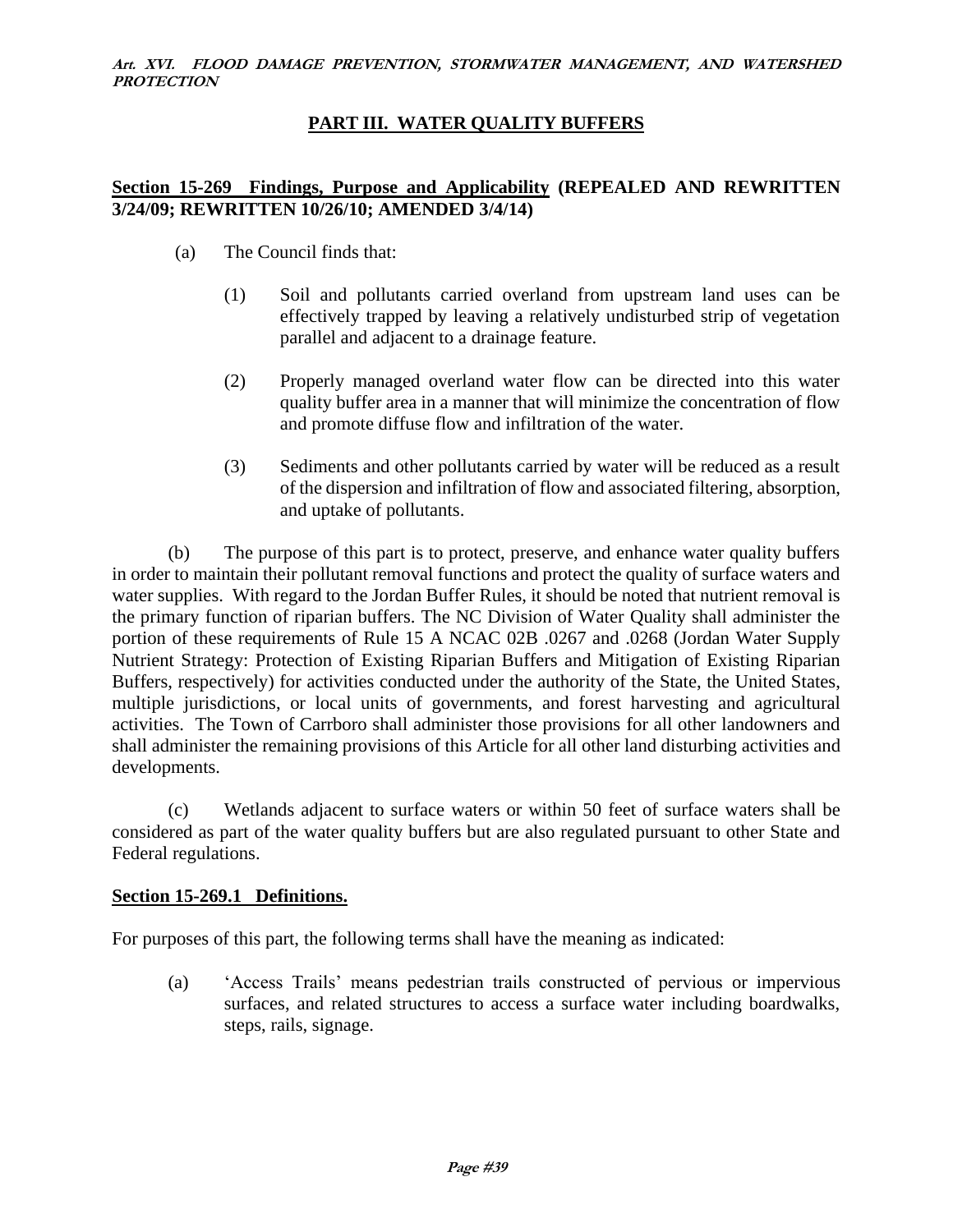### **PART III. WATER QUALITY BUFFERS**

### **Section 15-269 Findings, Purpose and Applicability (REPEALED AND REWRITTEN 3/24/09; REWRITTEN 10/26/10; AMENDED 3/4/14)**

- (a) The Council finds that:
	- (1) Soil and pollutants carried overland from upstream land uses can be effectively trapped by leaving a relatively undisturbed strip of vegetation parallel and adjacent to a drainage feature.
	- (2) Properly managed overland water flow can be directed into this water quality buffer area in a manner that will minimize the concentration of flow and promote diffuse flow and infiltration of the water.
	- (3) Sediments and other pollutants carried by water will be reduced as a result of the dispersion and infiltration of flow and associated filtering, absorption, and uptake of pollutants.

(b) The purpose of this part is to protect, preserve, and enhance water quality buffers in order to maintain their pollutant removal functions and protect the quality of surface waters and water supplies. With regard to the Jordan Buffer Rules, it should be noted that nutrient removal is the primary function of riparian buffers. The NC Division of Water Quality shall administer the portion of these requirements of Rule 15 A NCAC 02B .0267 and .0268 (Jordan Water Supply Nutrient Strategy: Protection of Existing Riparian Buffers and Mitigation of Existing Riparian Buffers, respectively) for activities conducted under the authority of the State, the United States, multiple jurisdictions, or local units of governments, and forest harvesting and agricultural activities. The Town of Carrboro shall administer those provisions for all other landowners and shall administer the remaining provisions of this Article for all other land disturbing activities and developments.

(c) Wetlands adjacent to surface waters or within 50 feet of surface waters shall be considered as part of the water quality buffers but are also regulated pursuant to other State and Federal regulations.

### **Section 15-269.1 Definitions.**

For purposes of this part, the following terms shall have the meaning as indicated:

(a) 'Access Trails' means pedestrian trails constructed of pervious or impervious surfaces, and related structures to access a surface water including boardwalks, steps, rails, signage.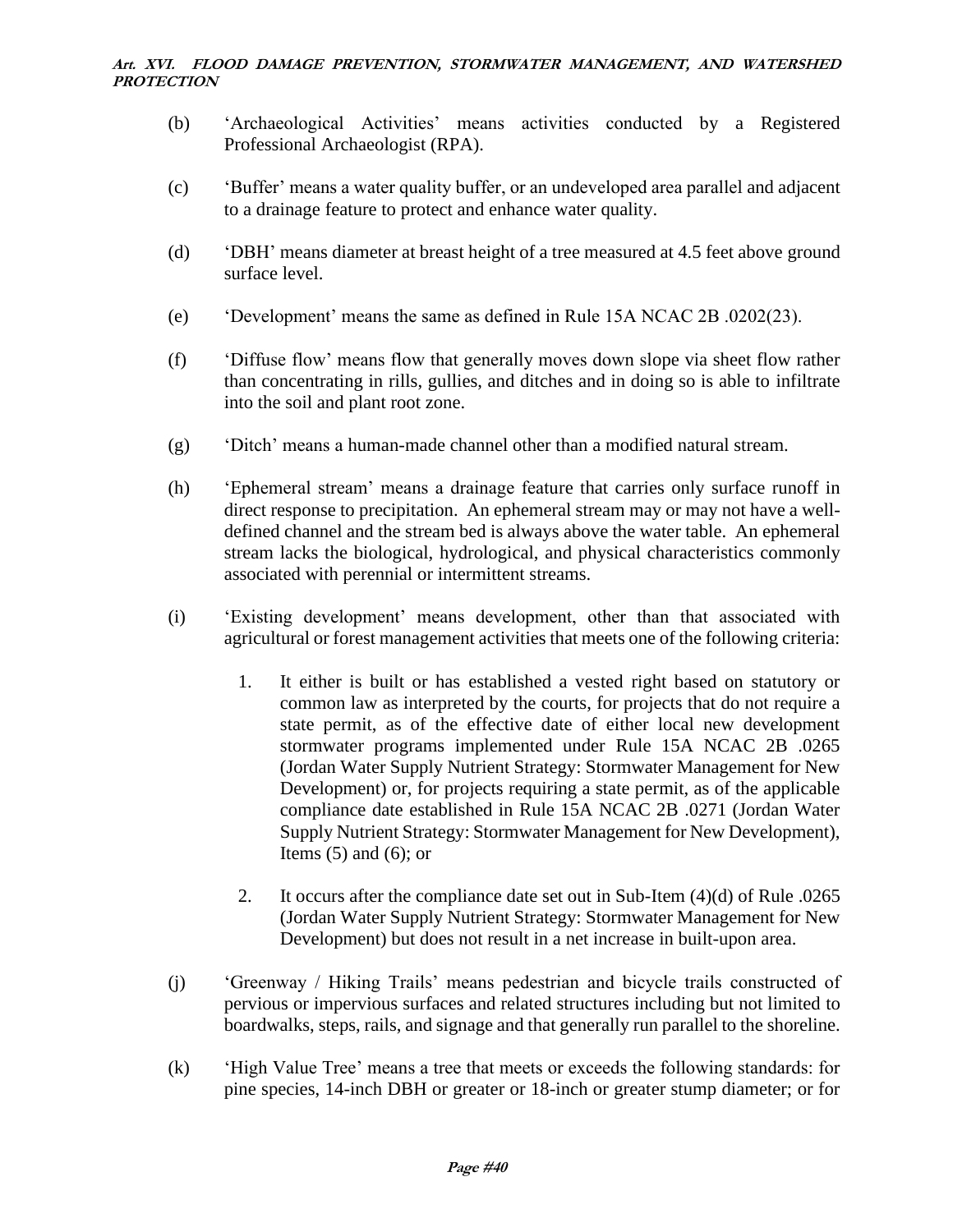- (b) 'Archaeological Activities' means activities conducted by a Registered Professional Archaeologist (RPA).
- (c) 'Buffer' means a water quality buffer, or an undeveloped area parallel and adjacent to a drainage feature to protect and enhance water quality.
- (d) 'DBH' means diameter at breast height of a tree measured at 4.5 feet above ground surface level.
- (e) 'Development' means the same as defined in Rule 15A NCAC 2B .0202(23).
- (f) 'Diffuse flow' means flow that generally moves down slope via sheet flow rather than concentrating in rills, gullies, and ditches and in doing so is able to infiltrate into the soil and plant root zone.
- (g) 'Ditch' means a human-made channel other than a modified natural stream.
- (h) 'Ephemeral stream' means a drainage feature that carries only surface runoff in direct response to precipitation. An ephemeral stream may or may not have a welldefined channel and the stream bed is always above the water table. An ephemeral stream lacks the biological, hydrological, and physical characteristics commonly associated with perennial or intermittent streams.
- (i) 'Existing development' means development, other than that associated with agricultural or forest management activities that meets one of the following criteria:
	- 1. It either is built or has established a vested right based on statutory or common law as interpreted by the courts, for projects that do not require a state permit, as of the effective date of either local new development stormwater programs implemented under Rule 15A NCAC 2B .0265 (Jordan Water Supply Nutrient Strategy: Stormwater Management for New Development) or, for projects requiring a state permit, as of the applicable compliance date established in Rule 15A NCAC 2B .0271 (Jordan Water Supply Nutrient Strategy: Stormwater Management for New Development), Items  $(5)$  and  $(6)$ ; or
	- 2. It occurs after the compliance date set out in Sub-Item (4)(d) of Rule .0265 (Jordan Water Supply Nutrient Strategy: Stormwater Management for New Development) but does not result in a net increase in built-upon area.
- (j) 'Greenway / Hiking Trails' means pedestrian and bicycle trails constructed of pervious or impervious surfaces and related structures including but not limited to boardwalks, steps, rails, and signage and that generally run parallel to the shoreline.
- (k) 'High Value Tree' means a tree that meets or exceeds the following standards: for pine species, 14-inch DBH or greater or 18-inch or greater stump diameter; or for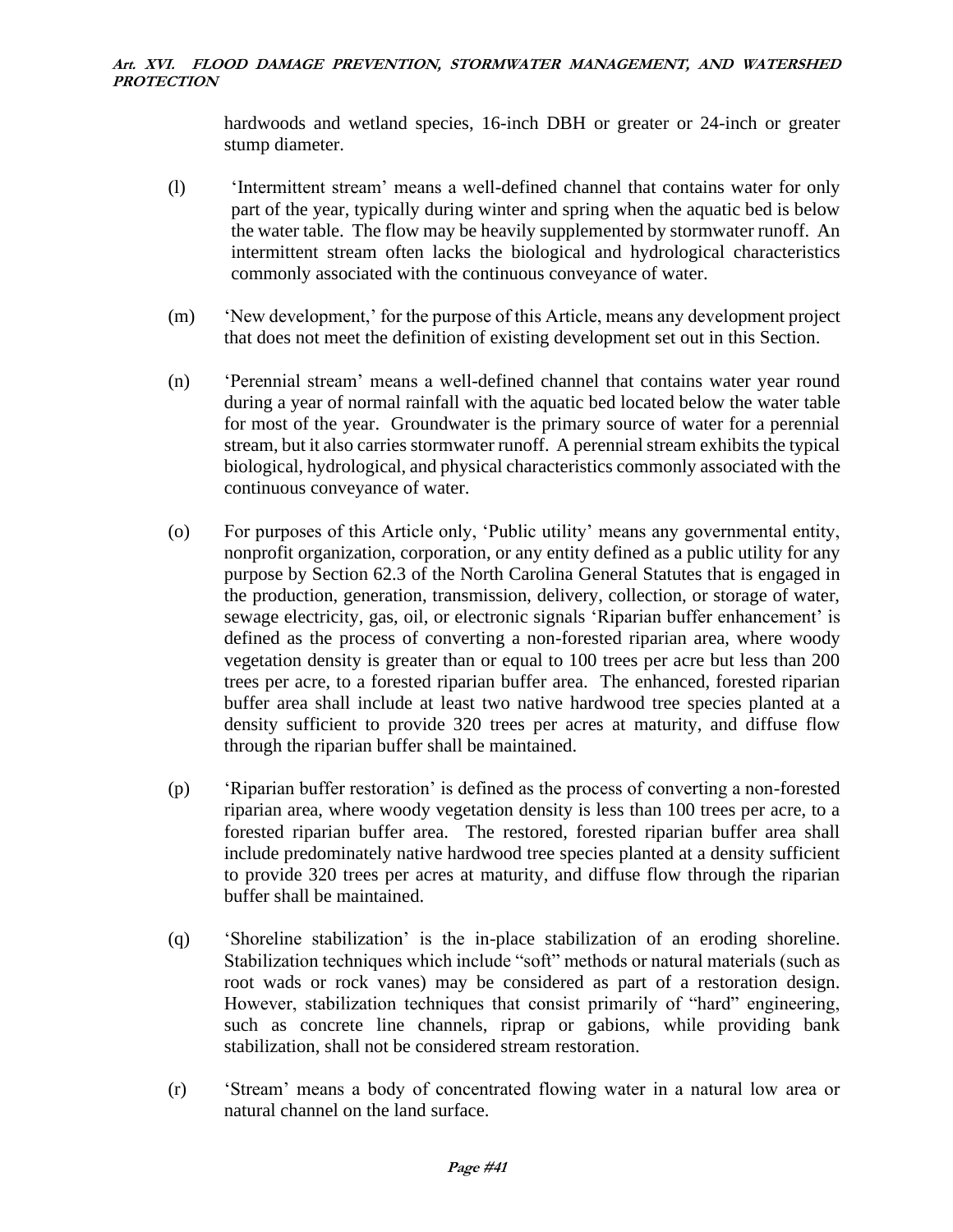hardwoods and wetland species, 16-inch DBH or greater or 24-inch or greater stump diameter.

- (l) 'Intermittent stream' means a well-defined channel that contains water for only part of the year, typically during winter and spring when the aquatic bed is below the water table. The flow may be heavily supplemented by stormwater runoff. An intermittent stream often lacks the biological and hydrological characteristics commonly associated with the continuous conveyance of water.
- (m) 'New development,' for the purpose of this Article, means any development project that does not meet the definition of existing development set out in this Section.
- (n) 'Perennial stream' means a well-defined channel that contains water year round during a year of normal rainfall with the aquatic bed located below the water table for most of the year. Groundwater is the primary source of water for a perennial stream, but it also carries stormwater runoff. A perennial stream exhibits the typical biological, hydrological, and physical characteristics commonly associated with the continuous conveyance of water.
- (o) For purposes of this Article only, 'Public utility' means any governmental entity, nonprofit organization, corporation, or any entity defined as a public utility for any purpose by Section 62.3 of the North Carolina General Statutes that is engaged in the production, generation, transmission, delivery, collection, or storage of water, sewage electricity, gas, oil, or electronic signals 'Riparian buffer enhancement' is defined as the process of converting a non-forested riparian area, where woody vegetation density is greater than or equal to 100 trees per acre but less than 200 trees per acre, to a forested riparian buffer area. The enhanced, forested riparian buffer area shall include at least two native hardwood tree species planted at a density sufficient to provide 320 trees per acres at maturity, and diffuse flow through the riparian buffer shall be maintained.
- (p) 'Riparian buffer restoration' is defined as the process of converting a non-forested riparian area, where woody vegetation density is less than 100 trees per acre, to a forested riparian buffer area. The restored, forested riparian buffer area shall include predominately native hardwood tree species planted at a density sufficient to provide 320 trees per acres at maturity, and diffuse flow through the riparian buffer shall be maintained.
- (q) 'Shoreline stabilization' is the in-place stabilization of an eroding shoreline. Stabilization techniques which include "soft" methods or natural materials (such as root wads or rock vanes) may be considered as part of a restoration design. However, stabilization techniques that consist primarily of "hard" engineering, such as concrete line channels, riprap or gabions, while providing bank stabilization, shall not be considered stream restoration.
- (r) 'Stream' means a body of concentrated flowing water in a natural low area or natural channel on the land surface.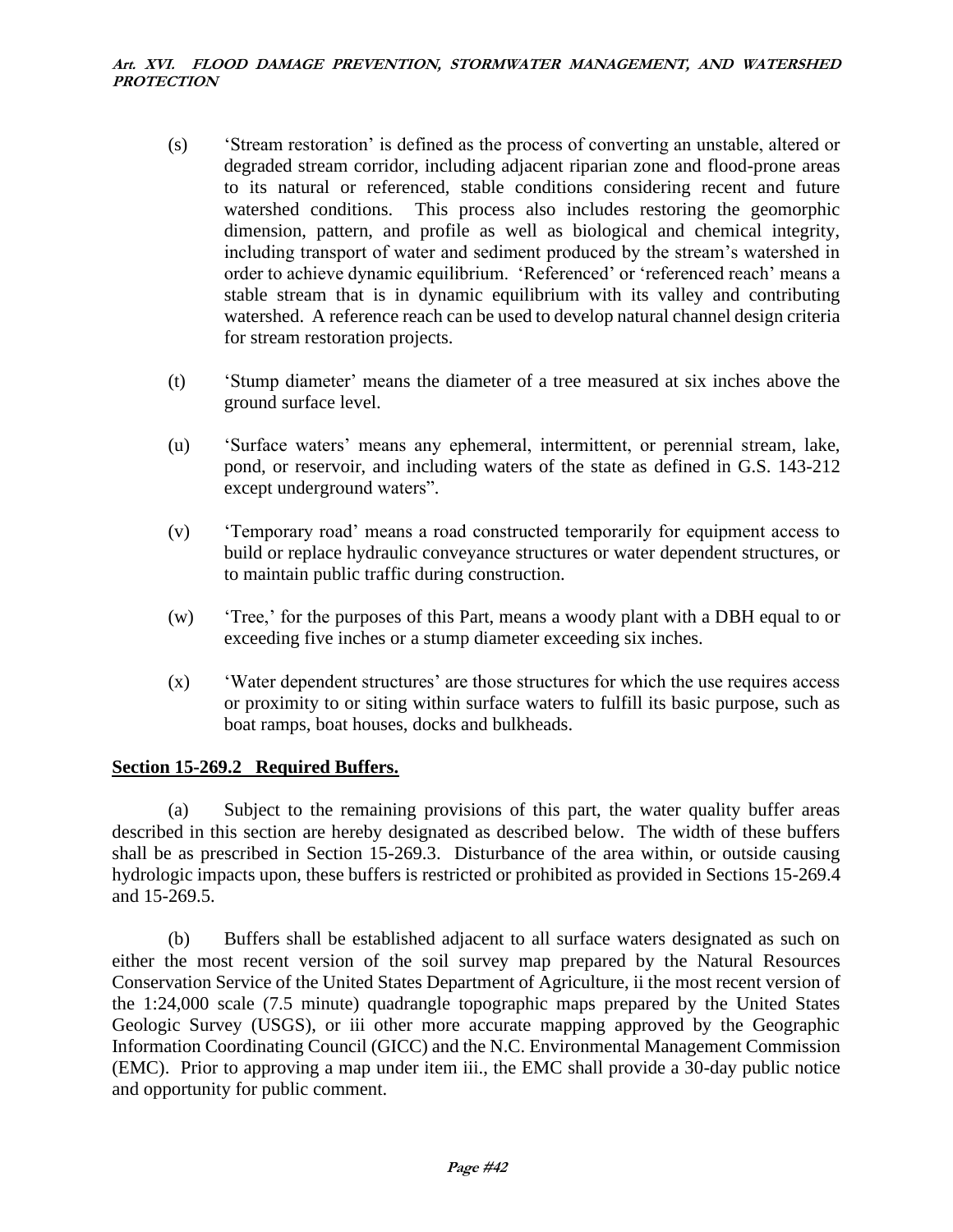- (s) 'Stream restoration' is defined as the process of converting an unstable, altered or degraded stream corridor, including adjacent riparian zone and flood-prone areas to its natural or referenced, stable conditions considering recent and future watershed conditions. This process also includes restoring the geomorphic dimension, pattern, and profile as well as biological and chemical integrity, including transport of water and sediment produced by the stream's watershed in order to achieve dynamic equilibrium. 'Referenced' or 'referenced reach' means a stable stream that is in dynamic equilibrium with its valley and contributing watershed. A reference reach can be used to develop natural channel design criteria for stream restoration projects.
- (t) 'Stump diameter' means the diameter of a tree measured at six inches above the ground surface level.
- (u) 'Surface waters' means any ephemeral, intermittent, or perennial stream, lake, pond, or reservoir, and including waters of the state as defined in G.S. 143-212 except underground waters".
- (v) 'Temporary road' means a road constructed temporarily for equipment access to build or replace hydraulic conveyance structures or water dependent structures, or to maintain public traffic during construction.
- (w) 'Tree,' for the purposes of this Part, means a woody plant with a DBH equal to or exceeding five inches or a stump diameter exceeding six inches.
- (x) 'Water dependent structures' are those structures for which the use requires access or proximity to or siting within surface waters to fulfill its basic purpose, such as boat ramps, boat houses, docks and bulkheads.

### **Section 15-269.2 Required Buffers.**

(a) Subject to the remaining provisions of this part, the water quality buffer areas described in this section are hereby designated as described below. The width of these buffers shall be as prescribed in Section 15-269.3. Disturbance of the area within, or outside causing hydrologic impacts upon, these buffers is restricted or prohibited as provided in Sections 15-269.4 and 15-269.5.

(b) Buffers shall be established adjacent to all surface waters designated as such on either the most recent version of the soil survey map prepared by the Natural Resources Conservation Service of the United States Department of Agriculture, ii the most recent version of the 1:24,000 scale (7.5 minute) quadrangle topographic maps prepared by the United States Geologic Survey (USGS), or iii other more accurate mapping approved by the Geographic Information Coordinating Council (GICC) and the N.C. Environmental Management Commission (EMC). Prior to approving a map under item iii., the EMC shall provide a 30-day public notice and opportunity for public comment.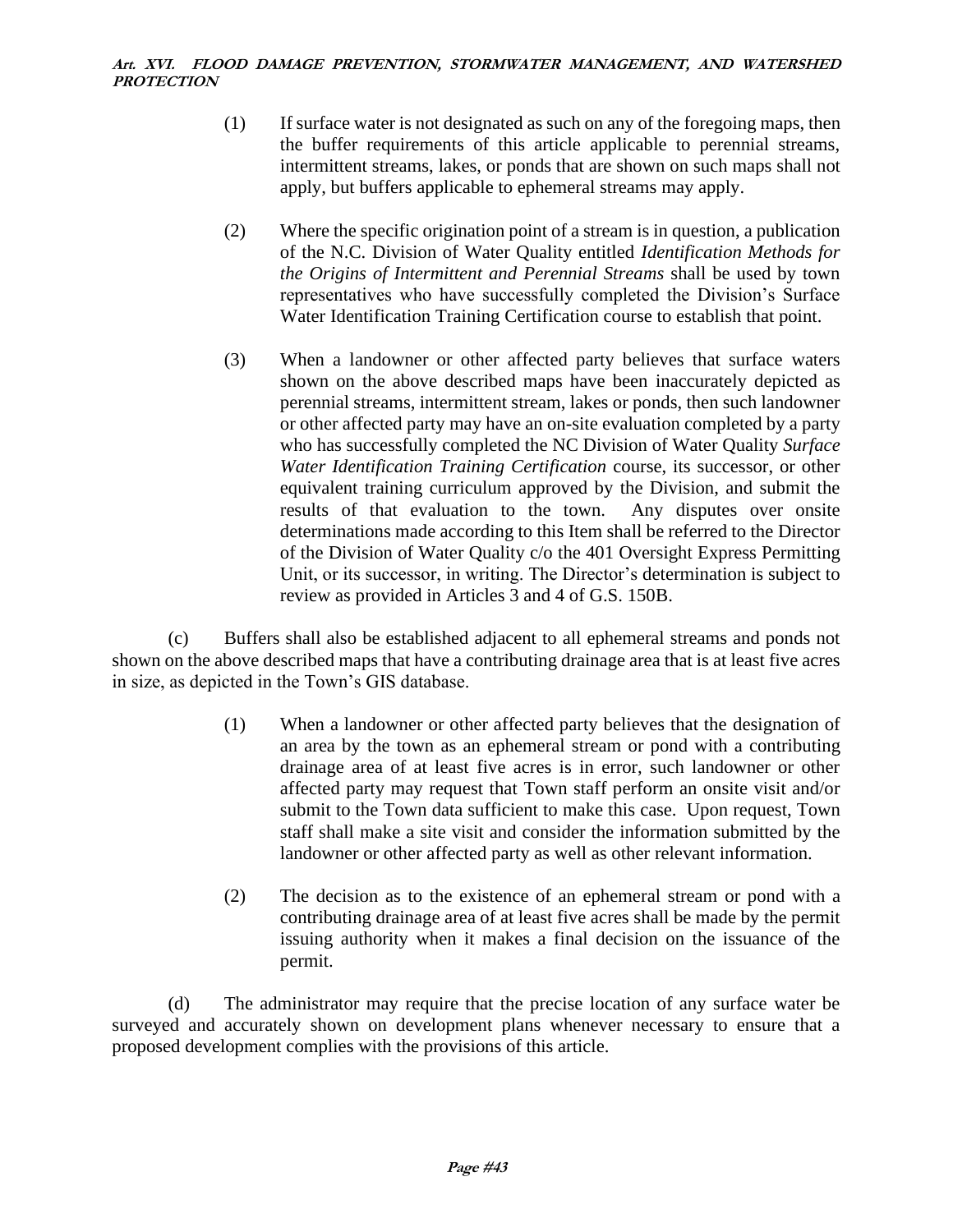- (1) If surface water is not designated as such on any of the foregoing maps, then the buffer requirements of this article applicable to perennial streams, intermittent streams, lakes, or ponds that are shown on such maps shall not apply, but buffers applicable to ephemeral streams may apply.
- (2) Where the specific origination point of a stream is in question, a publication of the N.C. Division of Water Quality entitled *Identification Methods for the Origins of Intermittent and Perennial Streams* shall be used by town representatives who have successfully completed the Division's Surface Water Identification Training Certification course to establish that point.
- (3) When a landowner or other affected party believes that surface waters shown on the above described maps have been inaccurately depicted as perennial streams, intermittent stream, lakes or ponds, then such landowner or other affected party may have an on-site evaluation completed by a party who has successfully completed the NC Division of Water Quality *Surface Water Identification Training Certification* course, its successor, or other equivalent training curriculum approved by the Division, and submit the results of that evaluation to the town. Any disputes over onsite determinations made according to this Item shall be referred to the Director of the Division of Water Quality c/o the 401 Oversight Express Permitting Unit, or its successor, in writing. The Director's determination is subject to review as provided in Articles 3 and 4 of G.S. 150B.

(c) Buffers shall also be established adjacent to all ephemeral streams and ponds not shown on the above described maps that have a contributing drainage area that is at least five acres in size, as depicted in the Town's GIS database.

- (1) When a landowner or other affected party believes that the designation of an area by the town as an ephemeral stream or pond with a contributing drainage area of at least five acres is in error, such landowner or other affected party may request that Town staff perform an onsite visit and/or submit to the Town data sufficient to make this case. Upon request, Town staff shall make a site visit and consider the information submitted by the landowner or other affected party as well as other relevant information.
- (2) The decision as to the existence of an ephemeral stream or pond with a contributing drainage area of at least five acres shall be made by the permit issuing authority when it makes a final decision on the issuance of the permit.

(d) The administrator may require that the precise location of any surface water be surveyed and accurately shown on development plans whenever necessary to ensure that a proposed development complies with the provisions of this article.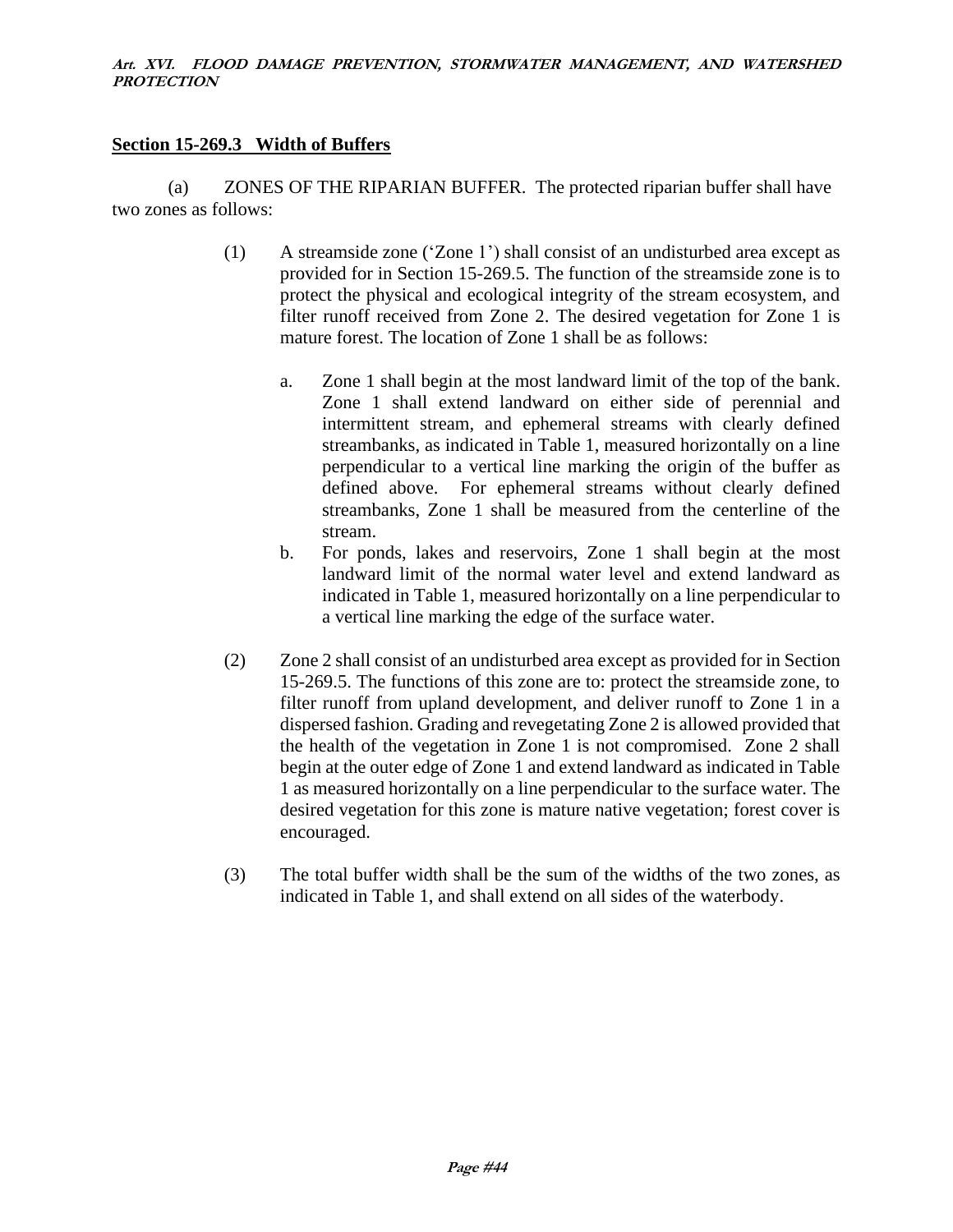### **Section 15-269.3 Width of Buffers**

(a) ZONES OF THE RIPARIAN BUFFER. The protected riparian buffer shall have two zones as follows:

- (1) A streamside zone ('Zone 1') shall consist of an undisturbed area except as provided for in Section 15-269.5. The function of the streamside zone is to protect the physical and ecological integrity of the stream ecosystem, and filter runoff received from Zone 2. The desired vegetation for Zone 1 is mature forest. The location of Zone 1 shall be as follows:
	- a. Zone 1 shall begin at the most landward limit of the top of the bank. Zone 1 shall extend landward on either side of perennial and intermittent stream, and ephemeral streams with clearly defined streambanks, as indicated in Table 1, measured horizontally on a line perpendicular to a vertical line marking the origin of the buffer as defined above. For ephemeral streams without clearly defined streambanks, Zone 1 shall be measured from the centerline of the stream.
	- b. For ponds, lakes and reservoirs, Zone 1 shall begin at the most landward limit of the normal water level and extend landward as indicated in Table 1, measured horizontally on a line perpendicular to a vertical line marking the edge of the surface water.
- (2) Zone 2 shall consist of an undisturbed area except as provided for in Section 15-269.5. The functions of this zone are to: protect the streamside zone, to filter runoff from upland development, and deliver runoff to Zone 1 in a dispersed fashion. Grading and revegetating Zone 2 is allowed provided that the health of the vegetation in Zone 1 is not compromised. Zone 2 shall begin at the outer edge of Zone 1 and extend landward as indicated in Table 1 as measured horizontally on a line perpendicular to the surface water. The desired vegetation for this zone is mature native vegetation; forest cover is encouraged.
- (3) The total buffer width shall be the sum of the widths of the two zones, as indicated in Table 1, and shall extend on all sides of the waterbody.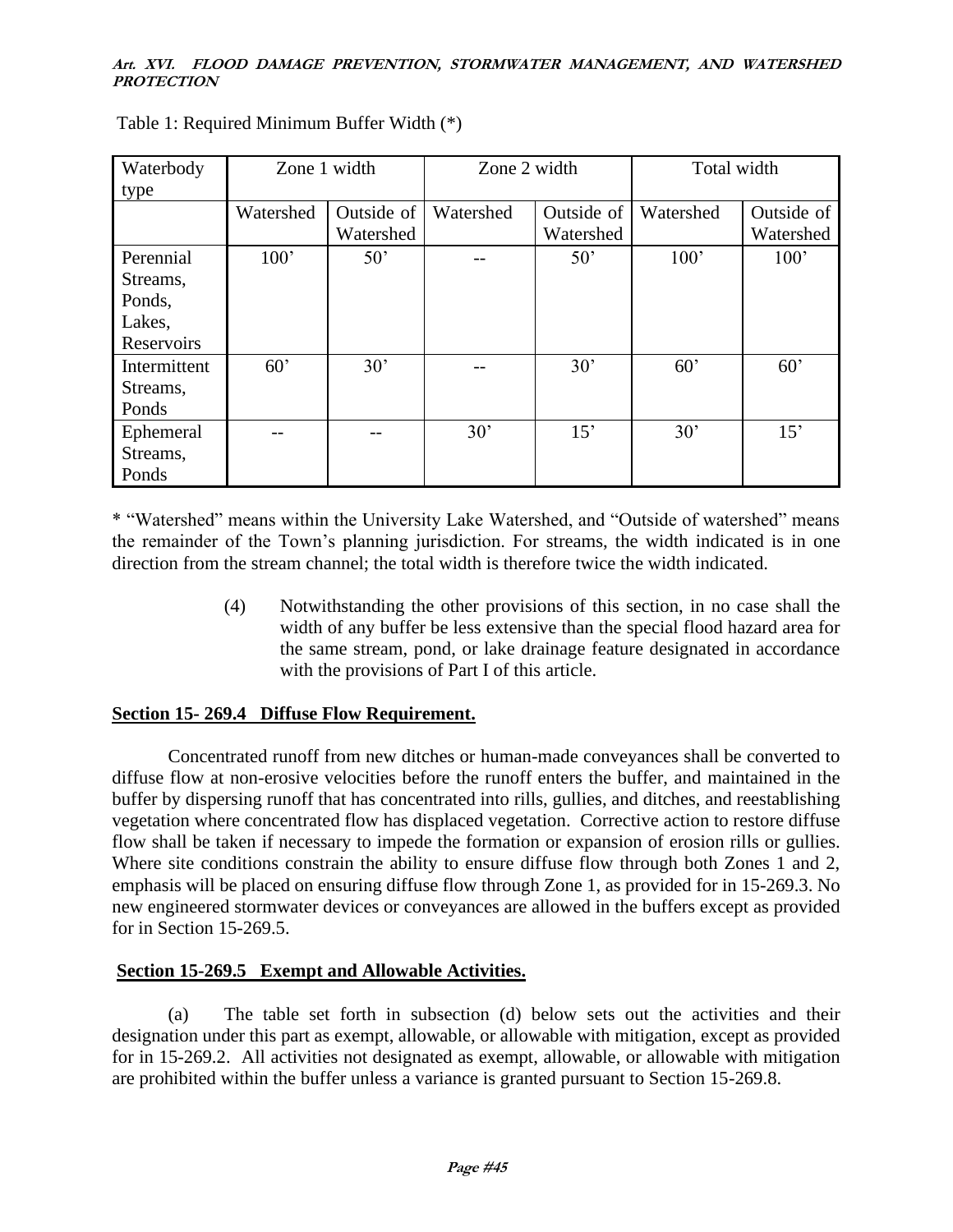| Waterbody    | Zone 1 width |            | Zone 2 width |            | Total width |            |
|--------------|--------------|------------|--------------|------------|-------------|------------|
| type         |              |            |              |            |             |            |
|              | Watershed    | Outside of | Watershed    | Outside of | Watershed   | Outside of |
|              |              | Watershed  |              | Watershed  |             | Watershed  |
| Perennial    | 100'         | 50'        |              | 50'        | 100'        | 100'       |
| Streams,     |              |            |              |            |             |            |
| Ponds,       |              |            |              |            |             |            |
| Lakes,       |              |            |              |            |             |            |
| Reservoirs   |              |            |              |            |             |            |
| Intermittent | 60'          | 30'        |              | 30'        | 60'         | 60'        |
| Streams,     |              |            |              |            |             |            |
| Ponds        |              |            |              |            |             |            |
| Ephemeral    |              |            | 30'          | 15'        | 30'         | 15'        |
| Streams,     |              |            |              |            |             |            |
| Ponds        |              |            |              |            |             |            |

Table 1: Required Minimum Buffer Width (\*)

\* "Watershed" means within the University Lake Watershed, and "Outside of watershed" means the remainder of the Town's planning jurisdiction. For streams, the width indicated is in one direction from the stream channel; the total width is therefore twice the width indicated.

> (4) Notwithstanding the other provisions of this section, in no case shall the width of any buffer be less extensive than the special flood hazard area for the same stream, pond, or lake drainage feature designated in accordance with the provisions of Part I of this article.

# **Section 15- 269.4 Diffuse Flow Requirement.**

Concentrated runoff from new ditches or human-made conveyances shall be converted to diffuse flow at non-erosive velocities before the runoff enters the buffer, and maintained in the buffer by dispersing runoff that has concentrated into rills, gullies, and ditches, and reestablishing vegetation where concentrated flow has displaced vegetation. Corrective action to restore diffuse flow shall be taken if necessary to impede the formation or expansion of erosion rills or gullies. Where site conditions constrain the ability to ensure diffuse flow through both Zones 1 and 2, emphasis will be placed on ensuring diffuse flow through Zone 1, as provided for in 15-269.3. No new engineered stormwater devices or conveyances are allowed in the buffers except as provided for in Section 15-269.5.

# **Section 15-269.5 Exempt and Allowable Activities.**

(a) The table set forth in subsection (d) below sets out the activities and their designation under this part as exempt, allowable, or allowable with mitigation, except as provided for in 15-269.2. All activities not designated as exempt, allowable, or allowable with mitigation are prohibited within the buffer unless a variance is granted pursuant to Section 15-269.8.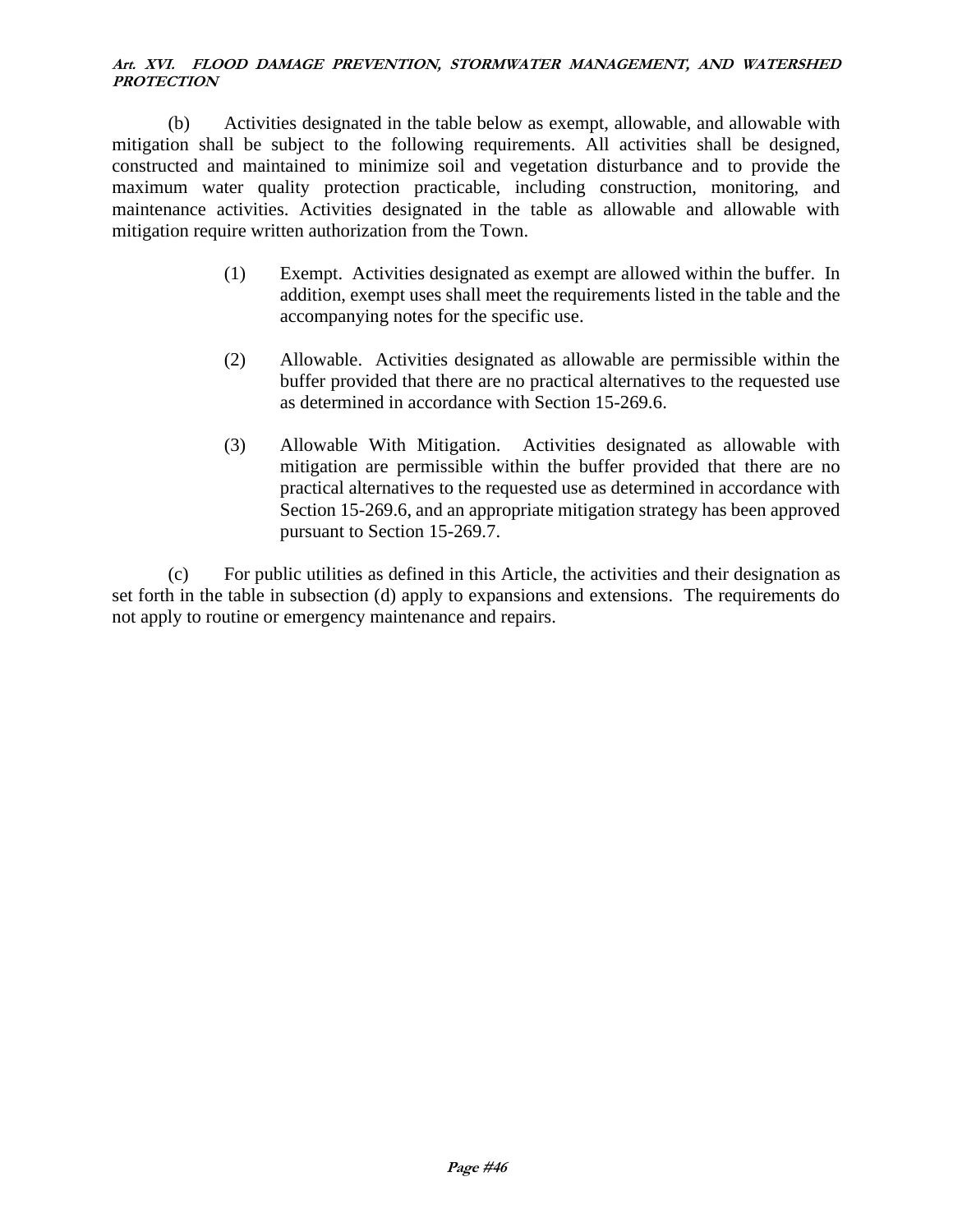(b) Activities designated in the table below as exempt, allowable, and allowable with mitigation shall be subject to the following requirements. All activities shall be designed, constructed and maintained to minimize soil and vegetation disturbance and to provide the maximum water quality protection practicable, including construction, monitoring, and maintenance activities. Activities designated in the table as allowable and allowable with mitigation require written authorization from the Town.

- (1) Exempt. Activities designated as exempt are allowed within the buffer. In addition, exempt uses shall meet the requirements listed in the table and the accompanying notes for the specific use.
- (2) Allowable. Activities designated as allowable are permissible within the buffer provided that there are no practical alternatives to the requested use as determined in accordance with Section 15-269.6.
- (3) Allowable With Mitigation. Activities designated as allowable with mitigation are permissible within the buffer provided that there are no practical alternatives to the requested use as determined in accordance with Section 15-269.6, and an appropriate mitigation strategy has been approved pursuant to Section 15-269.7.

(c) For public utilities as defined in this Article, the activities and their designation as set forth in the table in subsection (d) apply to expansions and extensions. The requirements do not apply to routine or emergency maintenance and repairs.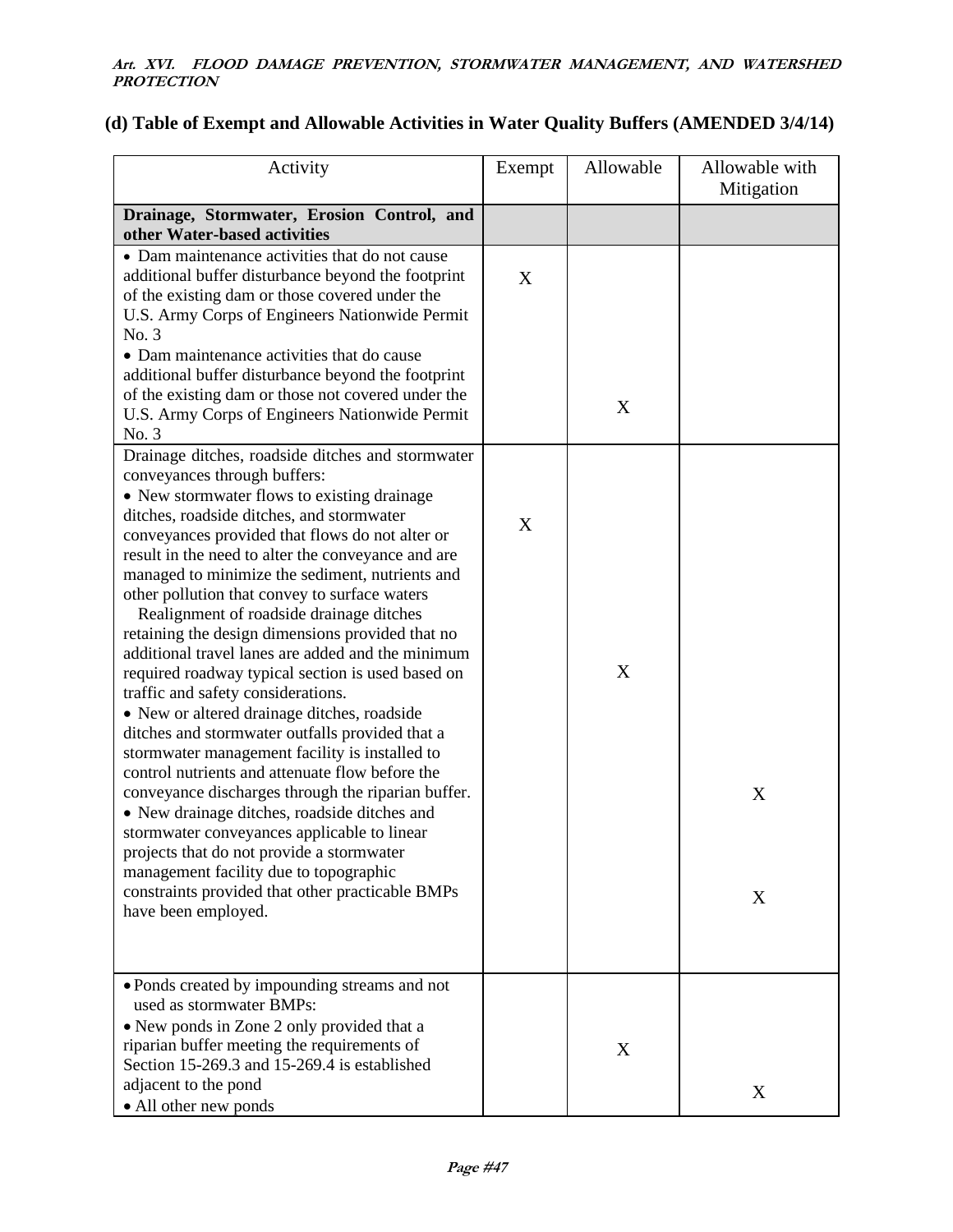# **(d) Table of Exempt and Allowable Activities in Water Quality Buffers (AMENDED 3/4/14)**

| Activity                                                                                                                                                                                                                                                                                                                                                                                                                                                                                                                                                                                                                                                                                                                                                                                                                                                                                                                                                                                                                                                                                                                                                                 | Exempt | Allowable | Allowable with<br>Mitigation |
|--------------------------------------------------------------------------------------------------------------------------------------------------------------------------------------------------------------------------------------------------------------------------------------------------------------------------------------------------------------------------------------------------------------------------------------------------------------------------------------------------------------------------------------------------------------------------------------------------------------------------------------------------------------------------------------------------------------------------------------------------------------------------------------------------------------------------------------------------------------------------------------------------------------------------------------------------------------------------------------------------------------------------------------------------------------------------------------------------------------------------------------------------------------------------|--------|-----------|------------------------------|
| Drainage, Stormwater, Erosion Control, and<br>other Water-based activities                                                                                                                                                                                                                                                                                                                                                                                                                                                                                                                                                                                                                                                                                                                                                                                                                                                                                                                                                                                                                                                                                               |        |           |                              |
| • Dam maintenance activities that do not cause<br>additional buffer disturbance beyond the footprint<br>of the existing dam or those covered under the<br>U.S. Army Corps of Engineers Nationwide Permit<br>No. 3<br>• Dam maintenance activities that do cause<br>additional buffer disturbance beyond the footprint<br>of the existing dam or those not covered under the<br>U.S. Army Corps of Engineers Nationwide Permit<br>No. 3                                                                                                                                                                                                                                                                                                                                                                                                                                                                                                                                                                                                                                                                                                                                   | X      | X         |                              |
| Drainage ditches, roadside ditches and stormwater<br>conveyances through buffers:<br>• New stormwater flows to existing drainage<br>ditches, roadside ditches, and stormwater<br>conveyances provided that flows do not alter or<br>result in the need to alter the conveyance and are<br>managed to minimize the sediment, nutrients and<br>other pollution that convey to surface waters<br>Realignment of roadside drainage ditches<br>retaining the design dimensions provided that no<br>additional travel lanes are added and the minimum<br>required roadway typical section is used based on<br>traffic and safety considerations.<br>• New or altered drainage ditches, roadside<br>ditches and stormwater outfalls provided that a<br>stormwater management facility is installed to<br>control nutrients and attenuate flow before the<br>conveyance discharges through the riparian buffer.<br>• New drainage ditches, roadside ditches and<br>stormwater conveyances applicable to linear<br>projects that do not provide a stormwater<br>management facility due to topographic<br>constraints provided that other practicable BMPs<br>have been employed. | X      | X         | X<br>X                       |
| • Ponds created by impounding streams and not<br>used as stormwater BMPs:<br>• New ponds in Zone 2 only provided that a<br>riparian buffer meeting the requirements of<br>Section 15-269.3 and 15-269.4 is established<br>adjacent to the pond<br>• All other new ponds                                                                                                                                                                                                                                                                                                                                                                                                                                                                                                                                                                                                                                                                                                                                                                                                                                                                                                  |        | X         | X                            |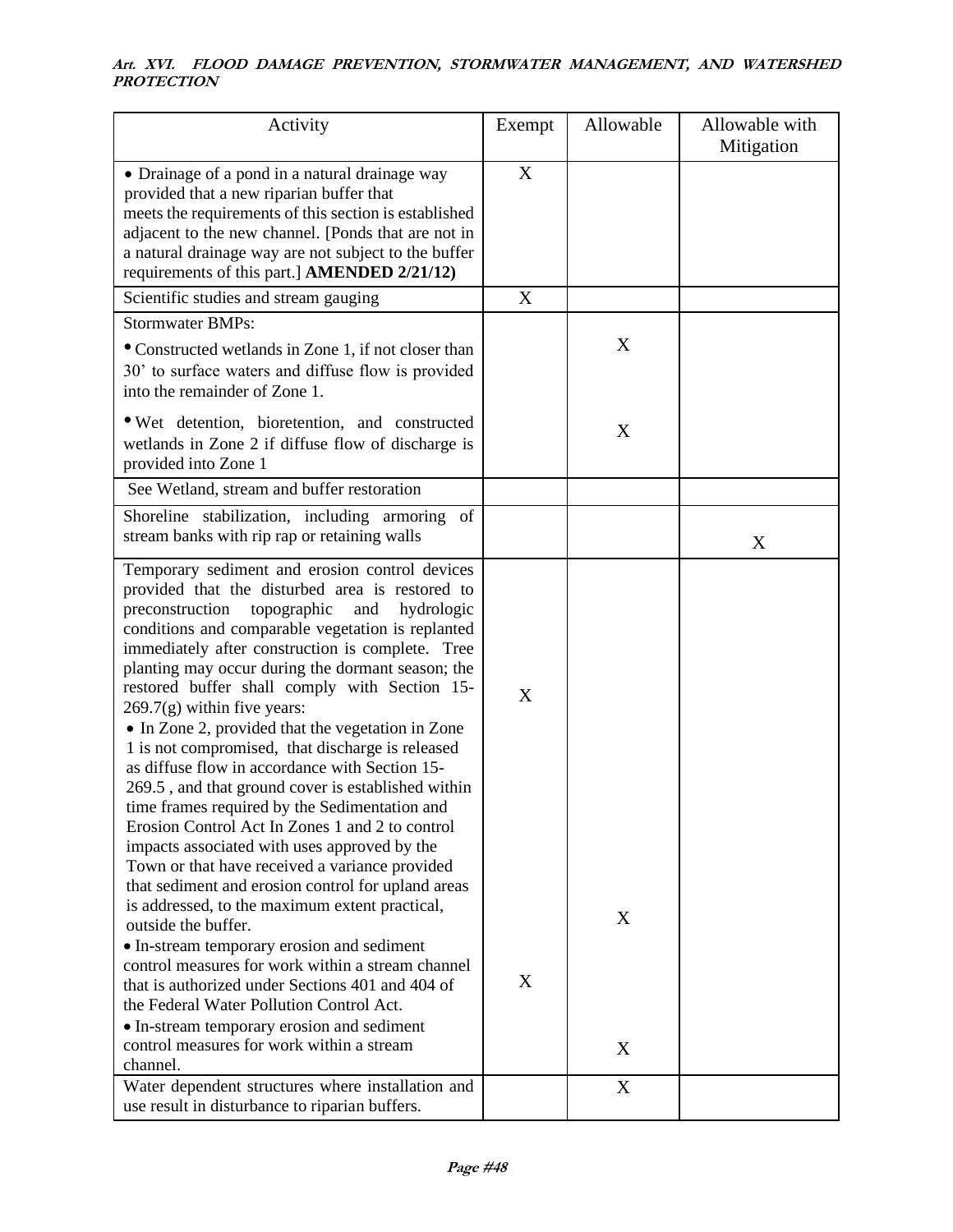| Activity                                                                                                                                                                                                                                                                                                                                                                                                                                                                                                                                                                                                                                                                                                                                                                                                                        | Exempt | Allowable   | Allowable with<br>Mitigation |
|---------------------------------------------------------------------------------------------------------------------------------------------------------------------------------------------------------------------------------------------------------------------------------------------------------------------------------------------------------------------------------------------------------------------------------------------------------------------------------------------------------------------------------------------------------------------------------------------------------------------------------------------------------------------------------------------------------------------------------------------------------------------------------------------------------------------------------|--------|-------------|------------------------------|
| • Drainage of a pond in a natural drainage way<br>provided that a new riparian buffer that<br>meets the requirements of this section is established<br>adjacent to the new channel. [Ponds that are not in<br>a natural drainage way are not subject to the buffer<br>requirements of this part.] AMENDED 2/21/12)                                                                                                                                                                                                                                                                                                                                                                                                                                                                                                              | X      |             |                              |
| Scientific studies and stream gauging                                                                                                                                                                                                                                                                                                                                                                                                                                                                                                                                                                                                                                                                                                                                                                                           | X      |             |                              |
| <b>Stormwater BMPs:</b>                                                                                                                                                                                                                                                                                                                                                                                                                                                                                                                                                                                                                                                                                                                                                                                                         |        |             |                              |
| • Constructed wetlands in Zone 1, if not closer than<br>30' to surface waters and diffuse flow is provided<br>into the remainder of Zone 1.                                                                                                                                                                                                                                                                                                                                                                                                                                                                                                                                                                                                                                                                                     |        | X           |                              |
| • Wet detention, bioretention, and constructed<br>wetlands in Zone 2 if diffuse flow of discharge is<br>provided into Zone 1                                                                                                                                                                                                                                                                                                                                                                                                                                                                                                                                                                                                                                                                                                    |        | X           |                              |
| See Wetland, stream and buffer restoration                                                                                                                                                                                                                                                                                                                                                                                                                                                                                                                                                                                                                                                                                                                                                                                      |        |             |                              |
| Shoreline stabilization, including armoring of<br>stream banks with rip rap or retaining walls                                                                                                                                                                                                                                                                                                                                                                                                                                                                                                                                                                                                                                                                                                                                  |        |             | X                            |
| Temporary sediment and erosion control devices<br>provided that the disturbed area is restored to<br>topographic<br>preconstruction<br>and<br>hydrologic<br>conditions and comparable vegetation is replanted<br>immediately after construction is complete. Tree<br>planting may occur during the dormant season; the<br>restored buffer shall comply with Section 15-<br>$269.7(g)$ within five years:<br>• In Zone 2, provided that the vegetation in Zone<br>1 is not compromised, that discharge is released<br>as diffuse flow in accordance with Section 15-<br>269.5, and that ground cover is established within<br>time frames required by the Sedimentation and<br>Erosion Control Act In Zones 1 and 2 to control<br>impacts associated with uses approved by the<br>Town or that have received a variance provided | X      |             |                              |
| that sediment and erosion control for upland areas<br>is addressed, to the maximum extent practical,<br>outside the buffer.<br>• In-stream temporary erosion and sediment<br>control measures for work within a stream channel<br>that is authorized under Sections 401 and 404 of<br>the Federal Water Pollution Control Act.<br>• In-stream temporary erosion and sediment<br>control measures for work within a stream<br>channel.<br>Water dependent structures where installation and                                                                                                                                                                                                                                                                                                                                      | X      | X<br>X<br>X |                              |
| use result in disturbance to riparian buffers.                                                                                                                                                                                                                                                                                                                                                                                                                                                                                                                                                                                                                                                                                                                                                                                  |        |             |                              |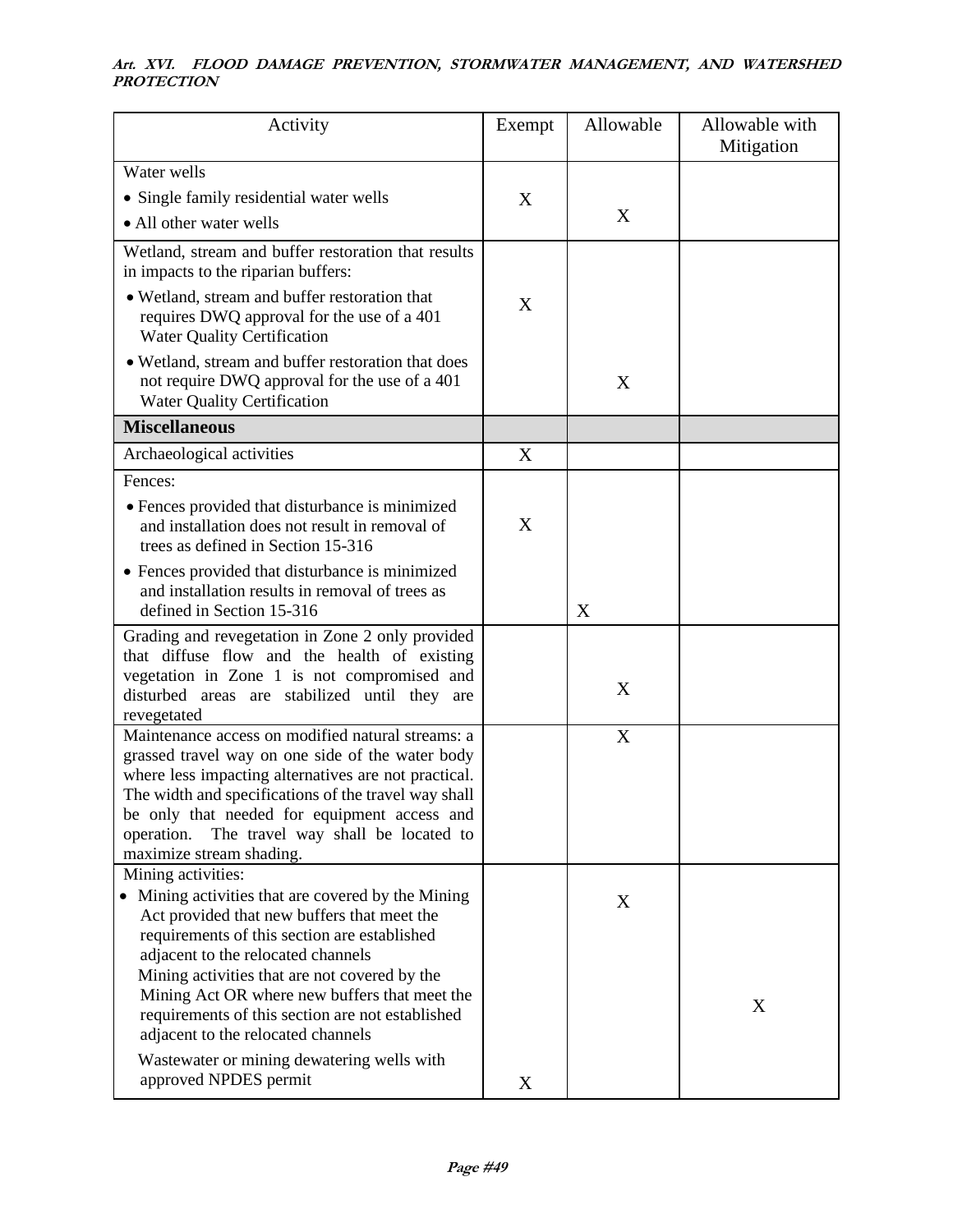| Activity                                                                                                                                                                                                                                                                                                                                                                                                  | Exempt | Allowable | Allowable with<br>Mitigation |
|-----------------------------------------------------------------------------------------------------------------------------------------------------------------------------------------------------------------------------------------------------------------------------------------------------------------------------------------------------------------------------------------------------------|--------|-----------|------------------------------|
| Water wells                                                                                                                                                                                                                                                                                                                                                                                               |        |           |                              |
| • Single family residential water wells                                                                                                                                                                                                                                                                                                                                                                   | X      |           |                              |
| • All other water wells                                                                                                                                                                                                                                                                                                                                                                                   |        | X         |                              |
| Wetland, stream and buffer restoration that results<br>in impacts to the riparian buffers:                                                                                                                                                                                                                                                                                                                |        |           |                              |
| • Wetland, stream and buffer restoration that<br>requires DWQ approval for the use of a 401<br><b>Water Quality Certification</b>                                                                                                                                                                                                                                                                         | X      |           |                              |
| • Wetland, stream and buffer restoration that does<br>not require DWQ approval for the use of a 401<br><b>Water Quality Certification</b>                                                                                                                                                                                                                                                                 |        | X         |                              |
| <b>Miscellaneous</b>                                                                                                                                                                                                                                                                                                                                                                                      |        |           |                              |
| Archaeological activities                                                                                                                                                                                                                                                                                                                                                                                 | X      |           |                              |
| Fences:                                                                                                                                                                                                                                                                                                                                                                                                   |        |           |                              |
| • Fences provided that disturbance is minimized<br>and installation does not result in removal of<br>trees as defined in Section 15-316                                                                                                                                                                                                                                                                   | X      |           |                              |
| • Fences provided that disturbance is minimized<br>and installation results in removal of trees as<br>defined in Section 15-316                                                                                                                                                                                                                                                                           |        | X         |                              |
| Grading and revegetation in Zone 2 only provided<br>that diffuse flow and the health of existing<br>vegetation in Zone 1 is not compromised and<br>disturbed areas are stabilized until they are<br>revegetated                                                                                                                                                                                           |        | X         |                              |
| Maintenance access on modified natural streams: a<br>grassed travel way on one side of the water body<br>where less impacting alternatives are not practical.<br>The width and specifications of the travel way shall<br>be only that needed for equipment access and<br>The travel way shall be located to<br>operation.<br>maximize stream shading.                                                     |        | X         |                              |
| Mining activities:<br>• Mining activities that are covered by the Mining<br>Act provided that new buffers that meet the<br>requirements of this section are established<br>adjacent to the relocated channels<br>Mining activities that are not covered by the<br>Mining Act OR where new buffers that meet the<br>requirements of this section are not established<br>adjacent to the relocated channels |        | X         | X                            |
| Wastewater or mining dewatering wells with<br>approved NPDES permit                                                                                                                                                                                                                                                                                                                                       | X      |           |                              |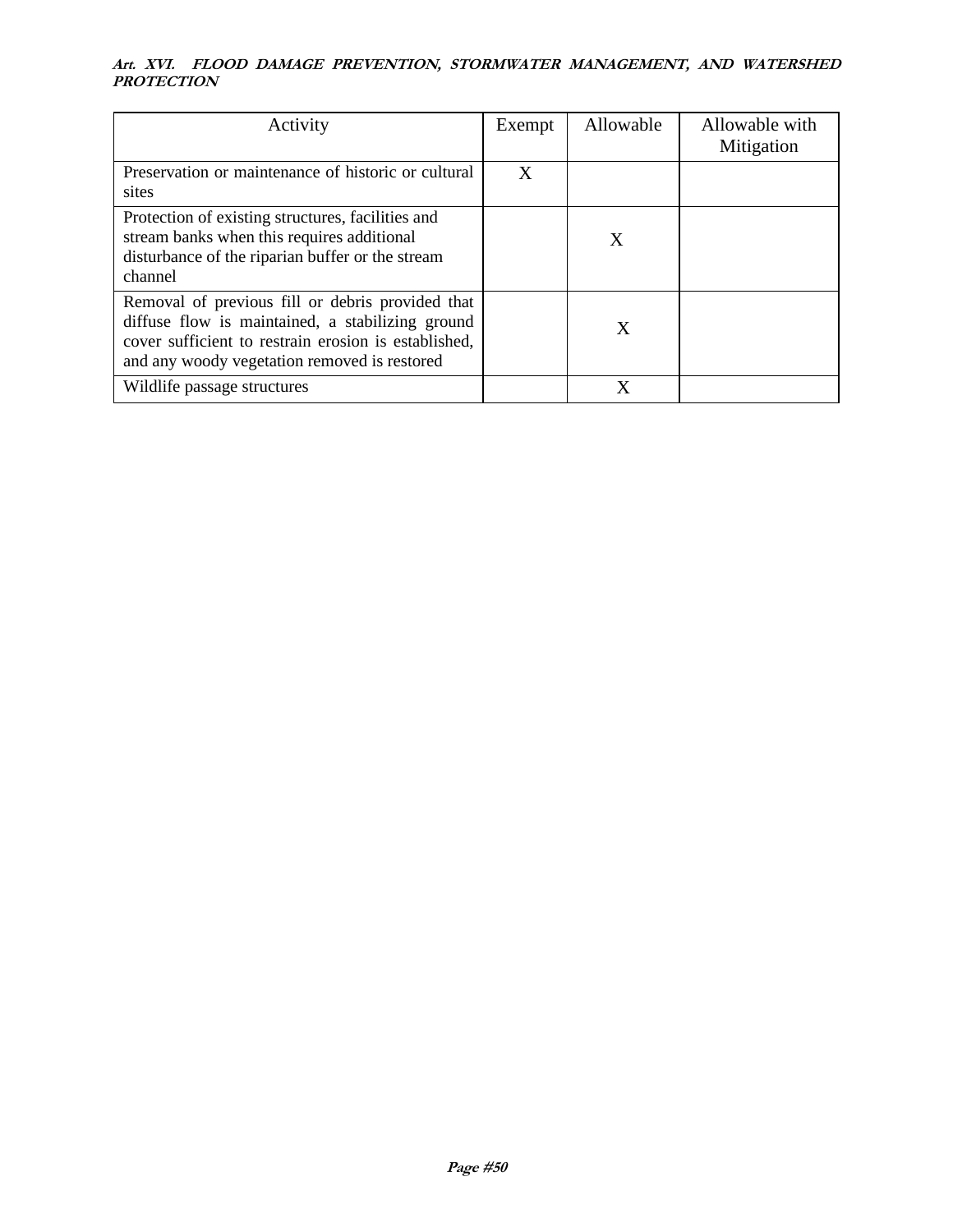| Activity                                                                                                                                                                                                     | Exempt | Allowable | Allowable with<br>Mitigation |
|--------------------------------------------------------------------------------------------------------------------------------------------------------------------------------------------------------------|--------|-----------|------------------------------|
| Preservation or maintenance of historic or cultural<br>sites                                                                                                                                                 | X      |           |                              |
| Protection of existing structures, facilities and<br>stream banks when this requires additional<br>disturbance of the riparian buffer or the stream<br>channel                                               |        | X         |                              |
| Removal of previous fill or debris provided that<br>diffuse flow is maintained, a stabilizing ground<br>cover sufficient to restrain erosion is established,<br>and any woody vegetation removed is restored |        | X         |                              |
| Wildlife passage structures                                                                                                                                                                                  |        | X         |                              |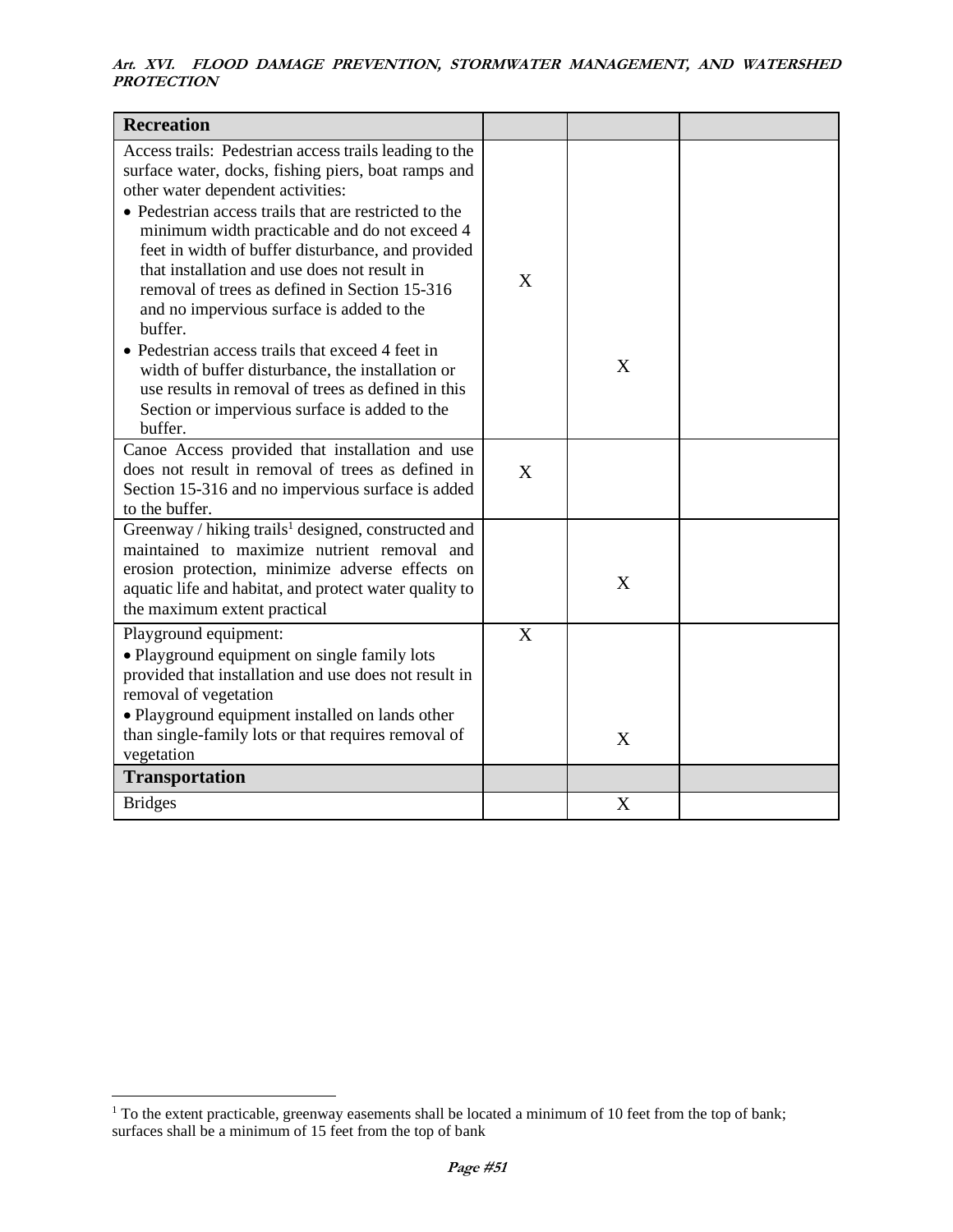| <b>Recreation</b>                                                                                                                                                                                                                                                                                                                                                                                                                                                                                                                                                                                                                                                                                    |   |   |  |
|------------------------------------------------------------------------------------------------------------------------------------------------------------------------------------------------------------------------------------------------------------------------------------------------------------------------------------------------------------------------------------------------------------------------------------------------------------------------------------------------------------------------------------------------------------------------------------------------------------------------------------------------------------------------------------------------------|---|---|--|
| Access trails: Pedestrian access trails leading to the<br>surface water, docks, fishing piers, boat ramps and<br>other water dependent activities:<br>• Pedestrian access trails that are restricted to the<br>minimum width practicable and do not exceed 4<br>feet in width of buffer disturbance, and provided<br>that installation and use does not result in<br>removal of trees as defined in Section 15-316<br>and no impervious surface is added to the<br>buffer.<br>• Pedestrian access trails that exceed 4 feet in<br>width of buffer disturbance, the installation or<br>use results in removal of trees as defined in this<br>Section or impervious surface is added to the<br>buffer. | X | X |  |
| Canoe Access provided that installation and use<br>does not result in removal of trees as defined in<br>Section 15-316 and no impervious surface is added<br>to the buffer.                                                                                                                                                                                                                                                                                                                                                                                                                                                                                                                          | X |   |  |
| Greenway / hiking trails <sup>1</sup> designed, constructed and<br>maintained to maximize nutrient removal and<br>erosion protection, minimize adverse effects on<br>aquatic life and habitat, and protect water quality to<br>the maximum extent practical                                                                                                                                                                                                                                                                                                                                                                                                                                          |   | X |  |
| Playground equipment:<br>• Playground equipment on single family lots<br>provided that installation and use does not result in<br>removal of vegetation<br>• Playground equipment installed on lands other<br>than single-family lots or that requires removal of<br>vegetation                                                                                                                                                                                                                                                                                                                                                                                                                      | X | X |  |
| <b>Transportation</b>                                                                                                                                                                                                                                                                                                                                                                                                                                                                                                                                                                                                                                                                                |   |   |  |
| <b>Bridges</b>                                                                                                                                                                                                                                                                                                                                                                                                                                                                                                                                                                                                                                                                                       |   | X |  |

 $1$ <sup>1</sup> To the extent practicable, greenway easements shall be located a minimum of 10 feet from the top of bank; surfaces shall be a minimum of 15 feet from the top of bank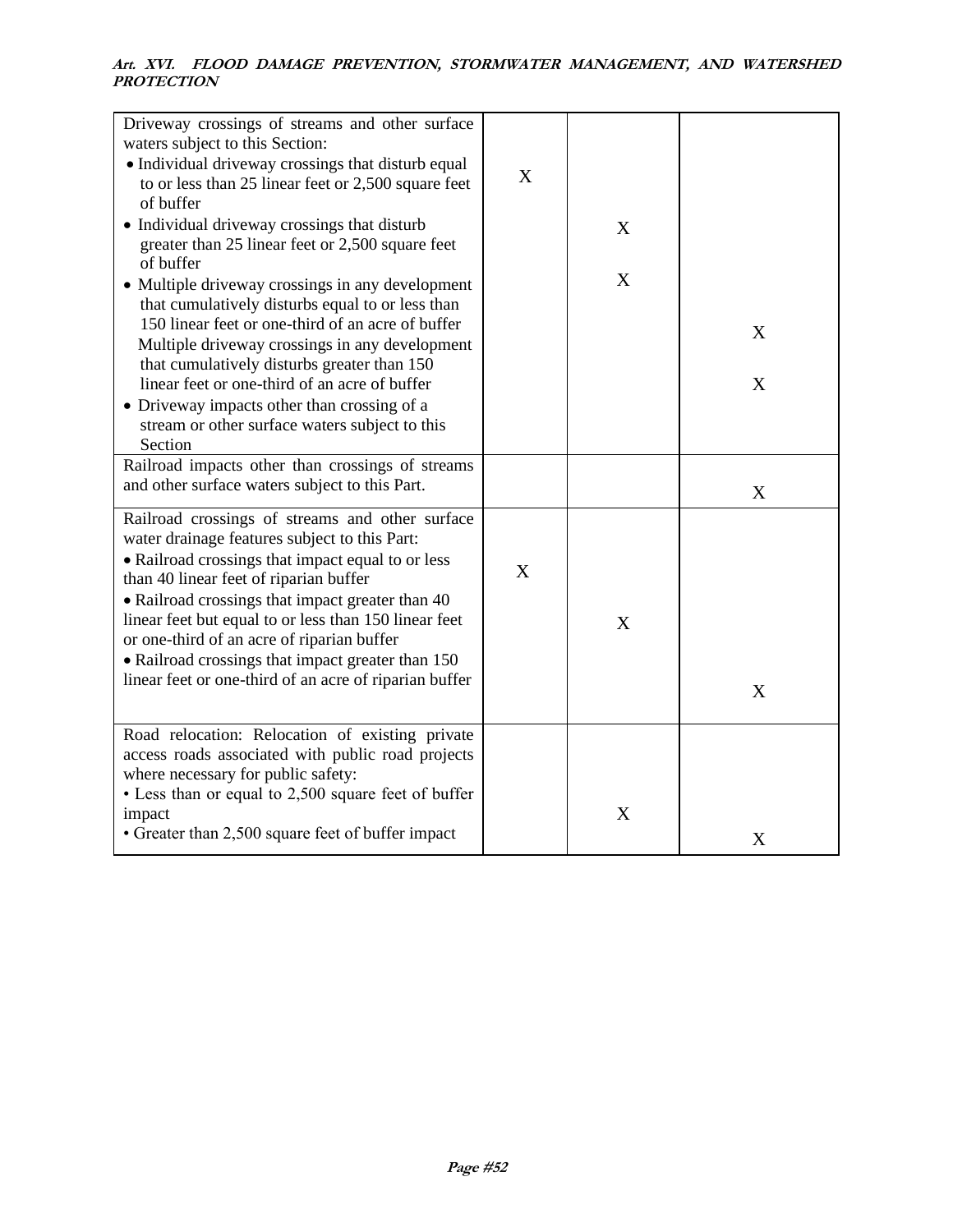| Driveway crossings of streams and other surface<br>waters subject to this Section:<br>• Individual driveway crossings that disturb equal<br>to or less than 25 linear feet or 2,500 square feet<br>of buffer<br>• Individual driveway crossings that disturb<br>greater than 25 linear feet or 2,500 square feet<br>of buffer<br>• Multiple driveway crossings in any development                                                                                         | X | X<br>X |        |
|---------------------------------------------------------------------------------------------------------------------------------------------------------------------------------------------------------------------------------------------------------------------------------------------------------------------------------------------------------------------------------------------------------------------------------------------------------------------------|---|--------|--------|
| that cumulatively disturbs equal to or less than<br>150 linear feet or one-third of an acre of buffer<br>Multiple driveway crossings in any development<br>that cumulatively disturbs greater than 150<br>linear feet or one-third of an acre of buffer<br>• Driveway impacts other than crossing of a<br>stream or other surface waters subject to this<br>Section                                                                                                       |   |        | X<br>X |
| Railroad impacts other than crossings of streams<br>and other surface waters subject to this Part.                                                                                                                                                                                                                                                                                                                                                                        |   |        | X      |
| Railroad crossings of streams and other surface<br>water drainage features subject to this Part:<br>• Railroad crossings that impact equal to or less<br>than 40 linear feet of riparian buffer<br>• Railroad crossings that impact greater than 40<br>linear feet but equal to or less than 150 linear feet<br>or one-third of an acre of riparian buffer<br>• Railroad crossings that impact greater than 150<br>linear feet or one-third of an acre of riparian buffer | X | X      | X      |
| Road relocation: Relocation of existing private<br>access roads associated with public road projects<br>where necessary for public safety:<br>• Less than or equal to 2,500 square feet of buffer<br>impact<br>• Greater than 2,500 square feet of buffer impact                                                                                                                                                                                                          |   | X      | X      |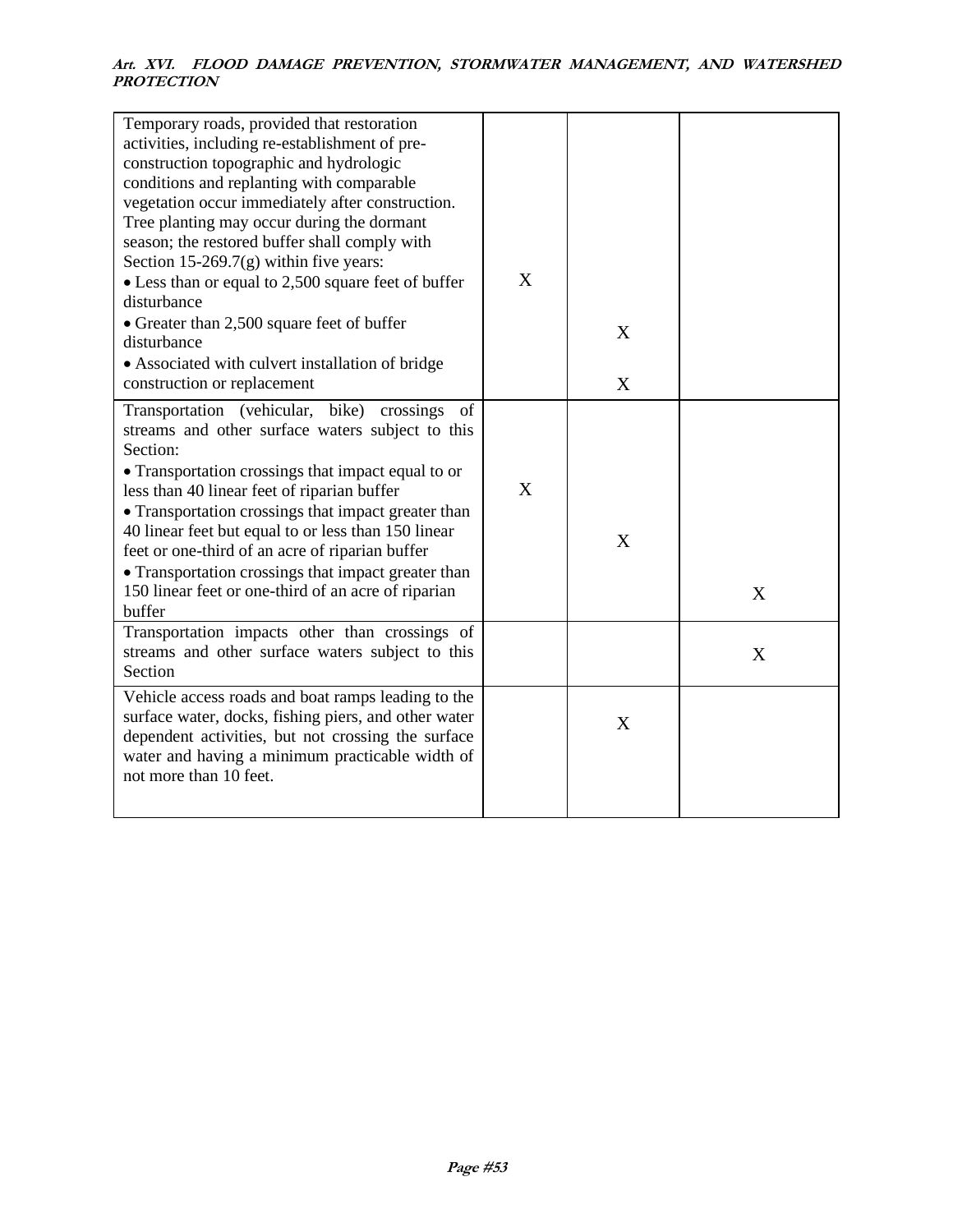| Temporary roads, provided that restoration<br>activities, including re-establishment of pre-<br>construction topographic and hydrologic<br>conditions and replanting with comparable<br>vegetation occur immediately after construction.<br>Tree planting may occur during the dormant<br>season; the restored buffer shall comply with<br>Section 15-269.7 $(g)$ within five years:<br>• Less than or equal to 2,500 square feet of buffer                                                                    | X |        |   |
|----------------------------------------------------------------------------------------------------------------------------------------------------------------------------------------------------------------------------------------------------------------------------------------------------------------------------------------------------------------------------------------------------------------------------------------------------------------------------------------------------------------|---|--------|---|
| disturbance<br>• Greater than 2,500 square feet of buffer<br>disturbance<br>• Associated with culvert installation of bridge<br>construction or replacement                                                                                                                                                                                                                                                                                                                                                    |   | X<br>X |   |
| Transportation (vehicular, bike) crossings<br>of<br>streams and other surface waters subject to this<br>Section:<br>• Transportation crossings that impact equal to or<br>less than 40 linear feet of riparian buffer<br>• Transportation crossings that impact greater than<br>40 linear feet but equal to or less than 150 linear<br>feet or one-third of an acre of riparian buffer<br>• Transportation crossings that impact greater than<br>150 linear feet or one-third of an acre of riparian<br>buffer | X | X      | X |
| Transportation impacts other than crossings of<br>streams and other surface waters subject to this<br>Section                                                                                                                                                                                                                                                                                                                                                                                                  |   |        | X |
| Vehicle access roads and boat ramps leading to the<br>surface water, docks, fishing piers, and other water<br>dependent activities, but not crossing the surface<br>water and having a minimum practicable width of<br>not more than 10 feet.                                                                                                                                                                                                                                                                  |   | X      |   |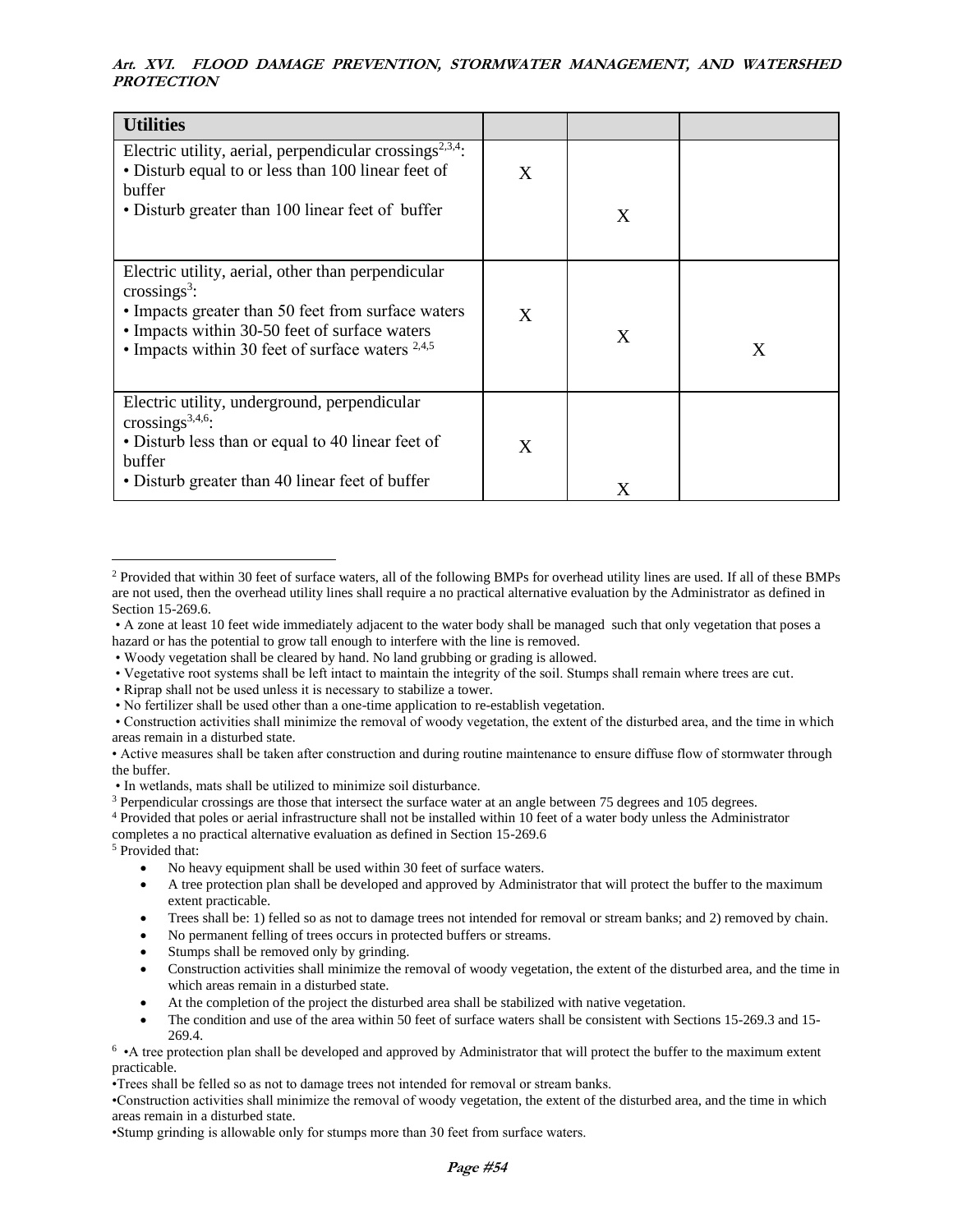| <b>Utilities</b>                                                                                                                                                                                                                            |   |   |   |
|---------------------------------------------------------------------------------------------------------------------------------------------------------------------------------------------------------------------------------------------|---|---|---|
| Electric utility, aerial, perpendicular crossings <sup>2,3,4</sup> :<br>• Disturb equal to or less than 100 linear feet of<br>buffer<br>• Disturb greater than 100 linear feet of buffer                                                    | X | X |   |
| Electric utility, aerial, other than perpendicular<br>crossings <sup>3</sup> :<br>• Impacts greater than 50 feet from surface waters<br>• Impacts within 30-50 feet of surface waters<br>• Impacts within 30 feet of surface waters $2,4,5$ | X | X | X |
| Electric utility, underground, perpendicular<br>crossings <sup>3,4,6</sup> :<br>• Disturb less than or equal to 40 linear feet of<br>buffer<br>• Disturb greater than 40 linear feet of buffer                                              | X | X |   |

• Vegetative root systems shall be left intact to maintain the integrity of the soil. Stumps shall remain where trees are cut.

• Construction activities shall minimize the removal of woody vegetation, the extent of the disturbed area, and the time in which areas remain in a disturbed state.

• In wetlands, mats shall be utilized to minimize soil disturbance.

<sup>3</sup> Perpendicular crossings are those that intersect the surface water at an angle between 75 degrees and 105 degrees.

<sup>4</sup> Provided that poles or aerial infrastructure shall not be installed within 10 feet of a water body unless the Administrator

completes a no practical alternative evaluation as defined in Section 15-269.6

<sup>5</sup> Provided that:

- No heavy equipment shall be used within 30 feet of surface waters.
- A tree protection plan shall be developed and approved by Administrator that will protect the buffer to the maximum extent practicable.
- Trees shall be: 1) felled so as not to damage trees not intended for removal or stream banks; and 2) removed by chain.
- No permanent felling of trees occurs in protected buffers or streams.
- Stumps shall be removed only by grinding.
- Construction activities shall minimize the removal of woody vegetation, the extent of the disturbed area, and the time in which areas remain in a disturbed state.
- At the completion of the project the disturbed area shall be stabilized with native vegetation.
- The condition and use of the area within 50 feet of surface waters shall be consistent with Sections 15-269.3 and 15- 269.4.

• A tree protection plan shall be developed and approved by Administrator that will protect the buffer to the maximum extent practicable.

•Trees shall be felled so as not to damage trees not intended for removal or stream banks.

•Construction activities shall minimize the removal of woody vegetation, the extent of the disturbed area, and the time in which areas remain in a disturbed state.

•Stump grinding is allowable only for stumps more than 30 feet from surface waters.

<sup>&</sup>lt;sup>2</sup> Provided that within 30 feet of surface waters, all of the following BMPs for overhead utility lines are used. If all of these BMPs are not used, then the overhead utility lines shall require a no practical alternative evaluation by the Administrator as defined in Section 15-269.6.

<sup>•</sup> A zone at least 10 feet wide immediately adjacent to the water body shall be managed such that only vegetation that poses a hazard or has the potential to grow tall enough to interfere with the line is removed.

<sup>•</sup> Woody vegetation shall be cleared by hand. No land grubbing or grading is allowed.

<sup>•</sup> Riprap shall not be used unless it is necessary to stabilize a tower.

<sup>•</sup> No fertilizer shall be used other than a one-time application to re-establish vegetation.

<sup>•</sup> Active measures shall be taken after construction and during routine maintenance to ensure diffuse flow of stormwater through the buffer.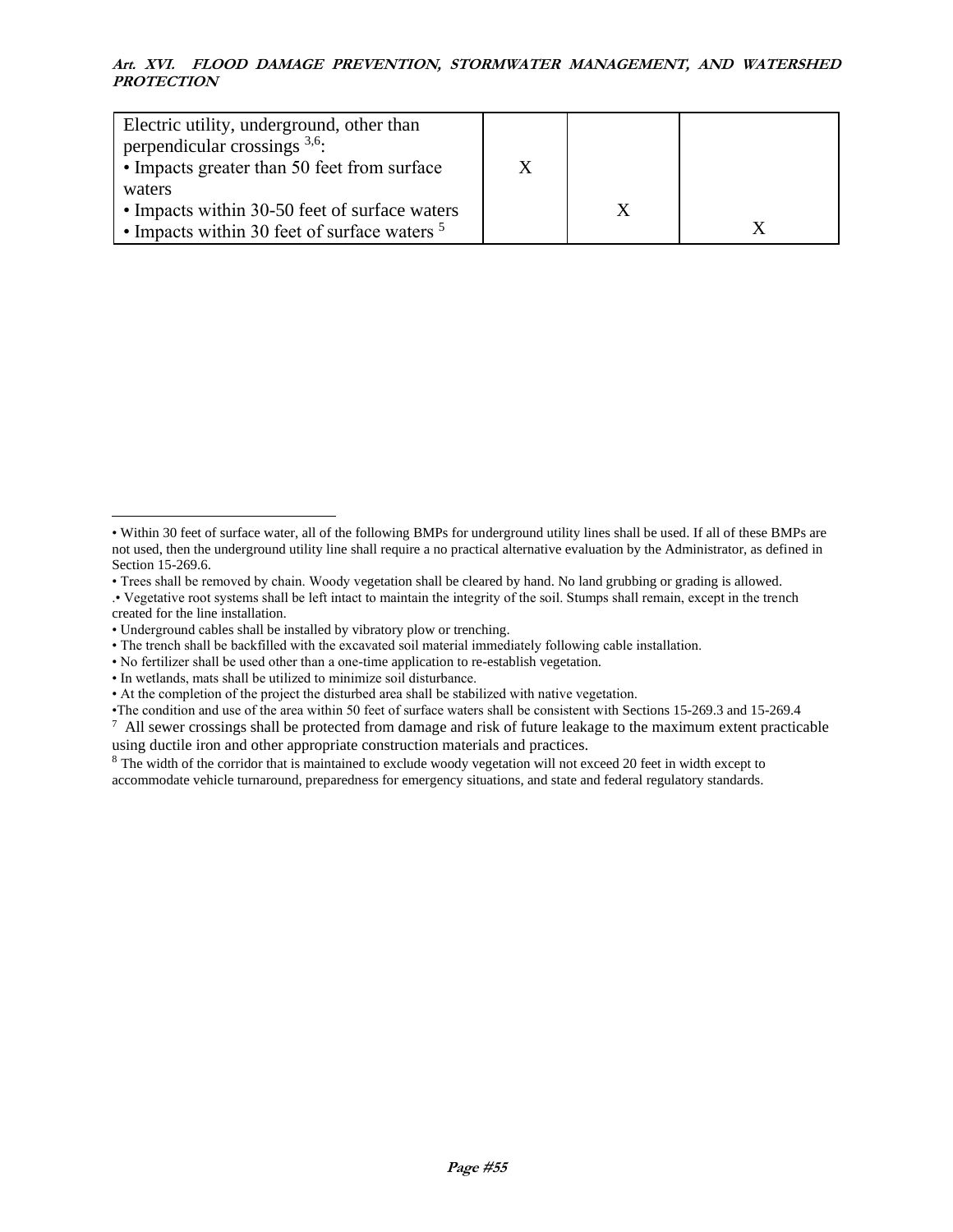| Electric utility, underground, other than<br>perpendicular crossings $3,6$ .<br>• Impacts greater than 50 feet from surface |  |  |
|-----------------------------------------------------------------------------------------------------------------------------|--|--|
| waters                                                                                                                      |  |  |
| • Impacts within 30-50 feet of surface waters                                                                               |  |  |
| • Impacts within 30 feet of surface waters $5$                                                                              |  |  |

<sup>•</sup> Within 30 feet of surface water, all of the following BMPs for underground utility lines shall be used. If all of these BMPs are not used, then the underground utility line shall require a no practical alternative evaluation by the Administrator, as defined in Section 15-269.6.

<sup>•</sup> Trees shall be removed by chain. Woody vegetation shall be cleared by hand. No land grubbing or grading is allowed.

<sup>.•</sup> Vegetative root systems shall be left intact to maintain the integrity of the soil. Stumps shall remain, except in the trench created for the line installation.

<sup>•</sup> Underground cables shall be installed by vibratory plow or trenching.

<sup>•</sup> The trench shall be backfilled with the excavated soil material immediately following cable installation.

<sup>•</sup> No fertilizer shall be used other than a one-time application to re-establish vegetation.

<sup>•</sup> In wetlands, mats shall be utilized to minimize soil disturbance.

<sup>•</sup> At the completion of the project the disturbed area shall be stabilized with native vegetation.

<sup>•</sup>The condition and use of the area within 50 feet of surface waters shall be consistent with Sections 15-269.3 and 15-269.4

 $\alpha$  All sewer crossings shall be protected from damage and risk of future leakage to the maximum extent practicable using ductile iron and other appropriate construction materials and practices.

<sup>&</sup>lt;sup>8</sup> The width of the corridor that is maintained to exclude woody vegetation will not exceed 20 feet in width except to accommodate vehicle turnaround, preparedness for emergency situations, and state and federal regulatory standards.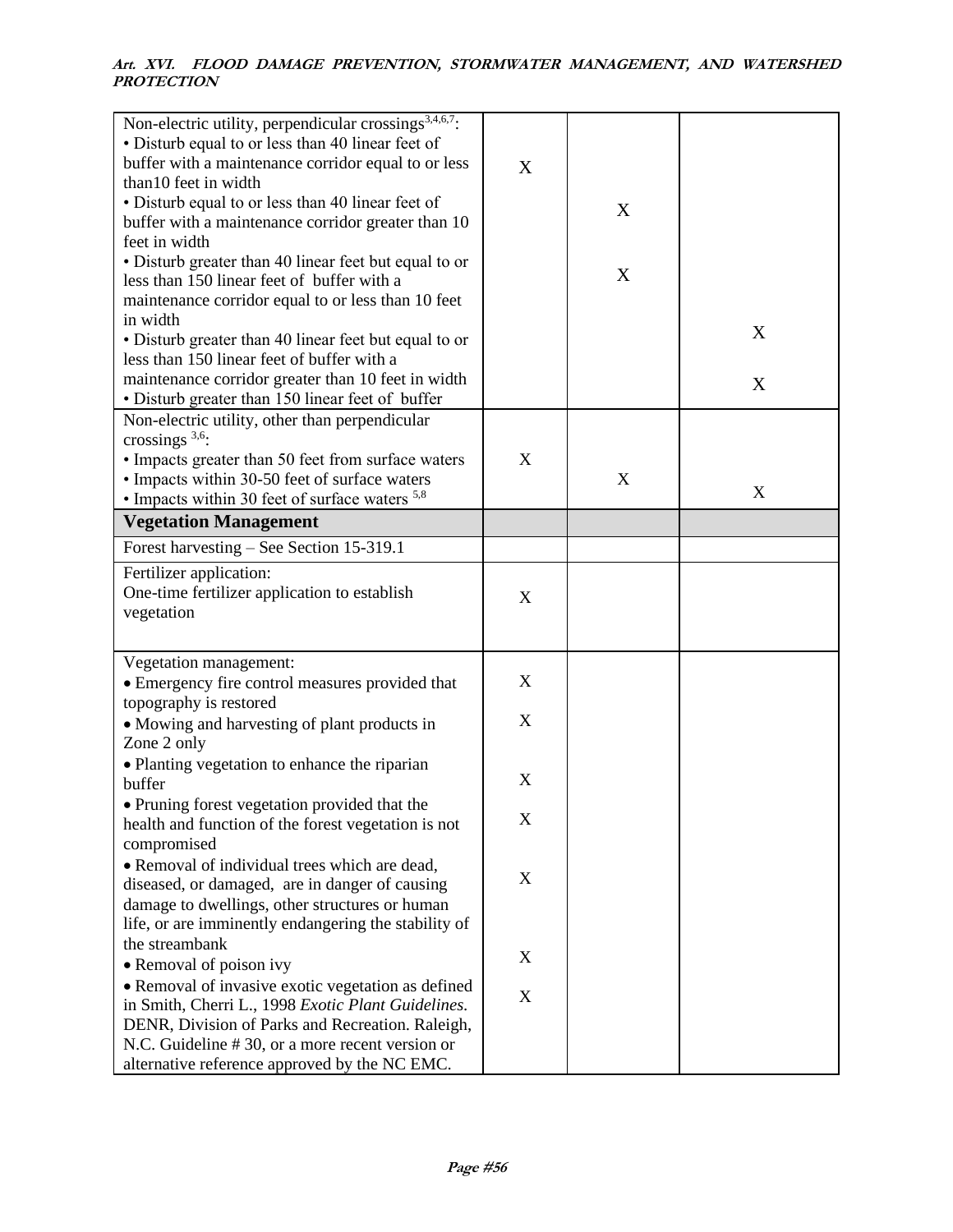| Non-electric utility, perpendicular crossings <sup>3,4,6,7</sup> :<br>• Disturb equal to or less than 40 linear feet of<br>buffer with a maintenance corridor equal to or less<br>than 10 feet in width<br>• Disturb equal to or less than 40 linear feet of<br>buffer with a maintenance corridor greater than 10<br>feet in width<br>• Disturb greater than 40 linear feet but equal to or | X                         | X |   |
|----------------------------------------------------------------------------------------------------------------------------------------------------------------------------------------------------------------------------------------------------------------------------------------------------------------------------------------------------------------------------------------------|---------------------------|---|---|
| less than 150 linear feet of buffer with a<br>maintenance corridor equal to or less than 10 feet                                                                                                                                                                                                                                                                                             |                           | X |   |
| in width<br>• Disturb greater than 40 linear feet but equal to or                                                                                                                                                                                                                                                                                                                            |                           |   | X |
| less than 150 linear feet of buffer with a<br>maintenance corridor greater than 10 feet in width                                                                                                                                                                                                                                                                                             |                           |   | X |
| • Disturb greater than 150 linear feet of buffer<br>Non-electric utility, other than perpendicular<br>crossings $3,6$ :                                                                                                                                                                                                                                                                      |                           |   |   |
| • Impacts greater than 50 feet from surface waters<br>• Impacts within 30-50 feet of surface waters<br>• Impacts within 30 feet of surface waters <sup>5,8</sup>                                                                                                                                                                                                                             | X                         | X | X |
| <b>Vegetation Management</b>                                                                                                                                                                                                                                                                                                                                                                 |                           |   |   |
| Forest harvesting – See Section 15-319.1                                                                                                                                                                                                                                                                                                                                                     |                           |   |   |
| Fertilizer application:<br>One-time fertilizer application to establish<br>vegetation                                                                                                                                                                                                                                                                                                        | $\boldsymbol{\mathrm{X}}$ |   |   |
| Vegetation management:<br>• Emergency fire control measures provided that                                                                                                                                                                                                                                                                                                                    | X                         |   |   |
| topography is restored<br>• Mowing and harvesting of plant products in<br>Zone 2 only                                                                                                                                                                                                                                                                                                        | $\boldsymbol{\mathrm{X}}$ |   |   |
| • Planting vegetation to enhance the riparian<br>buffer                                                                                                                                                                                                                                                                                                                                      | X                         |   |   |
| • Pruning forest vegetation provided that the<br>health and function of the forest vegetation is not<br>compromised                                                                                                                                                                                                                                                                          | X                         |   |   |
| • Removal of individual trees which are dead,<br>diseased, or damaged, are in danger of causing<br>damage to dwellings, other structures or human<br>life, or are imminently endangering the stability of                                                                                                                                                                                    | X                         |   |   |
| the streambank                                                                                                                                                                                                                                                                                                                                                                               | X                         |   |   |
| • Removal of poison ivy                                                                                                                                                                                                                                                                                                                                                                      |                           |   |   |
| • Removal of invasive exotic vegetation as defined<br>in Smith, Cherri L., 1998 Exotic Plant Guidelines.<br>DENR, Division of Parks and Recreation. Raleigh,<br>N.C. Guideline #30, or a more recent version or<br>alternative reference approved by the NC EMC.                                                                                                                             | $\mathbf X$               |   |   |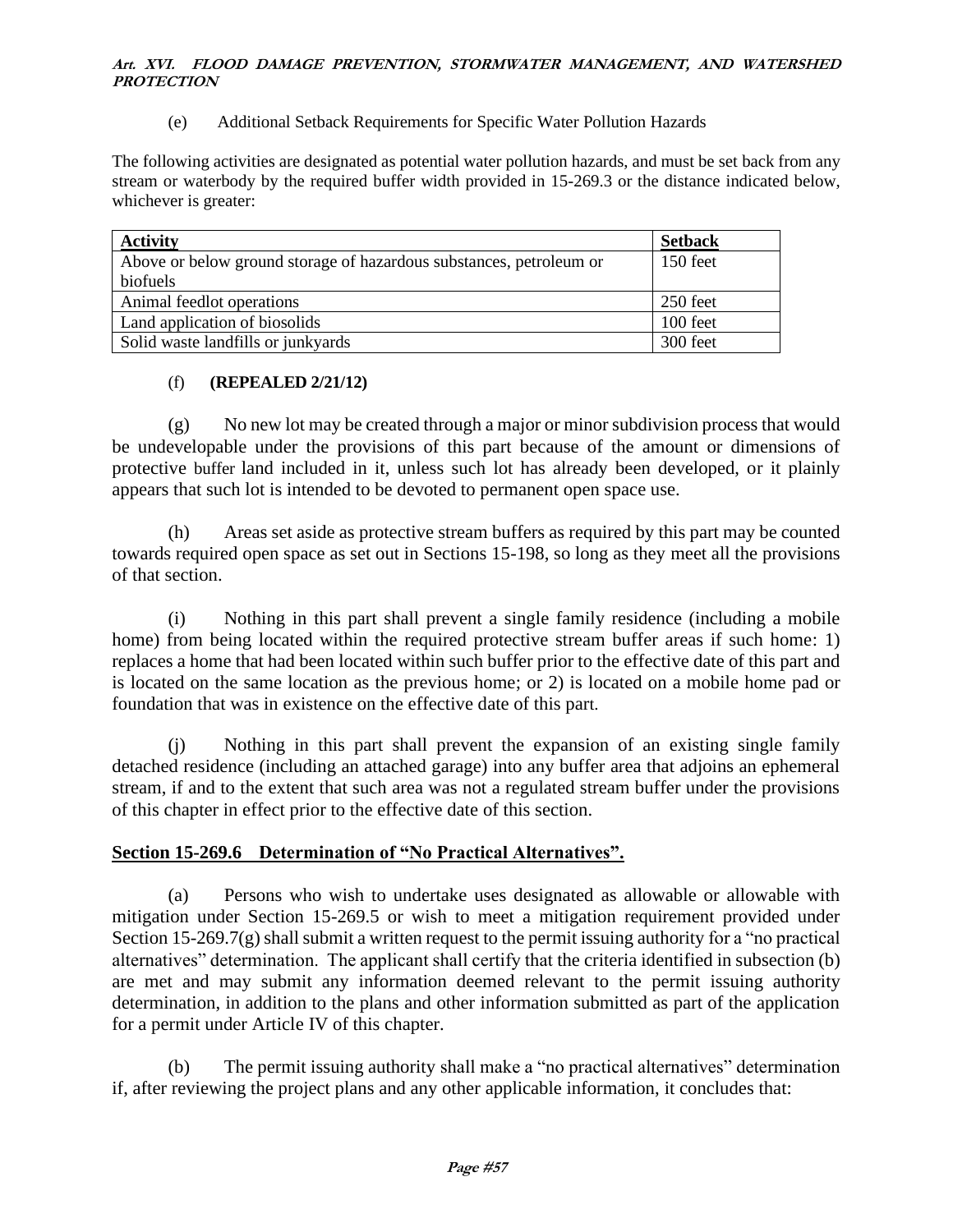(e) Additional Setback Requirements for Specific Water Pollution Hazards

The following activities are designated as potential water pollution hazards, and must be set back from any stream or waterbody by the required buffer width provided in 15-269.3 or the distance indicated below, whichever is greater:

| <b>Activity</b>                                                     | <b>Setback</b> |
|---------------------------------------------------------------------|----------------|
| Above or below ground storage of hazardous substances, petroleum or | 150 feet       |
| biofuels                                                            |                |
| Animal feedlot operations                                           | 250 feet       |
| Land application of biosolids                                       | 100 feet       |
| Solid waste landfills or junkyards                                  | 300 feet       |

# (f) **(REPEALED 2/21/12)**

(g) No new lot may be created through a major or minor subdivision process that would be undevelopable under the provisions of this part because of the amount or dimensions of protective buffer land included in it, unless such lot has already been developed, or it plainly appears that such lot is intended to be devoted to permanent open space use.

(h) Areas set aside as protective stream buffers as required by this part may be counted towards required open space as set out in Sections 15-198, so long as they meet all the provisions of that section.

(i) Nothing in this part shall prevent a single family residence (including a mobile home) from being located within the required protective stream buffer areas if such home: 1) replaces a home that had been located within such buffer prior to the effective date of this part and is located on the same location as the previous home; or 2) is located on a mobile home pad or foundation that was in existence on the effective date of this part.

(j) Nothing in this part shall prevent the expansion of an existing single family detached residence (including an attached garage) into any buffer area that adjoins an ephemeral stream, if and to the extent that such area was not a regulated stream buffer under the provisions of this chapter in effect prior to the effective date of this section.

# **Section 15-269.6 Determination of "No Practical Alternatives".**

(a) Persons who wish to undertake uses designated as allowable or allowable with mitigation under Section 15-269.5 or wish to meet a mitigation requirement provided under Section 15-269.7(g) shall submit a written request to the permit issuing authority for a "no practical alternatives" determination. The applicant shall certify that the criteria identified in subsection (b) are met and may submit any information deemed relevant to the permit issuing authority determination, in addition to the plans and other information submitted as part of the application for a permit under Article IV of this chapter.

(b) The permit issuing authority shall make a "no practical alternatives" determination if, after reviewing the project plans and any other applicable information, it concludes that: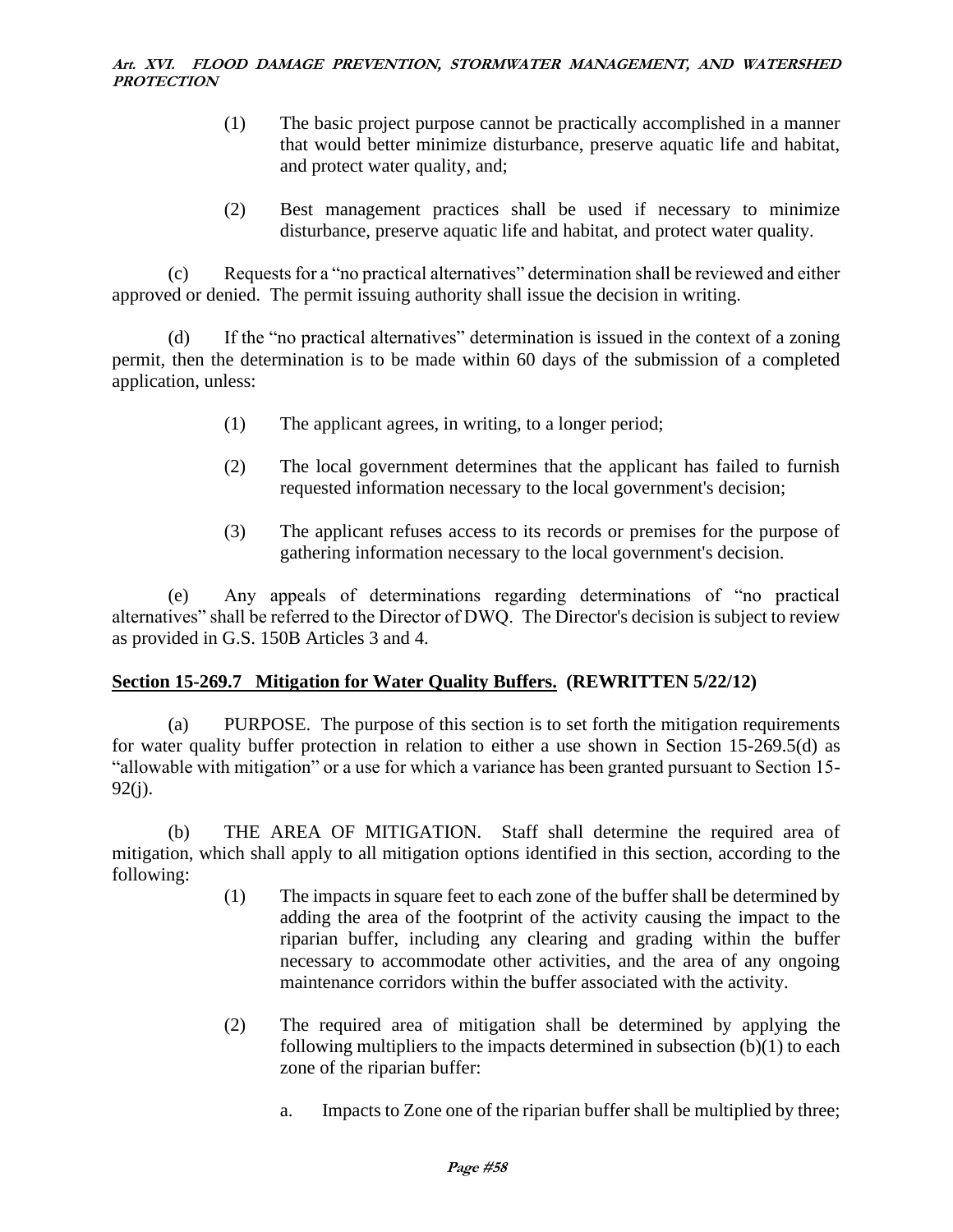- (1) The basic project purpose cannot be practically accomplished in a manner that would better minimize disturbance, preserve aquatic life and habitat, and protect water quality, and;
- (2) Best management practices shall be used if necessary to minimize disturbance, preserve aquatic life and habitat, and protect water quality.

(c) Requests for a "no practical alternatives" determination shall be reviewed and either approved or denied. The permit issuing authority shall issue the decision in writing.

(d) If the "no practical alternatives" determination is issued in the context of a zoning permit, then the determination is to be made within 60 days of the submission of a completed application, unless:

- (1) The applicant agrees, in writing, to a longer period;
- (2) The local government determines that the applicant has failed to furnish requested information necessary to the local government's decision;
- (3) The applicant refuses access to its records or premises for the purpose of gathering information necessary to the local government's decision.

(e) Any appeals of determinations regarding determinations of "no practical alternatives" shall be referred to the Director of DWQ. The Director's decision is subject to review as provided in G.S. 150B Articles 3 and 4.

# **Section 15-269.7 Mitigation for Water Quality Buffers. (REWRITTEN 5/22/12)**

(a) PURPOSE. The purpose of this section is to set forth the mitigation requirements for water quality buffer protection in relation to either a use shown in Section 15-269.5(d) as "allowable with mitigation" or a use for which a variance has been granted pursuant to Section 15- 92(j).

(b) THE AREA OF MITIGATION. Staff shall determine the required area of mitigation, which shall apply to all mitigation options identified in this section, according to the following:

- (1) The impacts in square feet to each zone of the buffer shall be determined by adding the area of the footprint of the activity causing the impact to the riparian buffer, including any clearing and grading within the buffer necessary to accommodate other activities, and the area of any ongoing maintenance corridors within the buffer associated with the activity.
- (2) The required area of mitigation shall be determined by applying the following multipliers to the impacts determined in subsection  $(b)(1)$  to each zone of the riparian buffer:
	- a. Impacts to Zone one of the riparian buffer shall be multiplied by three;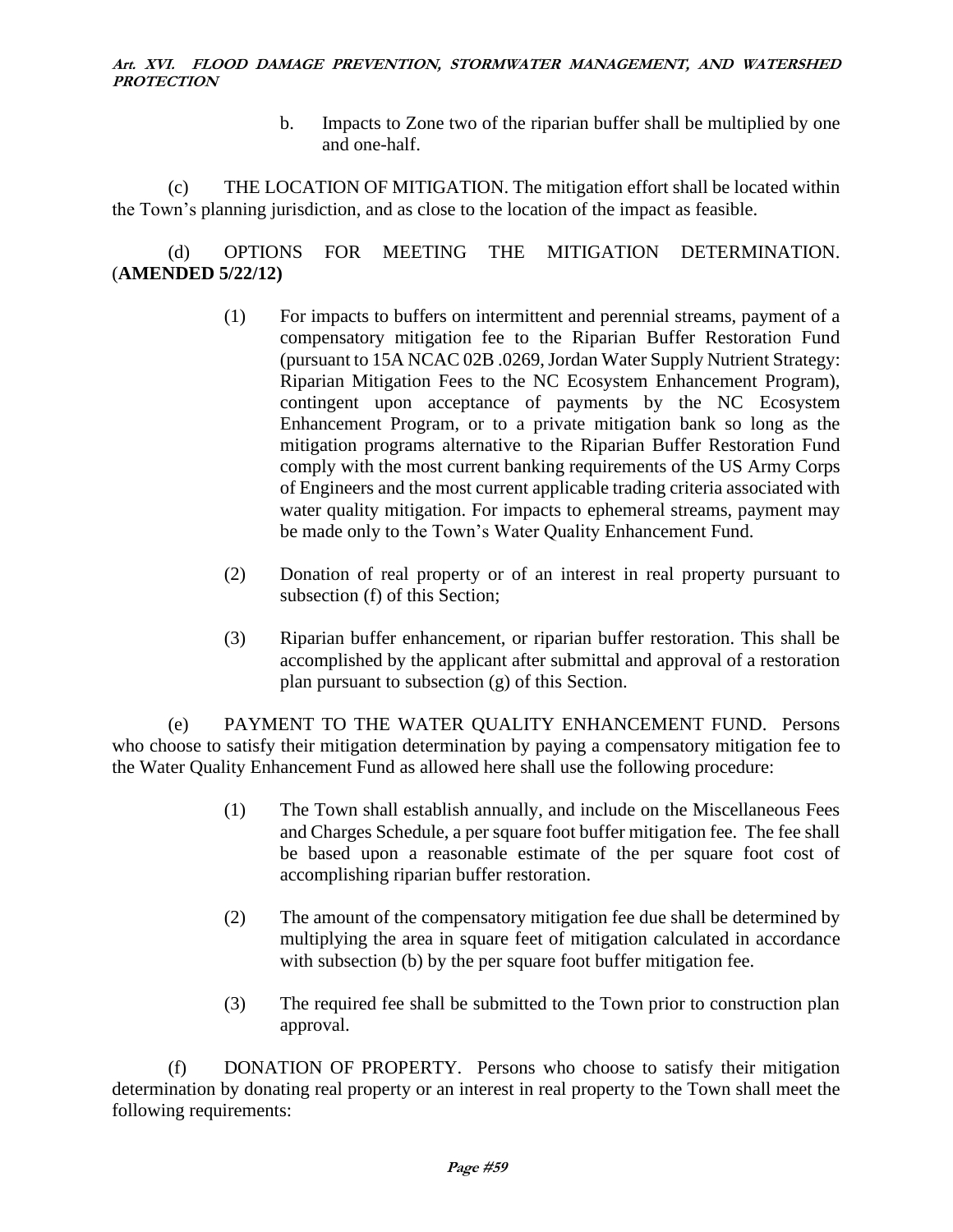b. Impacts to Zone two of the riparian buffer shall be multiplied by one and one-half.

(c) THE LOCATION OF MITIGATION. The mitigation effort shall be located within the Town's planning jurisdiction, and as close to the location of the impact as feasible.

(d) OPTIONS FOR MEETING THE MITIGATION DETERMINATION. (**AMENDED 5/22/12)**

- (1) For impacts to buffers on intermittent and perennial streams, payment of a compensatory mitigation fee to the Riparian Buffer Restoration Fund (pursuant to 15A NCAC 02B .0269, Jordan Water Supply Nutrient Strategy: Riparian Mitigation Fees to the NC Ecosystem Enhancement Program), contingent upon acceptance of payments by the NC Ecosystem Enhancement Program, or to a private mitigation bank so long as the mitigation programs alternative to the Riparian Buffer Restoration Fund comply with the most current banking requirements of the US Army Corps of Engineers and the most current applicable trading criteria associated with water quality mitigation. For impacts to ephemeral streams, payment may be made only to the Town's Water Quality Enhancement Fund.
- (2) Donation of real property or of an interest in real property pursuant to subsection (f) of this Section;
- (3) Riparian buffer enhancement, or riparian buffer restoration. This shall be accomplished by the applicant after submittal and approval of a restoration plan pursuant to subsection (g) of this Section.

(e) PAYMENT TO THE WATER QUALITY ENHANCEMENT FUND. Persons who choose to satisfy their mitigation determination by paying a compensatory mitigation fee to the Water Quality Enhancement Fund as allowed here shall use the following procedure:

- (1) The Town shall establish annually, and include on the Miscellaneous Fees and Charges Schedule, a per square foot buffer mitigation fee. The fee shall be based upon a reasonable estimate of the per square foot cost of accomplishing riparian buffer restoration.
- (2) The amount of the compensatory mitigation fee due shall be determined by multiplying the area in square feet of mitigation calculated in accordance with subsection (b) by the per square foot buffer mitigation fee.
- (3) The required fee shall be submitted to the Town prior to construction plan approval.

(f) DONATION OF PROPERTY. Persons who choose to satisfy their mitigation determination by donating real property or an interest in real property to the Town shall meet the following requirements: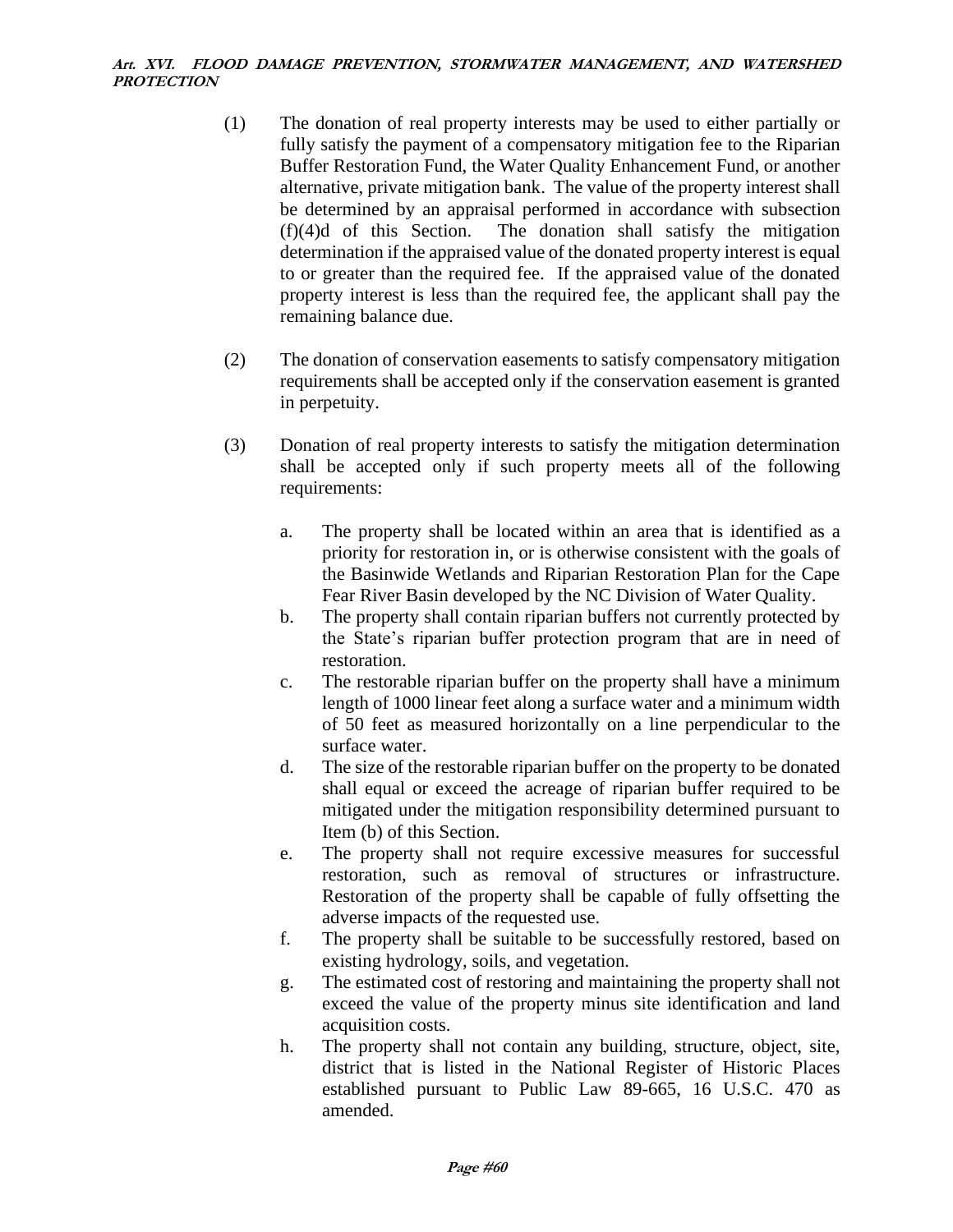- (1) The donation of real property interests may be used to either partially or fully satisfy the payment of a compensatory mitigation fee to the Riparian Buffer Restoration Fund, the Water Quality Enhancement Fund, or another alternative, private mitigation bank. The value of the property interest shall be determined by an appraisal performed in accordance with subsection (f)(4)d of this Section. The donation shall satisfy the mitigation determination if the appraised value of the donated property interest is equal to or greater than the required fee. If the appraised value of the donated property interest is less than the required fee, the applicant shall pay the remaining balance due.
- (2) The donation of conservation easements to satisfy compensatory mitigation requirements shall be accepted only if the conservation easement is granted in perpetuity.
- (3) Donation of real property interests to satisfy the mitigation determination shall be accepted only if such property meets all of the following requirements:
	- a. The property shall be located within an area that is identified as a priority for restoration in, or is otherwise consistent with the goals of the Basinwide Wetlands and Riparian Restoration Plan for the Cape Fear River Basin developed by the NC Division of Water Quality.
	- b. The property shall contain riparian buffers not currently protected by the State's riparian buffer protection program that are in need of restoration.
	- c. The restorable riparian buffer on the property shall have a minimum length of 1000 linear feet along a surface water and a minimum width of 50 feet as measured horizontally on a line perpendicular to the surface water.
	- d. The size of the restorable riparian buffer on the property to be donated shall equal or exceed the acreage of riparian buffer required to be mitigated under the mitigation responsibility determined pursuant to Item (b) of this Section.
	- e. The property shall not require excessive measures for successful restoration, such as removal of structures or infrastructure. Restoration of the property shall be capable of fully offsetting the adverse impacts of the requested use.
	- f. The property shall be suitable to be successfully restored, based on existing hydrology, soils, and vegetation.
	- g. The estimated cost of restoring and maintaining the property shall not exceed the value of the property minus site identification and land acquisition costs.
	- h. The property shall not contain any building, structure, object, site, district that is listed in the National Register of Historic Places established pursuant to Public Law 89-665, 16 U.S.C. 470 as amended.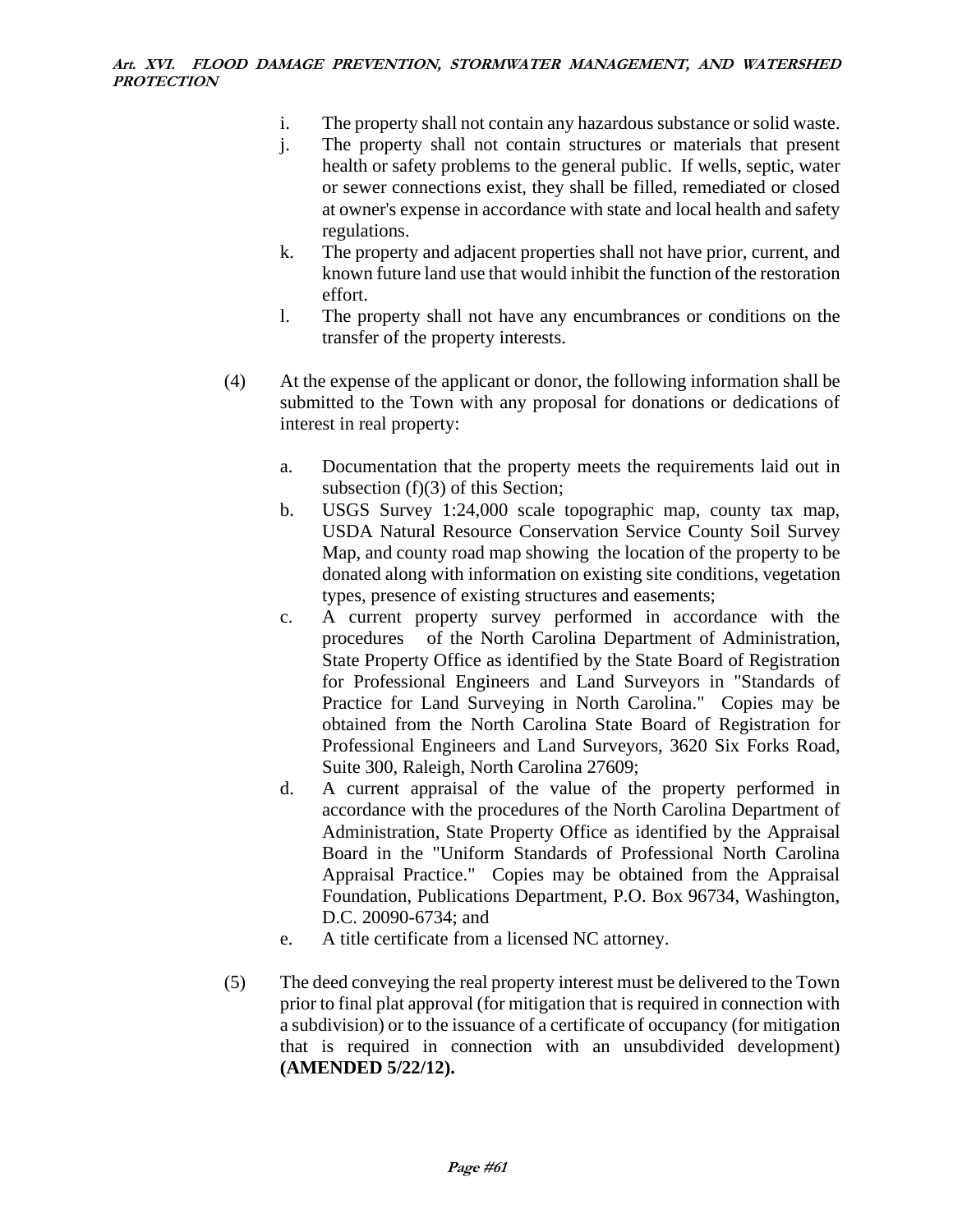- i. The property shall not contain any hazardous substance or solid waste.
- j. The property shall not contain structures or materials that present health or safety problems to the general public. If wells, septic, water or sewer connections exist, they shall be filled, remediated or closed at owner's expense in accordance with state and local health and safety regulations.
- k. The property and adjacent properties shall not have prior, current, and known future land use that would inhibit the function of the restoration effort.
- l. The property shall not have any encumbrances or conditions on the transfer of the property interests.
- (4) At the expense of the applicant or donor, the following information shall be submitted to the Town with any proposal for donations or dedications of interest in real property:
	- a. Documentation that the property meets the requirements laid out in subsection (f)(3) of this Section;
	- b. USGS Survey 1:24,000 scale topographic map, county tax map, USDA Natural Resource Conservation Service County Soil Survey Map, and county road map showing the location of the property to be donated along with information on existing site conditions, vegetation types, presence of existing structures and easements;
	- c. A current property survey performed in accordance with the procedures of the North Carolina Department of Administration, State Property Office as identified by the State Board of Registration for Professional Engineers and Land Surveyors in "Standards of Practice for Land Surveying in North Carolina." Copies may be obtained from the North Carolina State Board of Registration for Professional Engineers and Land Surveyors, 3620 Six Forks Road, Suite 300, Raleigh, North Carolina 27609;
	- d. A current appraisal of the value of the property performed in accordance with the procedures of the North Carolina Department of Administration, State Property Office as identified by the Appraisal Board in the "Uniform Standards of Professional North Carolina Appraisal Practice." Copies may be obtained from the Appraisal Foundation, Publications Department, P.O. Box 96734, Washington, D.C. 20090-6734; and
	- e. A title certificate from a licensed NC attorney.
- (5) The deed conveying the real property interest must be delivered to the Town prior to final plat approval (for mitigation that is required in connection with a subdivision) or to the issuance of a certificate of occupancy (for mitigation that is required in connection with an unsubdivided development) **(AMENDED 5/22/12).**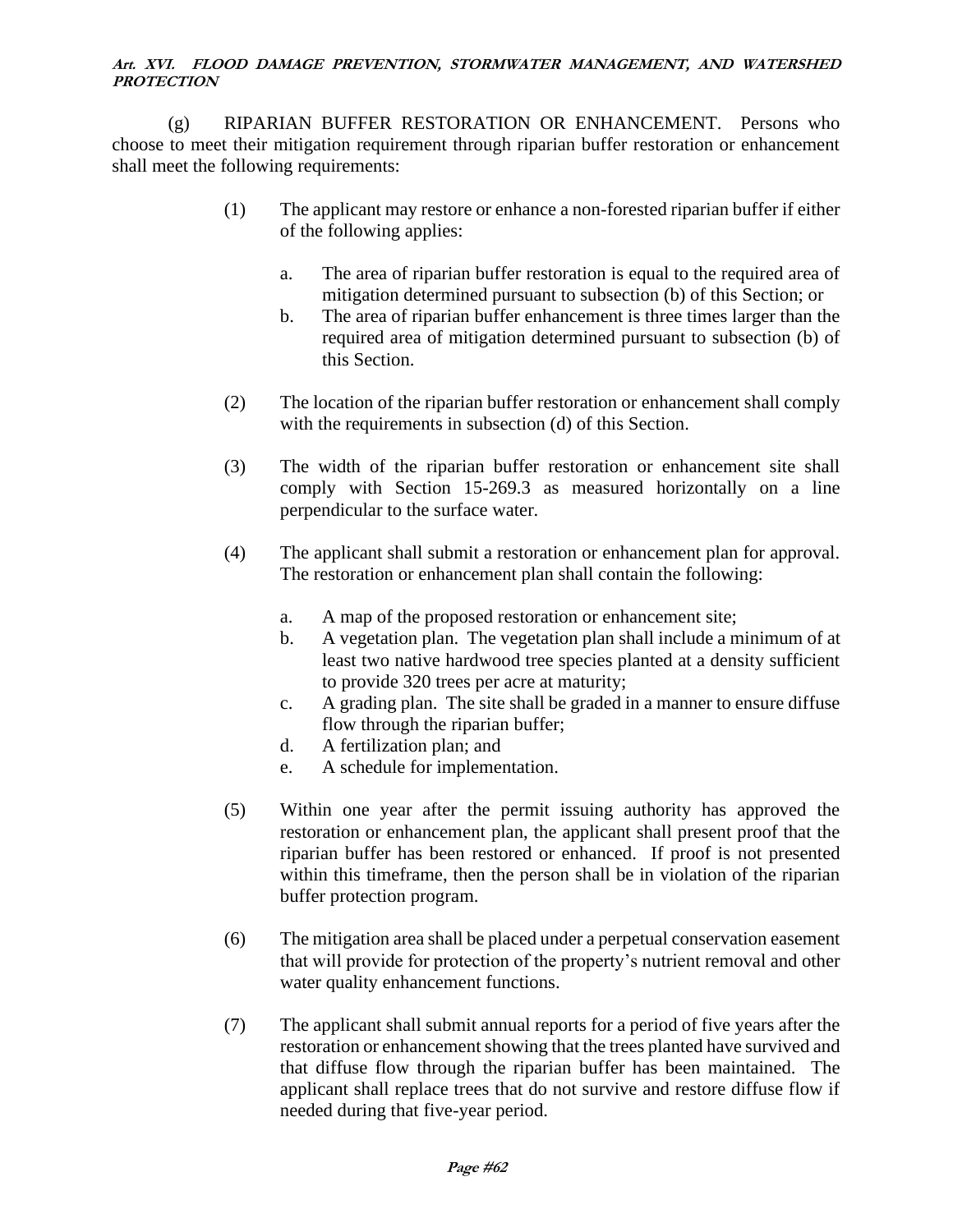(g) RIPARIAN BUFFER RESTORATION OR ENHANCEMENT. Persons who choose to meet their mitigation requirement through riparian buffer restoration or enhancement shall meet the following requirements:

- (1) The applicant may restore or enhance a non-forested riparian buffer if either of the following applies:
	- a. The area of riparian buffer restoration is equal to the required area of mitigation determined pursuant to subsection (b) of this Section; or
	- b. The area of riparian buffer enhancement is three times larger than the required area of mitigation determined pursuant to subsection (b) of this Section.
- (2) The location of the riparian buffer restoration or enhancement shall comply with the requirements in subsection (d) of this Section.
- (3) The width of the riparian buffer restoration or enhancement site shall comply with Section 15-269.3 as measured horizontally on a line perpendicular to the surface water.
- (4) The applicant shall submit a restoration or enhancement plan for approval. The restoration or enhancement plan shall contain the following:
	- a. A map of the proposed restoration or enhancement site;
	- b. A vegetation plan. The vegetation plan shall include a minimum of at least two native hardwood tree species planted at a density sufficient to provide 320 trees per acre at maturity;
	- c. A grading plan. The site shall be graded in a manner to ensure diffuse flow through the riparian buffer;
	- d. A fertilization plan; and
	- e. A schedule for implementation.
- (5) Within one year after the permit issuing authority has approved the restoration or enhancement plan, the applicant shall present proof that the riparian buffer has been restored or enhanced. If proof is not presented within this timeframe, then the person shall be in violation of the riparian buffer protection program.
- (6) The mitigation area shall be placed under a perpetual conservation easement that will provide for protection of the property's nutrient removal and other water quality enhancement functions.
- (7) The applicant shall submit annual reports for a period of five years after the restoration or enhancement showing that the trees planted have survived and that diffuse flow through the riparian buffer has been maintained. The applicant shall replace trees that do not survive and restore diffuse flow if needed during that five-year period.